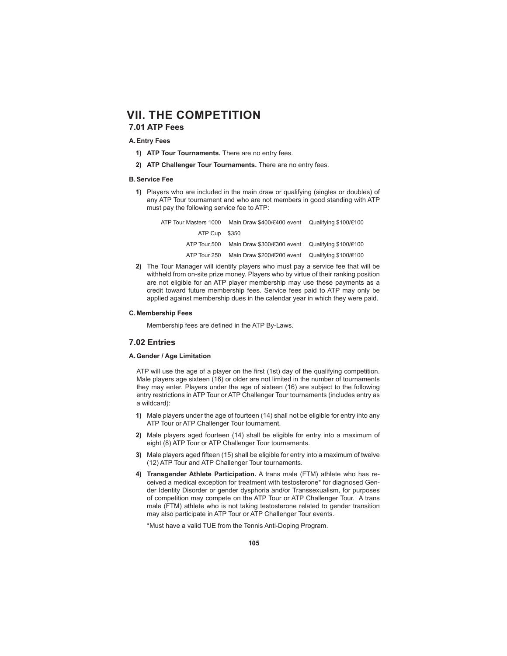# **7.01 ATP Fees**

### **A. Entry Fees**

- **1) ATP Tour Tournaments.** There are no entry fees.
- **2) ATP Challenger Tour Tournaments.** There are no entry fees.

### **B. Service Fee**

**1)** Players who are included in the main draw or qualifying (singles or doubles) of any ATP Tour tournament and who are not members in good standing with ATP must pay the following service fee to ATP:

| ATP Tour Masters 1000 | Main Draw \$400/€400 event Qualifying \$100/€100 |  |
|-----------------------|--------------------------------------------------|--|
| ATP Cup \$350         |                                                  |  |
| ATP Tour 500          | Main Draw \$300/€300 event Qualifying \$100/€100 |  |
| ATP Tour 250          | Main Draw \$200/€200 event Qualifying \$100/€100 |  |

**2)** The Tour Manager will identify players who must pay a service fee that will be withheld from on-site prize money. Players who by virtue of their ranking position are not eligible for an ATP player membership may use these payments as a credit toward future membership fees. Service fees paid to ATP may only be applied against membership dues in the calendar year in which they were paid.

### **C. Membership Fees**

Membership fees are defined in the ATP By-Laws.

#### **7.02 Entries**

#### **A. Gender / Age Limitation**

ATP will use the age of a player on the first (1st) day of the qualifying competition. Male players age sixteen (16) or older are not limited in the number of tournaments they may enter. Players under the age of sixteen (16) are subject to the following entry restrictions in ATP Tour or ATP Challenger Tour tournaments (includes entry as a wildcard):

- **1)** Male players under the age of fourteen (14) shall not be eligible for entry into any ATP Tour or ATP Challenger Tour tournament.
- **2)** Male players aged fourteen (14) shall be eligible for entry into a maximum of eight (8) ATP Tour or ATP Challenger Tour tournaments.
- **3)** Male players aged fifteen (15) shall be eligible for entry into a maximum of twelve (12) ATP Tour and ATP Challenger Tour tournaments.
- **4) Transgender Athlete Participation.** A trans male (FTM) athlete who has received a medical exception for treatment with testosterone\* for diagnosed Gender Identity Disorder or gender dysphoria and/or Transsexualism, for purposes of competition may compete on the ATP Tour or ATP Challenger Tour. A trans male (FTM) athlete who is not taking testosterone related to gender transition may also participate in ATP Tour or ATP Challenger Tour events.

\*Must have a valid TUE from the Tennis Anti-Doping Program.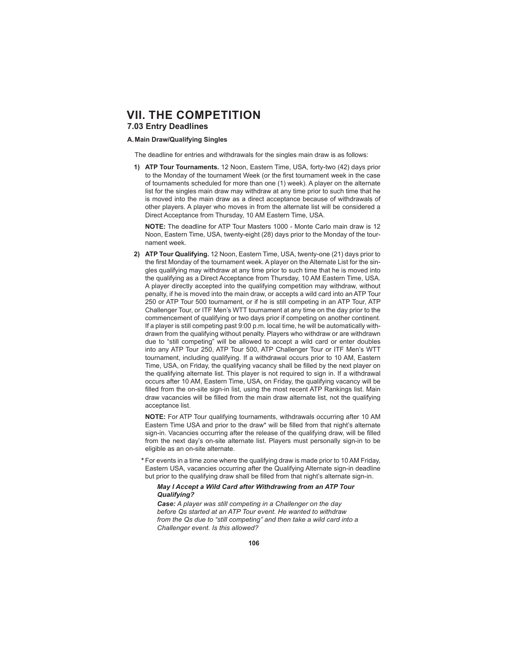# **VII. THE COMPETITION 7.03 Entry Deadlines**

#### **A. Main Draw/ Qualifying Singles**

The deadline for entries and withdrawals for the singles main draw is as follows:

**1) ATP Tour Tournaments.** 12 Noon, Eastern Time, USA, forty-two (42) days prior to the Monday of the tournament Week (or the first tournament week in the case of tournaments scheduled for more than one (1) week). A player on the alternate list for the singles main draw may withdraw at any time prior to such time that he is moved into the main draw as a direct acceptance because of withdrawals of other players. A player who moves in from the alternate list will be considered a Direct Acceptance from Thursday, 10 AM Eastern Time, USA.

 **NOTE:** The deadline for ATP Tour Masters 1000 - Monte Carlo main draw is 12 Noon, Eastern Time, USA, twenty-eight (28) days prior to the Monday of the tournament week.

**2) ATP Tour Qualifying.** 12 Noon, Eastern Time, USA, twenty-one (21) days prior to the first Monday of the tournament week. A player on the Alternate List for the singles qualifying may withdraw at any time prior to such time that he is moved into the qualifying as a Direct Acceptance from Thursday, 10 AM Eastern Time, USA. A player directly accepted into the qualifying competition may withdraw, without penalty, if he is moved into the main draw, or accepts a wild card into an ATP Tour 250 or ATP Tour 500 tournament, or if he is still competing in an ATP Tour, ATP Challenger Tour, or ITF Men's WTT tournament at any time on the day prior to the commencement of qualifying or two days prior if competing on another continent. If a player is still competing past 9:00 p.m. local time, he will be automatically withdrawn from the qualifying without penalty. Players who withdraw or are withdrawn due to "still competing" will be allowed to accept a wild card or enter doubles into any ATP Tour 250, ATP Tour 500, ATP Challenger Tour or ITF Men's WTT tournament, including qualifying. If a withdrawal occurs prior to 10 AM, Eastern Time, USA, on Friday, the qualifying vacancy shall be filled by the next player on the qualifying alternate list. This player is not required to sign in. If a withdrawal occurs after 10 AM, Eastern Time, USA, on Friday, the qualifying vacancy will be filled from the on-site sign-in list, using the most recent ATP Rankings list. Main draw vacancies will be filled from the main draw alternate list, not the qualifying acceptance list.

**NOTE:** For ATP Tour qualifying tournaments, withdrawals occurring after 10 AM Eastern Time USA and prior to the draw\* will be filled from that night's alternate sign-in. Vacancies occurring after the release of the qualifying draw, will be filled from the next day's on-site alternate list. Players must personally sign-in to be eligible as an on-site alternate.

 **\*** For events in a time zone where the qualifying draw is made prior to 10 AM Friday, Eastern USA, vacancies occurring after the Qualifying Alternate sign-in deadline but prior to the qualifying draw shall be filled from that night's alternate sign-in.

*May I Accept a Wild Card after Withdrawing from an ATP Tour Qualifying?*

*Case: A player was still competing in a Challenger on the day before Qs started at an ATP Tour event. He wanted to withdraw from the Qs due to "still competing" and then take a wild card into a Challenger event. Is this allowed?*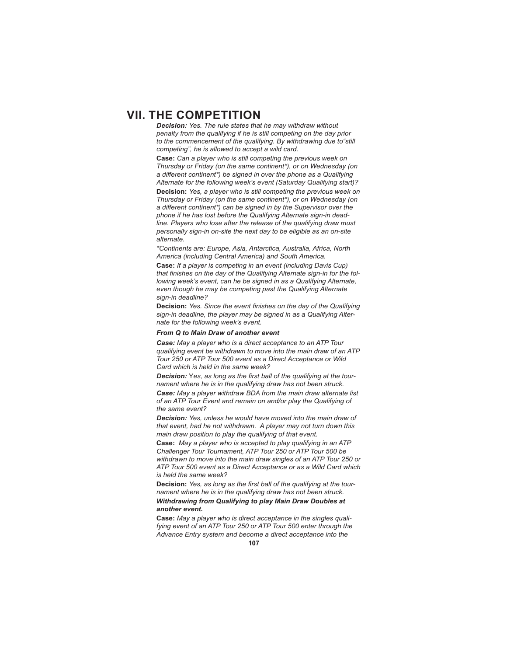*Decision: Yes. The rule states that he may withdraw without penalty from the qualifying if he is still competing on the day prior to the commencement of the qualifying. By withdrawing due to"still competing", he is allowed to accept a wild card.*

**Case:** *Can a player who is still competing the previous week on Thursday or Friday (on the same continent\*), or on Wednesday (on a diff erent continent\*) be signed in over the phone as a Qualifying Alternate for the following week's event (Saturday Qualifying start)?*

**Decision:** *Yes, a player who is still competing the previous week on Thursday or Friday (on the same continent\*), or on Wednesday (on a diff erent continent\*) can be signed in by the Supervisor over the phone if he has lost before the Qualifying Alternate sign-in deadline. Players who lose after the release of the qualifying draw must personally sign-in on-site the next day to be eligible as an on-site alternate.*

*\*Continents are: Europe, Asia, Antarctica, Australia, Africa, North America (including Central America) and South America.*

**Case:** *If a player is competing in an event (including Davis Cup)*  that finishes on the day of the Qualifying Alternate sign-in for the fol*lowing week's event, can he be signed in as a Qualifying Alternate, even though he may be competing past the Qualifying Alternate sign-in deadline?*

**Decision:** Yes. Since the event finishes on the day of the Qualifying *sign-in deadline, the player may be signed in as a Qualifying Alternate for the following week's event.* 

#### *From Q to Main Draw of another event*

*Case: May a player who is a direct acceptance to an ATP Tour qualifying event be withdrawn to move into the main draw of an ATP Tour 250 or ATP Tour 500 event as a Direct Acceptance or Wild Card which is held in the same week?*

**Decision:** Yes, as long as the first ball of the qualifying at the tour*nament where he is in the qualifying draw has not been struck.*

*Case: May a player withdraw BDA from the main draw alternate list of an ATP Tour Event and remain on and/or play the Qualifying of the same event?*

*Decision: Yes, unless he would have moved into the main draw of that event, had he not withdrawn. A player may not turn down this main draw position to play the qualifying of that event.* 

**Case:** *May a player who is accepted to play qualifying in an ATP Challenger Tour Tournament, ATP Tour 250 or ATP Tour 500 be withdrawn to move into the main draw singles of an ATP Tour 250 or ATP Tour 500 event as a Direct Acceptance or as a Wild Card which is held the same week?*

**Decision:** Yes, as long as the first ball of the qualifying at the tour*nament where he is in the qualifying draw has not been struck. Withdrawing from Qualifying to play Main Draw Doubles at* 

#### *another event.*

**Case:** *May a player who is direct acceptance in the singles qualifying event of an ATP Tour 250 or ATP Tour 500 enter through the Advance Entry system and become a direct acceptance into the*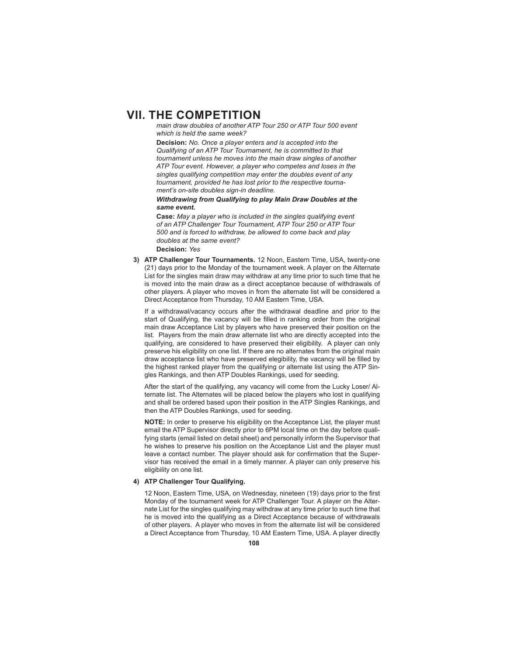*main draw doubles of another ATP Tour 250 or ATP Tour 500 event which is held the same week?*

**Decision:** *No. Once a player enters and is accepted into the Qualifying of an ATP Tour Tournament, he is committed to that tournament unless he moves into the main draw singles of another ATP Tour event. However, a player who competes and loses in the singles qualifying competition may enter the doubles event of any tournament, provided he has lost prior to the respective tournament's on-site doubles sign-in deadline.*

*Withdrawing from Qualifying to play Main Draw Doubles at the same event.*

**Case:** *May a player who is included in the singles qualifying event of an ATP Challenger Tour Tournament, ATP Tour 250 or ATP Tour 500 and is forced to withdraw, be allowed to come back and play doubles at the same event?* **Decision:** *Yes*

**3) ATP Challenger Tour Tournaments.** 12 Noon, Eastern Time, USA, twenty-one (21) days prior to the Monday of the tournament week. A player on the Alternate List for the singles main draw may withdraw at any time prior to such time that he is moved into the main draw as a direct acceptance because of withdrawals of other players. A player who moves in from the alternate list will be considered a Direct Acceptance from Thursday, 10 AM Eastern Time, USA.

 If a withdrawal/vacancy occurs after the withdrawal deadline and prior to the start of Qualifying, the vacancy will be filled in ranking order from the original main draw Acceptance List by players who have preserved their position on the list. Players from the main draw alternate list who are directly accepted into the qualifying, are considered to have preserved their eligibility. A player can only preserve his eligibility on one list. If there are no alternates from the original main draw acceptance list who have preserved elegibility, the vacancy will be filled by the highest ranked player from the qualifying or alternate list using the ATP Singles Rankings, and then ATP Doubles Rankings, used for seeding.

 After the start of the qualifying, any vacancy will come from the Lucky Loser/ Alternate list. The Alternates will be placed below the players who lost in qualifying and shall be ordered based upon their position in the ATP Singles Rankings, and then the ATP Doubles Rankings, used for seeding.

 **NOTE:** In order to preserve his eligibility on the Acceptance List, the player must email the ATP Supervisor directly prior to 6PM local time on the day before qualifying starts (email listed on detail sheet) and personally inform the Supervisor that he wishes to preserve his position on the Acceptance List and the player must leave a contact number. The player should ask for confirmation that the Supervisor has received the email in a timely manner. A player can only preserve his eligibility on one list.

### **4) ATP Challenger Tour Qualifying.**

12 Noon, Eastern Time, USA, on Wednesday, nineteen (19) days prior to the first Monday of the tournament week for ATP Challenger Tour. A player on the Alternate List for the singles qualifying may withdraw at any time prior to such time that he is moved into the qualifying as a Direct Acceptance because of withdrawals of other players. A player who moves in from the alternate list will be considered a Direct Acceptance from Thursday, 10 AM Eastern Time, USA. A player directly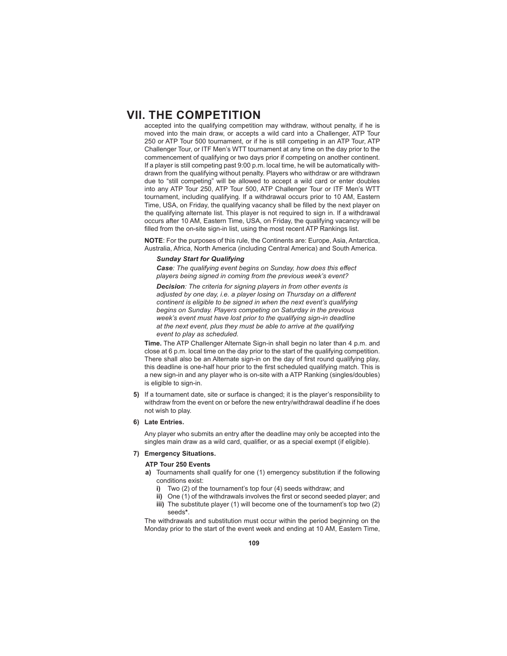accepted into the qualifying competition may withdraw, without penalty, if he is moved into the main draw, or accepts a wild card into a Challenger, ATP Tour 250 or ATP Tour 500 tournament, or if he is still competing in an ATP Tour, ATP Challenger Tour, or ITF Men's WTT tournament at any time on the day prior to the commencement of qualifying or two days prior if competing on another continent. If a player is still competing past 9:00 p.m. local time, he will be automatically withdrawn from the qualifying without penalty. Players who withdraw or are withdrawn due to "still competing" will be allowed to accept a wild card or enter doubles into any ATP Tour 250, ATP Tour 500, ATP Challenger Tour or ITF Men's WTT tournament, including qualifying. If a withdrawal occurs prior to 10 AM, Eastern Time, USA, on Friday, the qualifying vacancy shall be filled by the next player on the qualifying alternate list. This player is not required to sign in. If a withdrawal occurs after 10 AM, Eastern Time, USA, on Friday, the qualifying vacancy will be filled from the on-site sign-in list, using the most recent ATP Rankings list.

**NOTE**: For the purposes of this rule, the Continents are: Europe, Asia, Antarctica, Australia, Africa, North America (including Central America) and South America.

#### *Sunday Start for Qualifying*

*Case: The qualifying event begins on Sunday, how does this effect players being signed in coming from the previous week's event?* 

*Decision: The criteria for signing players in from other events is*  adjusted by one day, i.e. a player losing on Thursday on a different *continent is eligible to be signed in when the next event's qualifying begins on Sunday. Players competing on Saturday in the previous week's event must have lost prior to the qualifying sign-in deadline at the next event, plus they must be able to arrive at the qualifying event to play as scheduled.*

 **Time.** The ATP Challenger Alternate Sign-in shall begin no later than 4 p.m. and close at 6 p.m. local time on the day prior to the start of the qualifying competition. There shall also be an Alternate sign-in on the day of first round qualifying play, this deadline is one-half hour prior to the first scheduled qualifying match. This is a new sign-in and any player who is on-site with a ATP Ranking (singles/doubles) is eligible to sign-in.

- **5)** If a tournament date, site or surface is changed; it is the player's responsibility to withdraw from the event on or before the new entry/withdrawal deadline if he does not wish to play.
- **6) Late Entries.**

 Any player who submits an entry after the deadline may only be accepted into the singles main draw as a wild card, qualifier, or as a special exempt (if eligible).

#### **7) Emergency Situations.**

#### **ATP Tour 250 Events**

- **a)** Tournaments shall qualify for one (1) emergency substitution if the following conditions exist:
	- **i)** Two (2) of the tournament's top four (4) seeds withdraw; and
	- **ii)** One (1) of the withdrawals involves the first or second seeded player; and **iii)** The substitute player (1) will become one of the tournament's top two (2) seeds**\***.

 The withdrawals and substitution must occur within the period beginning on the Monday prior to the start of the event week and ending at 10 AM, Eastern Time,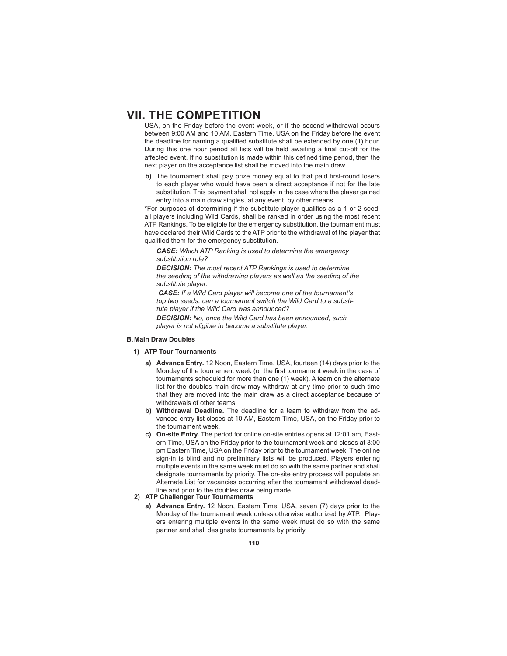USA, on the Friday before the event week, or if the second withdrawal occurs between 9:00 AM and 10 AM, Eastern Time, USA on the Friday before the event the deadline for naming a qualified substitute shall be extended by one (1) hour. During this one hour period all lists will be held awaiting a final cut-off for the affected event. If no substitution is made within this defined time period, then the next player on the acceptance list shall be moved into the main draw.

**b)** The tournament shall pay prize money equal to that paid first-round losers to each player who would have been a direct acceptance if not for the late substitution. This payment shall not apply in the case where the player gained entry into a main draw singles, at any event, by other means.

\*For purposes of determining if the substitute player qualifies as a 1 or 2 seed, all players including Wild Cards, shall be ranked in order using the most recent ATP Rankings. To be eligible for the emergency substitution, the tournament must have declared their Wild Cards to the ATP prior to the withdrawal of the player that qualified them for the emergency substitution.

*CASE: Which ATP Ranking is used to determine the emergency substitution rule?*

*DECISION: The most recent ATP Rankings is used to determine the seeding of the withdrawing players as well as the seeding of the substitute player.*

*CASE: If a Wild Card player will become one of the tournament's top two seeds, can a tournament switch the Wild Card to a substitute player if the Wild Card was announced?*

*DECISION: No, once the Wild Card has been announced, such player is not eligible to become a substitute player.*

#### **B. Main Draw Doubles**

- **1) ATP Tour Tournaments**
	- **a) Advance Entry.** 12 Noon, Eastern Time, USA, fourteen (14) days prior to the Monday of the tournament week (or the first tournament week in the case of tournaments scheduled for more than one (1) week). A team on the alternate list for the doubles main draw may withdraw at any time prior to such time that they are moved into the main draw as a direct acceptance because of withdrawals of other teams.
	- **b) Withdrawal Deadline.** The deadline for a team to withdraw from the advanced entry list closes at 10 AM, Eastern Time, USA, on the Friday prior to the tournament week.
	- **c) On-site Entry.** The period for online on-site entries opens at 12:01 am, Eastern Time, USA on the Friday prior to the tournament week and closes at 3:00 pm Eastern Time, USA on the Friday prior to the tournament week. The online sign-in is blind and no preliminary lists will be produced. Players entering multiple events in the same week must do so with the same partner and shall designate tournaments by priority. The on-site entry process will populate an Alternate List for vacancies occurring after the tournament withdrawal deadline and prior to the doubles draw being made.

# **2) ATP Challenger Tour Tournaments**

**a) Advance Entry.** 12 Noon, Eastern Time, USA, seven (7) days prior to the Monday of the tournament week unless otherwise authorized by ATP. Players entering multiple events in the same week must do so with the same partner and shall designate tournaments by priority.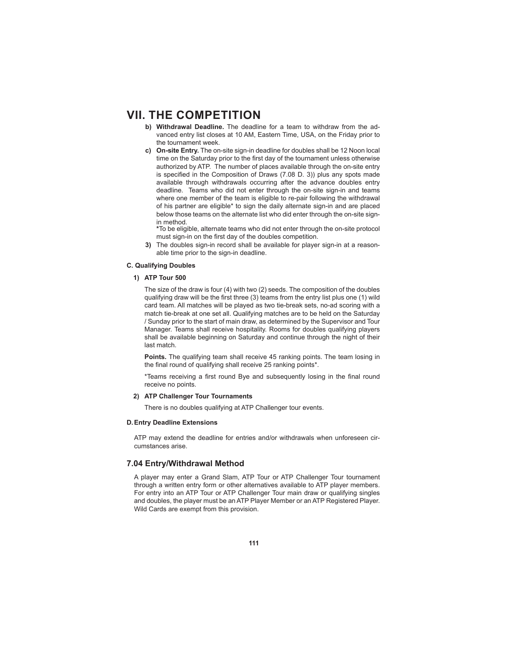- **b) Withdrawal Deadline.** The deadline for a team to withdraw from the advanced entry list closes at 10 AM, Eastern Time, USA, on the Friday prior to the tournament week.
- **c) On-site Entry.** The on-site sign-in deadline for doubles shall be 12 Noon local time on the Saturday prior to the first day of the tournament unless otherwise authorized by ATP. The number of places available through the on-site entry is specified in the Composition of Draws (7.08 D. 3)) plus any spots made available through withdrawals occurring after the advance doubles entry deadline. Teams who did not enter through the on-site sign-in and teams where one member of the team is eligible to re-pair following the withdrawal of his partner are eligible\* to sign the daily alternate sign-in and are placed below those teams on the alternate list who did enter through the on-site signin method.
	- **\***To be eligible, alternate teams who did not enter through the on-site protocol must sign-in on the first day of the doubles competition.
- **3)** The doubles sign-in record shall be available for player sign-in at a reasonable time prior to the sign-in deadline.

### **C. Qualifying Doubles**

### **1) ATP Tour 500**

 The size of the draw is four (4) with two (2) seeds. The composition of the doubles qualifying draw will be the first three (3) teams from the entry list plus one (1) wild card team. All matches will be played as two tie-break sets, no-ad scoring with a match tie-break at one set all. Qualifying matches are to be held on the Saturday / Sunday prior to the start of main draw, as determined by the Supervisor and Tour Manager. Teams shall receive hospitality. Rooms for doubles qualifying players shall be available beginning on Saturday and continue through the night of their last match.

**Points.** The qualifying team shall receive 45 ranking points. The team losing in the final round of qualifying shall receive 25 ranking points\*.

\*Teams receiving a first round Bye and subsequently losing in the final round receive no points.

### **2) ATP Challenger Tour Tournaments**

There is no doubles qualifying at ATP Challenger tour events.

### **D. Entry Deadline Extensions**

 ATP may extend the deadline for entries and/or withdrawals when unforeseen circumstances arise.

## **7.04 Entry/ Withdrawal Method**

 A player may enter a Grand Slam, ATP Tour or ATP Challenger Tour tournament through a written entry form or other alternatives available to ATP player members. For entry into an ATP Tour or ATP Challenger Tour main draw or qualifying singles and doubles, the player must be an ATP Player Member or an ATP Registered Player. Wild Cards are exempt from this provision.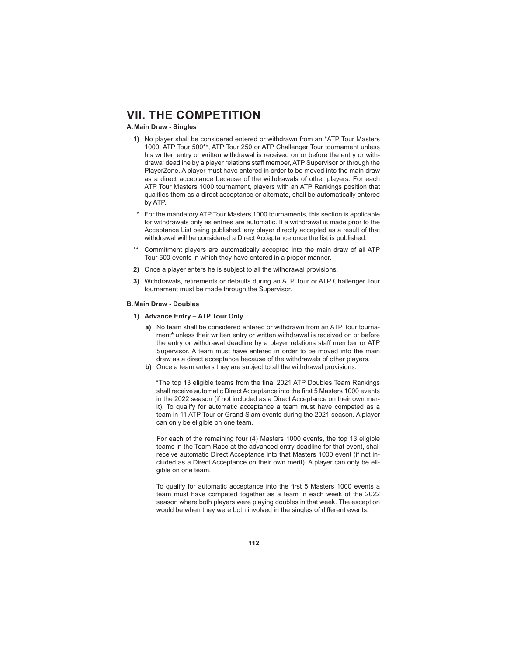## **A. Main Draw - Singles**

- **1)** No player shall be considered entered or withdrawn from an \*ATP Tour Masters 1000, ATP Tour 500\*\*, ATP Tour 250 or ATP Challenger Tour tournament unless his written entry or written withdrawal is received on or before the entry or withdrawal deadline by a player relations staff member, ATP Supervisor or through the PlayerZone. A player must have entered in order to be moved into the main draw as a direct acceptance because of the withdrawals of other players. For each ATP Tour Masters 1000 tournament, players with an ATP Rankings position that qualifies them as a direct acceptance or alternate, shall be automatically entered by ATP.
- **\*** For the mandatory ATP Tour Masters 1000 tournaments, this section is applicable for withdrawals only as entries are automatic. If a withdrawal is made prior to the Acceptance List being published, any player directly accepted as a result of that withdrawal will be considered a Direct Acceptance once the list is published.
- **\*\*** Commitment players are automatically accepted into the main draw of all ATP Tour 500 events in which they have entered in a proper manner.
- **2)** Once a player enters he is subject to all the withdrawal provisions.
- **3)** Withdrawals, retirements or defaults during an ATP Tour or ATP Challenger Tour tournament must be made through the Supervisor.

#### **B. Main Draw - Doubles**

- **1) Advance Entry ATP Tour Only**
	- **a)** No team shall be considered entered or withdrawn from an ATP Tour tournament**\*** unless their written entry or written withdrawal is received on or before the entry or withdrawal deadline by a player relations staff member or ATP Supervisor. A team must have entered in order to be moved into the main draw as a direct acceptance because of the withdrawals of other players.
	- **b)** Once a team enters they are subject to all the withdrawal provisions.

\*The top 13 eligible teams from the final 2021 ATP Doubles Team Rankings shall receive automatic Direct Acceptance into the first 5 Masters 1000 events in the 2022 season (if not included as a Direct Acceptance on their own merit). To qualify for automatic acceptance a team must have competed as a team in 11 ATP Tour or Grand Slam events during the 2021 season. A player can only be eligible on one team.

 For each of the remaining four (4) Masters 1000 events, the top 13 eligible teams in the Team Race at the advanced entry deadline for that event, shall receive automatic Direct Acceptance into that Masters 1000 event (if not included as a Direct Acceptance on their own merit). A player can only be eligible on one team.

To qualify for automatic acceptance into the first 5 Masters 1000 events a team must have competed together as a team in each week of the 2022 season where both players were playing doubles in that week. The exception would be when they were both involved in the singles of different events.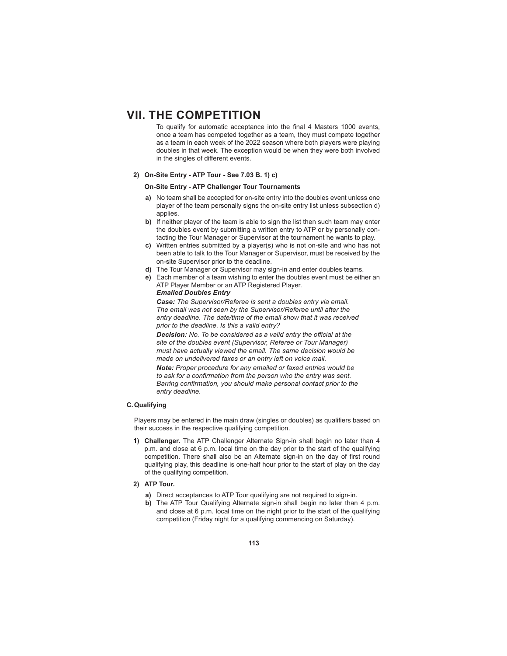To qualify for automatic acceptance into the final 4 Masters 1000 events, once a team has competed together as a team, they must compete together as a team in each week of the 2022 season where both players were playing doubles in that week. The exception would be when they were both involved in the singles of different events.

## **2) On-Site Entry - ATP Tour - See 7.03 B. 1) c)**

# **On-Site Entry - ATP Challenger Tour Tournaments**

- **a)** No team shall be accepted for on-site entry into the doubles event unless one player of the team personally signs the on-site entry list unless subsection d) applies.
- **b)** If neither player of the team is able to sign the list then such team may enter the doubles event by submitting a written entry to ATP or by personally contacting the Tour Manager or Supervisor at the tournament he wants to play.
- **c)** Written entries submitted by a player(s) who is not on-site and who has not been able to talk to the Tour Manager or Supervisor, must be received by the on-site Supervisor prior to the deadline.
- **d)** The Tour Manager or Supervisor may sign-in and enter doubles teams.
- **e)** Each member of a team wishing to enter the doubles event must be either an ATP Player Member or an ATP Registered Player. *Emailed Doubles Entry*

*Case: The Supervisor/Referee is sent a doubles entry via email. The email was not seen by the Supervisor/Referee until after the entry deadline. The date/time of the email show that it was received prior to the deadline. Is this a valid entry?*

*Decision:* No. To be considered as a valid entry the official at the *site of the doubles event (Supervisor, Referee or Tour Manager) must have actually viewed the email. The same decision would be made on undelivered faxes or an entry left on voice mail.*

*Note: Proper procedure for any emailed or faxed entries would be*  to ask for a confirmation from the person who the entry was sent. Barring confirmation, you should make personal contact prior to the *entry deadline.*

# **C. Qualifying**

Players may be entered in the main draw (singles or doubles) as qualifiers based on their success in the respective qualifying competition.

- **1) Challenger.** The ATP Challenger Alternate Sign-in shall begin no later than 4 p.m. and close at 6 p.m. local time on the day prior to the start of the qualifying competition. There shall also be an Alternate sign-in on the day of first round qualifying play, this deadline is one-half hour prior to the start of play on the day of the qualifying competition.
- **2) ATP Tour.**
	- **a)** Direct acceptances to ATP Tour qualifying are not required to sign-in.
	- **b)** The ATP Tour Qualifying Alternate sign-in shall begin no later than 4 p.m. and close at 6 p.m. local time on the night prior to the start of the qualifying competition (Friday night for a qualifying commencing on Saturday).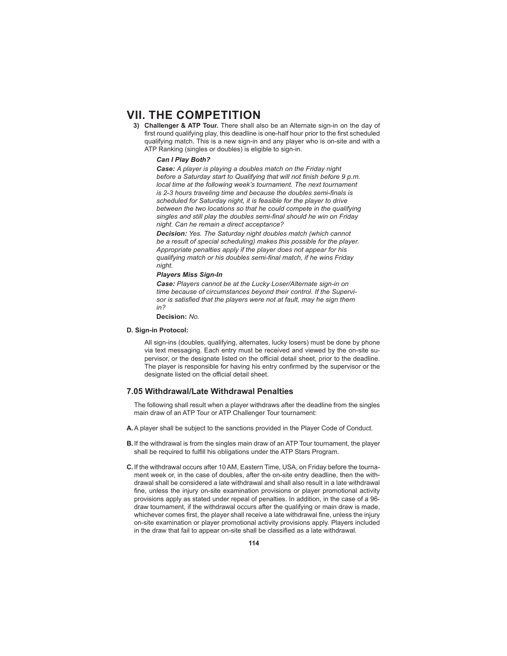**3) Challenger & ATP Tour.** There shall also be an Alternate sign-in on the day of first round qualifying play, this deadline is one-half hour prior to the first scheduled qualifying match. This is a new sign-in and any player who is on-site and with a ATP Ranking (singles or doubles) is eligible to sign-in.

## *Can I Play Both?*

*Case: A player is playing a doubles match on the Friday night*  before a Saturday start to Qualifying that will not finish before 9 p.m. *local time at the following week's tournament. The next tournament is 2-3 hours traveling time and because the doubles semi-finals is scheduled for Saturday night, it is feasible for the player to drive between the two locations so that he could compete in the qualifying*  singles and still play the doubles semi-final should he win on Friday *night. Can he remain a direct acceptance?*

*Decision: Yes. The Saturday night doubles match (which cannot be a result of special scheduling) makes this possible for the player. Appropriate penalties apply if the player does not appear for his qualifying match or his doubles semi-fi nal match, if he wins Friday night.* 

### *Players Miss Sign-In*

*Case: Players cannot be at the Lucky Loser/Alternate sign-in on time because of circumstances beyond their control. If the Supervi*sor is satisfied that the players were not at fault, may he sign them *in?*

**Decision:** *No.* 

#### **D. Sign-in Protocol:**

 All sign-ins (doubles, qualifying, alternates, lucky losers) must be done by phone via text messaging. Each entry must be received and viewed by the on-site supervisor, or the designate listed on the official detail sheet, prior to the deadline. The player is responsible for having his entry confirmed by the supervisor or the designate listed on the official detail sheet.

# **7.05 Withdrawal/Late Withdrawal Penalties**

 The following shall result when a player withdraws after the deadline from the singles main draw of an ATP Tour or ATP Challenger Tour tournament:

- **A.** A player shall be subject to the sanctions provided in the Player Code of Conduct.
- **B.** If the withdrawal is from the singles main draw of an ATP Tour tournament, the player shall be required to fulfill his obligations under the ATP Stars Program.
- **C.** If the withdrawal occurs after 10 AM, Eastern Time, USA, on Friday before the tournament week or, in the case of doubles, after the on-site entry deadline, then the withdrawal shall be considered a late withdrawal and shall also result in a late withdrawal fine, unless the injury on-site examination provisions or player promotional activity provisions apply as stated under repeal of penalties. In addition, in the case of a 96 draw tournament, if the withdrawal occurs after the qualifying or main draw is made, whichever comes first, the player shall receive a late withdrawal fine, unless the injury on-site examination or player promotional activity provisions apply. Players included in the draw that fail to appear on-site shall be classified as a late withdrawal.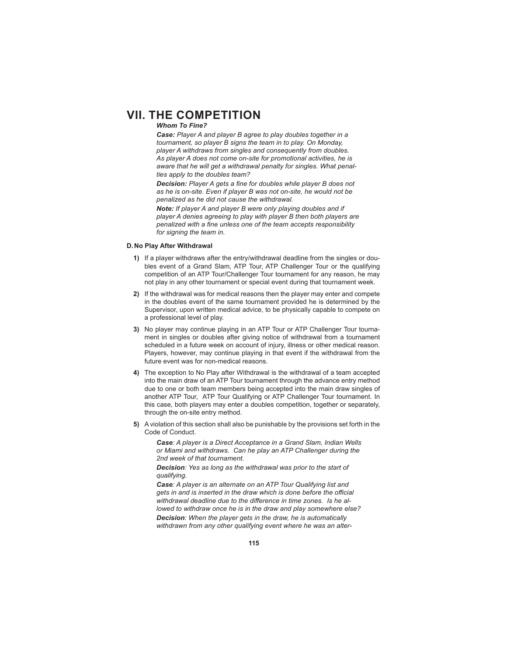#### *Whom To Fine?*

*Case: Player A and player B agree to play doubles together in a tournament, so player B signs the team in to play. On Monday, player A withdraws from singles and consequently from doubles. As player A does not come on-site for promotional activities, he is aware that he will get a withdrawal penalty for singles. What penalties apply to the doubles team?*

**Decision:** Player A gets a fine for doubles while player B does not *as he is on-site. Even if player B was not on-site, he would not be penalized as he did not cause the withdrawal.*

*Note: If player A and player B were only playing doubles and if player A denies agreeing to play with player B then both players are*  penalized with a fine unless one of the team accepts responsibility *for signing the team in.*

### **D. No Play After Withdrawal**

- **1)** If a player withdraws after the entry/withdrawal deadline from the singles or doubles event of a Grand Slam, ATP Tour, ATP Challenger Tour or the qualifying competition of an ATP Tour/Challenger Tour tournament for any reason, he may not play in any other tournament or special event during that tournament week.
- **2)** If the withdrawal was for medical reasons then the player may enter and compete in the doubles event of the same tournament provided he is determined by the Supervisor, upon written medical advice, to be physically capable to compete on a professional level of play.
- **3)** No player may continue playing in an ATP Tour or ATP Challenger Tour tournament in singles or doubles after giving notice of withdrawal from a tournament scheduled in a future week on account of injury, illness or other medical reason. Players, however, may continue playing in that event if the withdrawal from the future event was for non-medical reasons.
- **4)** The exception to No Play after Withdrawal is the withdrawal of a team accepted into the main draw of an ATP Tour tournament through the advance entry method due to one or both team members being accepted into the main draw singles of another ATP Tour, ATP Tour Qualifying or ATP Challenger Tour tournament. In this case, both players may enter a doubles competition, together or separately, through the on-site entry method.
- **5)** A violation of this section shall also be punishable by the provisions set forth in the Code of Conduct.

*Case: A player is a Direct Acceptance in a Grand Slam, Indian Wells or Miami and withdraws. Can he play an ATP Challenger during the 2nd week of that tournament.* 

*Decision: Yes as long as the withdrawal was prior to the start of qualifying.*

*Case: A player is an alternate on an ATP Tour Qualifying list and gets in and is inserted in the draw which is done before the official* withdrawal deadline due to the difference in time zones. Is he al*lowed to withdraw once he is in the draw and play somewhere else? Decision: When the player gets in the draw, he is automatically withdrawn from any other qualifying event where he was an alter-*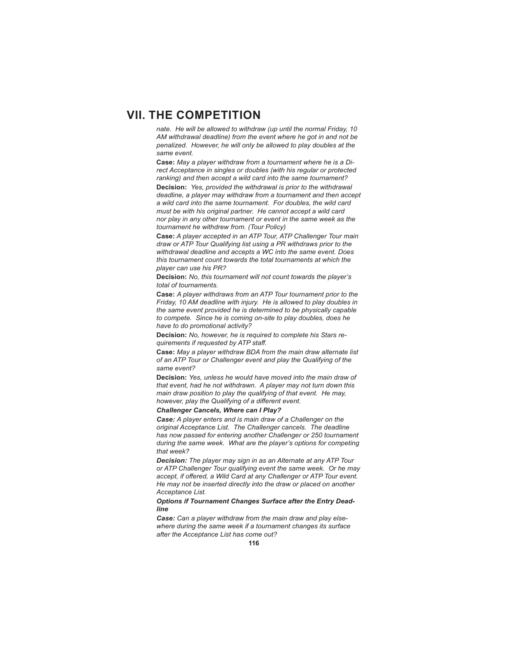*nate. He will be allowed to withdraw (up until the normal Friday, 10 AM withdrawal deadline) from the event where he got in and not be penalized. However, he will only be allowed to play doubles at the same event.*

**Case:** *May a player withdraw from a tournament where he is a Direct Acceptance in singles or doubles (with his regular or protected ranking) and then accept a wild card into the same tournament?*

**Decision:** *Yes, provided the withdrawal is prior to the withdrawal deadline, a player may withdraw from a tournament and then accept a wild card into the same tournament. For doubles, the wild card must be with his original partner. He cannot accept a wild card nor play in any other tournament or event in the same week as the tournament he withdrew from. (Tour Policy)*

**Case:** *A player accepted in an ATP Tour, ATP Challenger Tour main draw or ATP Tour Qualifying list using a PR withdraws prior to the withdrawal deadline and accepts a WC into the same event. Does this tournament count towards the total tournaments at which the player can use his PR?*

**Decision:** *No, this tournament will not count towards the player's total of tournaments.*

**Case:** *A player withdraws from an ATP Tour tournament prior to the Friday, 10 AM deadline with injury. He is allowed to play doubles in the same event provided he is determined to be physically capable to compete. Since he is coming on-site to play doubles, does he have to do promotional activity?*

**Decision:** *No, however, he is required to complete his Stars requirements if requested by ATP staff .*

**Case:** *May a player withdraw BDA from the main draw alternate list of an ATP Tour or Challenger event and play the Qualifying of the same event?*

**Decision:** *Yes, unless he would have moved into the main draw of that event, had he not withdrawn. A player may not turn down this main draw position to play the qualifying of that event. He may, however, play the Qualifying of a different event.* 

### *Challenger Cancels, Where can I Play?*

*Case: A player enters and is main draw of a Challenger on the original Acceptance List. The Challenger cancels. The deadline has now passed for entering another Challenger or 250 tournament during the same week. What are the player's options for competing that week?*

*Decision: The player may sign in as an Alternate at any ATP Tour or ATP Challenger Tour qualifying event the same week. Or he may accept, if off ered, a Wild Card at any Challenger or ATP Tour event. He may not be inserted directly into the draw or placed on another Acceptance List.*

### *Options if Tournament Changes Surface after the Entry Deadline*

*Case: Can a player withdraw from the main draw and play elsewhere during the same week if a tournament changes its surface after the Acceptance List has come out?*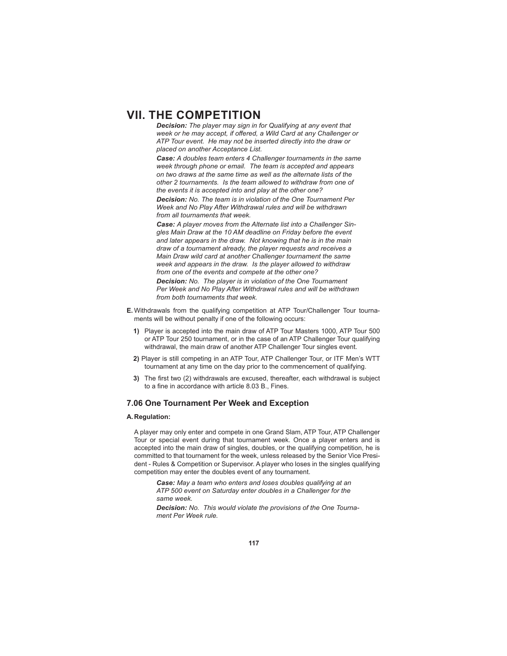*Decision: The player may sign in for Qualifying at any event that*  week or he may accept, if offered, a Wild Card at any Challenger or *ATP Tour event. He may not be inserted directly into the draw or placed on another Acceptance List.*

*Case: A doubles team enters 4 Challenger tournaments in the same week through phone or email. The team is accepted and appears on two draws at the same time as well as the alternate lists of the other 2 tournaments. Is the team allowed to withdraw from one of the events it is accepted into and play at the other one?*

*Decision: No. The team is in violation of the One Tournament Per Week and No Play After Withdrawal rules and will be withdrawn from all tournaments that week.*

*Case: A player moves from the Alternate list into a Challenger Singles Main Draw at the 10 AM deadline on Friday before the event and later appears in the draw. Not knowing that he is in the main draw of a tournament already, the player requests and receives a Main Draw wild card at another Challenger tournament the same week and appears in the draw. Is the player allowed to withdraw from one of the events and compete at the other one?*

*Decision: No. The player is in violation of the One Tournament Per Week and No Play After Withdrawal rules and will be withdrawn from both tournaments that week.*

- **E.** Withdrawals from the qualifying competition at ATP Tour/Challenger Tour tournaments will be without penalty if one of the following occurs:
	- **1)** Player is accepted into the main draw of ATP Tour Masters 1000, ATP Tour 500 or ATP Tour 250 tournament, or in the case of an ATP Challenger Tour qualifying withdrawal, the main draw of another ATP Challenger Tour singles event.
	- **2)** Player is still competing in an ATP Tour, ATP Challenger Tour, or ITF Men's WTT tournament at any time on the day prior to the commencement of qualifying.
	- **3)** The first two (2) withdrawals are excused, thereafter, each withdrawal is subject to a fine in accordance with article 8.03 B., Fines.

## **7.06 One Tournament Per Week and Exception**

### **A. Regulation:**

 A player may only enter and compete in one Grand Slam, ATP Tour, ATP Challenger Tour or special event during that tournament week. Once a player enters and is accepted into the main draw of singles, doubles, or the qualifying competition, he is committed to that tournament for the week, unless released by the Senior Vice President - Rules & Competition or Supervisor. A player who loses in the singles qualifying competition may enter the doubles event of any tournament.

*Case: May a team who enters and loses doubles qualifying at an ATP 500 event on Saturday enter doubles in a Challenger for the same week.*

*Decision: No. This would violate the provisions of the One Tournament Per Week rule.*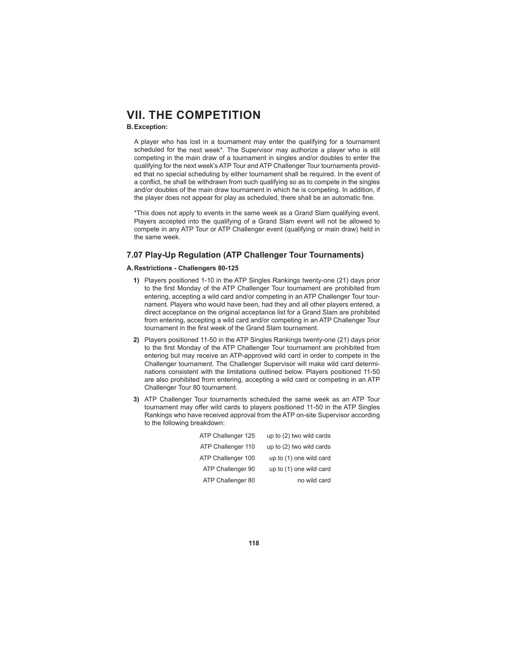### **B. Exception:**

 A player who has lost in a tournament may enter the qualifying for a tournament scheduled for the next week\*. The Supervisor may authorize a player who is still competing in the main draw of a tournament in singles and/or doubles to enter the qualifying for the next week's ATP Tour and ATP Challenger Tour tournaments provided that no special scheduling by either tournament shall be required. In the event of a conflict, he shall be withdrawn from such qualifying so as to compete in the singles and/or doubles of the main draw tournament in which he is competing. In addition, if the player does not appear for play as scheduled, there shall be an automatic fine.

 \*This does not apply to events in the same week as a Grand Slam qualifying event. Players accepted into the qualifying of a Grand Slam event will not be allowed to compete in any ATP Tour or ATP Challenger event (qualifying or main draw) held in the same week.

# **7.07 Play-Up Regulation (ATP Challenger Tour Tournaments)**

### **A. Restrictions - Challengers 80-125**

- **1)** Players positioned 1-10 in the ATP Singles Rankings twenty-one (21) days prior to the first Monday of the ATP Challenger Tour tournament are prohibited from entering, accepting a wild card and/or competing in an ATP Challenger Tour tournament. Players who would have been, had they and all other players entered, a direct acceptance on the original acceptance list for a Grand Slam are prohibited from entering, accepting a wild card and/or competing in an ATP Challenger Tour tournament in the first week of the Grand Slam tournament.
- **2)** Players positioned 11-50 in the ATP Singles Rankings twenty-one (21) days prior to the first Monday of the ATP Challenger Tour tournament are prohibited from entering but may receive an ATP-approved wild card in order to compete in the Challenger tournament. The Challenger Supervisor will make wild card determinations consistent with the limitations outlined below. Players positioned 11-50 are also prohibited from entering, accepting a wild card or competing in an ATP Challenger Tour 80 tournament.
- **3)** ATP Challenger Tour tournaments scheduled the same week as an ATP Tour tournament may offer wild cards to players positioned 11-50 in the ATP Singles Rankings who have received approval from the ATP on-site Supervisor according to the following breakdown:

| ATP Challenger 125<br>up to (2) two wild cards |  |
|------------------------------------------------|--|
| ATP Challenger 110<br>up to (2) two wild cards |  |
| ATP Challenger 100<br>up to (1) one wild card  |  |
| ATP Challenger 90<br>up to (1) one wild card   |  |
| ATP Challenger 80<br>no wild card              |  |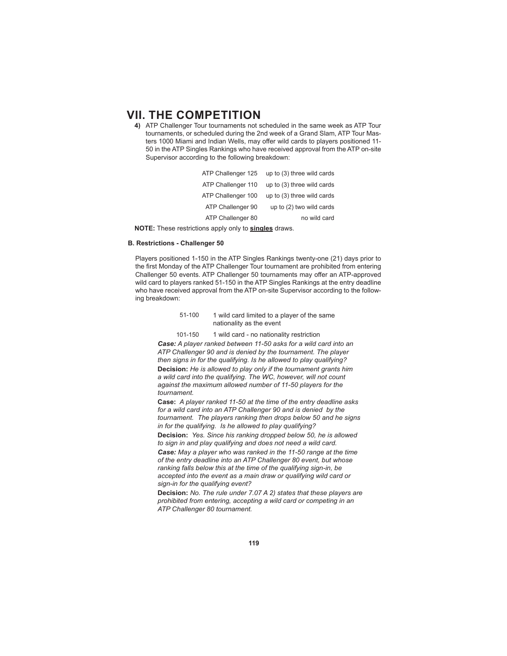**4)** ATP Challenger Tour tournaments not scheduled in the same week as ATP Tour tournaments, or scheduled during the 2nd week of a Grand Slam, ATP Tour Masters 1000 Miami and Indian Wells, may offer wild cards to players positioned 11-50 in the ATP Singles Rankings who have received approval from the ATP on-site Supervisor according to the following breakdown:

| up to (3) three wild cards |
|----------------------------|
| up to (3) three wild cards |
| up to (3) three wild cards |
| up to (2) two wild cards   |
| no wild card               |
|                            |

**NOTE:** These restrictions apply only to **singles** draws.

## **B. Restrictions - Challenger 50**

 Players positioned 1-150 in the ATP Singles Rankings twenty-one (21) days prior to the first Monday of the ATP Challenger Tour tournament are prohibited from entering Challenger 50 events. ATP Challenger 50 tournaments may offer an ATP-approved wild card to players ranked 51-150 in the ATP Singles Rankings at the entry deadline who have received approval from the ATP on-site Supervisor according to the following breakdown:

### 51-100 1 wild card limited to a player of the same nationality as the event

101-150 1 wild card - no nationality restriction *Case: A player ranked between 11-50 asks for a wild card into an ATP Challenger 90 and is denied by the tournament. The player then signs in for the qualifying. Is he allowed to play qualifying?* **Decision:** *He is allowed to play only if the tournament grants him a wild card into the qualifying. The WC, however, will not count against the maximum allowed number of 11-50 players for the tournament.*

**Case:** *A player ranked 11-50 at the time of the entry deadline asks for a wild card into an ATP Challenger 90 and is denied by the tournament. The players ranking then drops below 50 and he signs in for the qualifying. Is he allowed to play qualifying?*

**Decision:** *Yes. Since his ranking dropped below 50, he is allowed to sign in and play qualifying and does not need a wild card.*

*Case: May a player who was ranked in the 11-50 range at the time of the entry deadline into an ATP Challenger 80 event, but whose ranking falls below this at the time of the qualifying sign-in, be accepted into the event as a main draw or qualifying wild card or sign-in for the qualifying event?* 

**Decision:** *No. The rule under 7.07 A 2) states that these players are prohibited from entering, accepting a wild card or competing in an ATP Challenger 80 tournament.*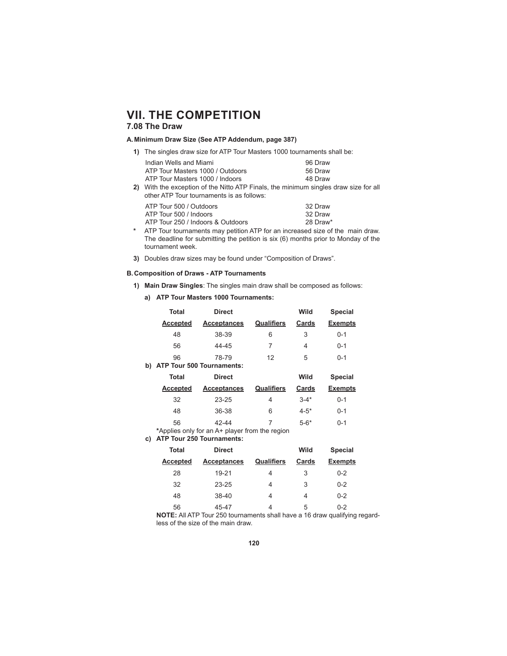# **7.08 The Draw**

# **A. Minimum Draw Size (See ATP Addendum, page 387)**

**1)** The singles draw size for ATP Tour Masters 1000 tournaments shall be:

| Indian Wells and Miami                                                          | 96 Draw |
|---------------------------------------------------------------------------------|---------|
| ATP Tour Masters 1000 / Outdoors                                                | 56 Draw |
| ATP Tour Masters 1000 / Indoors                                                 | 48 Draw |
| AACAL ALA arraquettam af ALA AUALA ATD Finale, ALA patrimorphic attended during |         |

**2)** With the exception of the Nitto ATP Finals, the minimum singles draw size for all other ATP Tour tournaments is as follows:

| ATP Tour 500 / Outdoors           | 32 Draw  |
|-----------------------------------|----------|
| ATP Tour 500 / Indoors            | 32 Draw  |
| ATP Tour 250 / Indoors & Outdoors | 28 Draw* |
|                                   |          |

- **\*** ATP Tour tournaments may petition ATP for an increased size of the main draw. The deadline for submitting the petition is six (6) months prior to Monday of the tournament week.
- **3)** Doubles draw sizes may be found under "Composition of Draws".

### **B. Composition of Draws - ATP Tournaments**

- **1) Main Draw Singles**: The singles main draw shall be composed as follows:
	- **a) ATP Tour Masters 1000 Tournaments:**

|    | <b>Total</b>    | <b>Direct</b>                    |                   | Wild     | <b>Special</b> |
|----|-----------------|----------------------------------|-------------------|----------|----------------|
|    | <b>Accepted</b> | <b>Acceptances</b>               | <b>Qualifiers</b> | Cards    | <b>Exempts</b> |
|    | 48              | 38-39                            | 6                 | 3        | $0 - 1$        |
|    | 56              | 44-45                            | 7                 | 4        | $0 - 1$        |
|    | 96              | 78-79                            | 12                | 5        | $0 - 1$        |
| b) |                 | <b>ATP Tour 500 Tournaments:</b> |                   |          |                |
|    | <b>Total</b>    | <b>Direct</b>                    |                   | Wild     | <b>Special</b> |
|    | <b>Accepted</b> | <b>Acceptances</b>               | Qualifiers        | Cards    | <b>Exempts</b> |
|    | 32              | $23 - 25$                        | 4                 | $3 - 4*$ | $0 - 1$        |
|    | 48              | 36-38                            | 6                 | $4 - 5*$ | $0 - 1$        |
|    |                 |                                  |                   |          |                |
|    | 56              | 42-44                            | 7                 | $5 - 6*$ | $0 - 1$        |

**c) ATP Tour 250 Tournaments:**

| Total           | <b>Direct</b>      |            | Wild  | <b>Special</b> |
|-----------------|--------------------|------------|-------|----------------|
| <b>Accepted</b> | <b>Acceptances</b> | Qualifiers | Cards | <b>Exempts</b> |
| 28              | 19-21              | 4          | 3     | $0 - 2$        |
| 32              | 23-25              | 4          | 3     | $0 - 2$        |
| 48              | 38-40              | 4          | 4     | $0 - 2$        |
| 56              | 45-47              |            | 5     | $0 - 2$        |

**NOTE:** All ATP Tour 250 tournaments shall have a 16 draw qualifying regardless of the size of the main draw.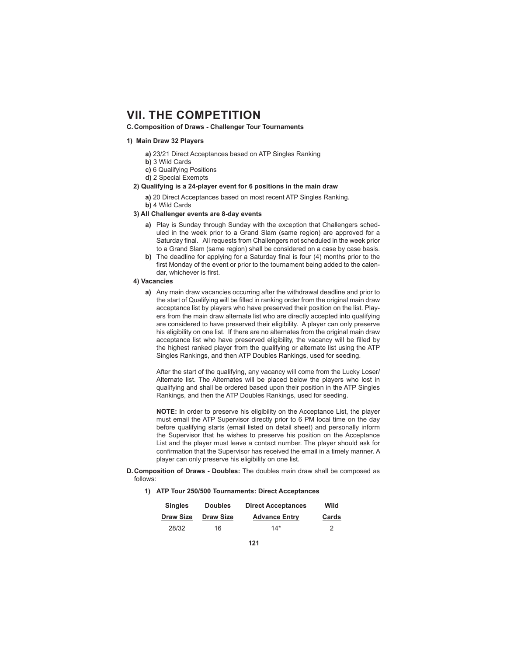### **C. Composition of Draws - Challenger Tour Tournaments**

#### **1) Main Draw 32 Players**

- **a)** 23/21 Direct Acceptances based on ATP Singles Ranking
- **b)** 3 Wild Cards
- **c)** 6 Qualifying Positions
- **d)** 2 Special Exempts

# **2) Qualifying is a 24-player event for 6 positions in the main draw**

- **a)** 20 Direct Acceptances based on most recent ATP Singles Ranking. **b)** 4 Wild Cards
- **3) All Challenger events are 8-day events** 
	- **a)** Play is Sunday through Sunday with the exception that Challengers scheduled in the week prior to a Grand Slam (same region) are approved for a Saturday final. All requests from Challengers not scheduled in the week prior to a Grand Slam (same region) shall be considered on a case by case basis.
	- **b)** The deadline for applying for a Saturday final is four (4) months prior to the first Monday of the event or prior to the tournament being added to the calendar, whichever is first.

#### **4) Vacancies**

**a)** Any main draw vacancies occurring after the withdrawal deadline and prior to the start of Qualifying will be filled in ranking order from the original main draw acceptance list by players who have preserved their position on the list. Players from the main draw alternate list who are directly accepted into qualifying are considered to have preserved their eligibility. A player can only preserve his eligibility on one list. If there are no alternates from the original main draw acceptance list who have preserved eligibility, the vacancy will be filled by the highest ranked player from the qualifying or alternate list using the ATP Singles Rankings, and then ATP Doubles Rankings, used for seeding.

 After the start of the qualifying, any vacancy will come from the Lucky Loser/ Alternate list. The Alternates will be placed below the players who lost in qualifying and shall be ordered based upon their position in the ATP Singles Rankings, and then the ATP Doubles Rankings, used for seeding.

 **NOTE: I**n order to preserve his eligibility on the Acceptance List, the player must email the ATP Supervisor directly prior to 6 PM local time on the day before qualifying starts (email listed on detail sheet) and personally inform the Supervisor that he wishes to preserve his position on the Acceptance List and the player must leave a contact number. The player should ask for confirmation that the Supervisor has received the email in a timely manner. A player can only preserve his eligibility on one list.

#### **D. Composition of Draws - Doubles:** The doubles main draw shall be composed as follows:

**1) ATP Tour 250/500 Tournaments: Direct Acceptances**

| <b>Singles</b>   | <b>Doubles</b>   | <b>Direct Acceptances</b> | Wild  |
|------------------|------------------|---------------------------|-------|
| <b>Draw Size</b> | <b>Draw Size</b> | <b>Advance Entry</b>      | Cards |
| 28/32            | 16               | $14*$                     |       |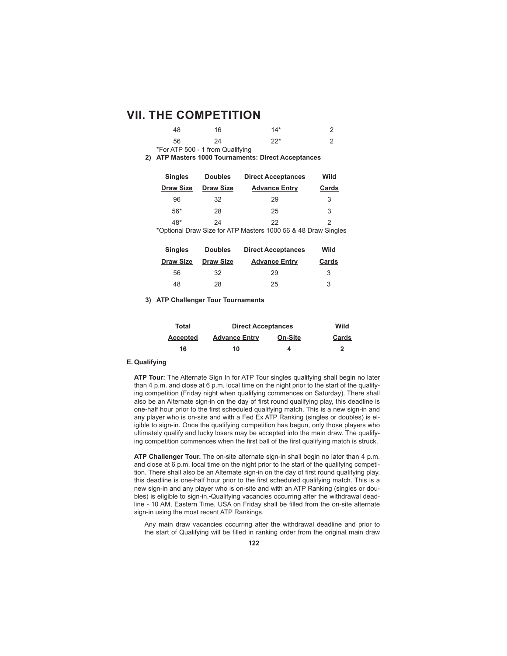| 48  | 16                               | $14*$ |  |
|-----|----------------------------------|-------|--|
| 56. | 24                               | $22*$ |  |
|     | *For ATP 500 - 1 from Qualifying |       |  |

**2) ATP Masters 1000 Tournaments: Direct Acceptances**

| <b>Singles</b>   | <b>Doubles</b>   | <b>Direct Acceptances</b>                                     | Wild  |
|------------------|------------------|---------------------------------------------------------------|-------|
| <b>Draw Size</b> | <b>Draw Size</b> | <b>Advance Entry</b>                                          | Cards |
| 96               | 32               | 29                                                            | 3     |
| $56*$            | 28               | 25                                                            | 3     |
| 48*              | 24               | 22                                                            | 2     |
|                  |                  | *Optional Draw Size for ATP Masters 1000 56 & 48 Draw Singles |       |

| <b>Singles</b>   | <b>Doubles</b>   | <b>Direct Acceptances</b> | Wild  |
|------------------|------------------|---------------------------|-------|
| <b>Draw Size</b> | <b>Draw Size</b> | <b>Advance Entry</b>      | Cards |
| 56               | 32               | 29                        | 3     |
| 48               | 28               | 25                        | 3     |

**3) ATP Challenger Tour Tournaments**

| Total           | <b>Direct Acceptances</b> | Wild    |       |
|-----------------|---------------------------|---------|-------|
| <b>Accepted</b> | <b>Advance Entry</b>      | On-Site | Cards |
| 16              | 10                        | 4       |       |

#### **E. Qualifying**

 **ATP Tour:** The Alternate Sign In for ATP Tour singles qualifying shall begin no later than 4 p.m. and close at 6 p.m. local time on the night prior to the start of the qualifying competition (Friday night when qualifying commences on Saturday). There shall also be an Alternate sign-in on the day of first round qualifying play, this deadline is one-half hour prior to the first scheduled qualifying match. This is a new sign-in and any player who is on-site and with a Fed Ex ATP Ranking (singles or doubles) is eligible to sign-in. Once the qualifying competition has begun, only those players who ultimately qualify and lucky losers may be accepted into the main draw. The qualifying competition commences when the first ball of the first qualifying match is struck.

 **ATP Challenger Tour.** The on-site alternate sign-in shall begin no later than 4 p.m. and close at 6 p.m. local time on the night prior to the start of the qualifying competition. There shall also be an Alternate sign-in on the day of first round qualifying play, this deadline is one-half hour prior to the first scheduled qualifying match. This is a new sign-in and any player who is on-site and with an ATP Ranking (singles or doubles) is eligible to sign-in. Qualifying vacancies occurring after the withdrawal deadline - 10 AM, Eastern Time, USA on Friday shall be filled from the on-site alternate sign-in using the most recent ATP Rankings.

 Any main draw vacancies occurring after the withdrawal deadline and prior to the start of Qualifying will be filled in ranking order from the original main draw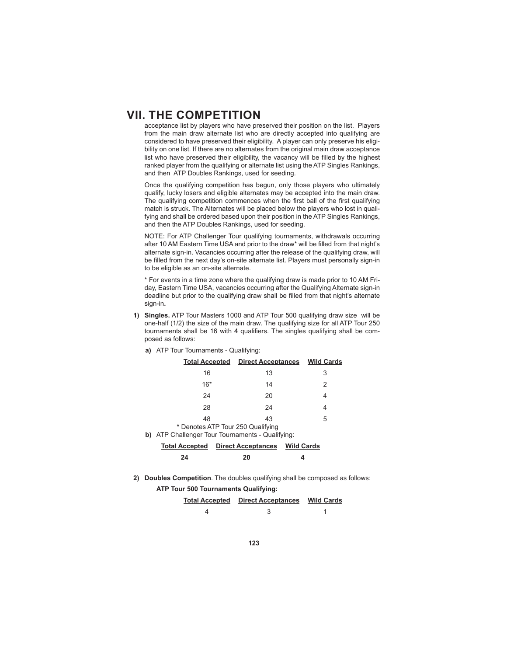acceptance list by players who have preserved their position on the list. Players from the main draw alternate list who are directly accepted into qualifying are considered to have preserved their eligibility. A player can only preserve his eligibility on one list. If there are no alternates from the original main draw acceptance list who have preserved their eligibility, the vacancy will be filled by the highest ranked player from the qualifying or alternate list using the ATP Singles Rankings, and then ATP Doubles Rankings, used for seeding.

 Once the qualifying competition has begun, only those players who ultimately qualify, lucky losers and eligible alternates may be accepted into the main draw. The qualifying competition commences when the first ball of the first qualifying match is struck. The Alternates will be placed below the players who lost in qualifying and shall be ordered based upon their position in the ATP Singles Rankings, and then the ATP Doubles Rankings, used for seeding.

 NOTE: For ATP Challenger Tour qualifying tournaments, withdrawals occurring after 10 AM Eastern Time USA and prior to the draw\* will be filled from that night's alternate sign-in. Vacancies occurring after the release of the qualifying draw, will be filled from the next day's on-site alternate list. Players must personally sign-in to be eligible as an on-site alternate.

 \* For events in a time zone where the qualifying draw is made prior to 10 AM Friday, Eastern Time USA, vacancies occurring after the Qualifying Alternate sign-in deadline but prior to the qualifying draw shall be filled from that night's alternate sign-in**.**

**1) Singles.** ATP Tour Masters 1000 and ATP Tour 500 qualifying draw size will be one-half (1/2) the size of the main draw. The qualifying size for all ATP Tour 250 tournaments shall be 16 with 4 qualifiers. The singles qualifying shall be composed as follows:

|                                                                                       | <b>Total Accepted Direct Acceptances Wild Cards</b> |  |   |  |  |
|---------------------------------------------------------------------------------------|-----------------------------------------------------|--|---|--|--|
| 16                                                                                    | 13                                                  |  | 3 |  |  |
| $16*$                                                                                 | 14                                                  |  | 2 |  |  |
| 24                                                                                    | 20                                                  |  | 4 |  |  |
| 28                                                                                    | 24                                                  |  | 4 |  |  |
| 48                                                                                    | 43                                                  |  | 5 |  |  |
| * Denotes ATP Tour 250 Qualifying<br>b) ATP Challenger Tour Tournaments - Qualifying: |                                                     |  |   |  |  |
| <b>Total Accepted Direct Acceptances Wild Cards</b>                                   |                                                     |  |   |  |  |
| 24                                                                                    | 20                                                  |  |   |  |  |

**a)** ATP Tour Tournaments - Qualifying:

**2) Doubles Competition**. The doubles qualifying shall be composed as follows:

**ATP Tour 500 Tournaments Qualifying:**

| <b>Total Accepted Direct Acceptances Wild Cards</b> |  |
|-----------------------------------------------------|--|
|                                                     |  |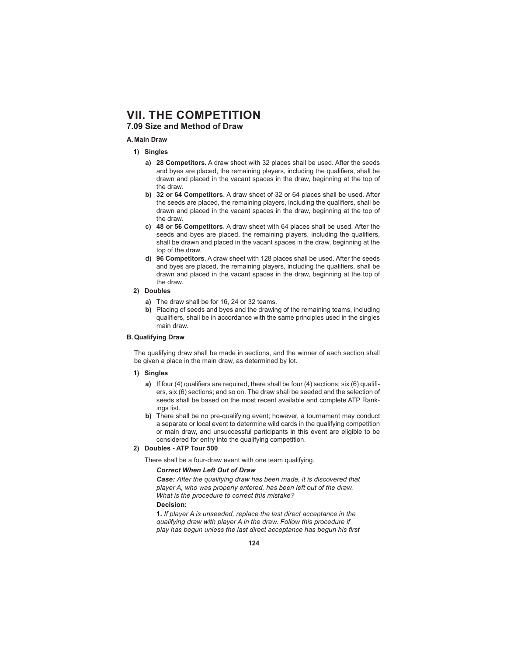# **7.09 Size and Method of Draw**

#### **A. Main Draw**

- **1) Singles** 
	- **a) 28 Competitors.** A draw sheet with 32 places shall be used. After the seeds and byes are placed, the remaining players, including the qualifiers, shall be drawn and placed in the vacant spaces in the draw, beginning at the top of the draw.
	- **b) 32 or 64 Competitors**. A draw sheet of 32 or 64 places shall be used. After the seeds are placed, the remaining players, including the qualifiers, shall be drawn and placed in the vacant spaces in the draw, beginning at the top of the draw.
	- **c) 48 or 56 Competitors**. A draw sheet with 64 places shall be used. After the seeds and byes are placed, the remaining players, including the qualifiers, shall be drawn and placed in the vacant spaces in the draw, beginning at the top of the draw.
	- **d) 96 Competitors**. A draw sheet with 128 places shall be used. After the seeds and byes are placed, the remaining players, including the qualifiers, shall be drawn and placed in the vacant spaces in the draw, beginning at the top of the draw.
- **2) Doubles**
	- **a)** The draw shall be for 16, 24 or 32 teams.
	- **b)** Placing of seeds and byes and the drawing of the remaining teams, including qualifiers, shall be in accordance with the same principles used in the singles main draw.

### **B. Qualifying Draw**

 The qualifying draw shall be made in sections, and the winner of each section shall be given a place in the main draw, as determined by lot.

#### **1) Singles**

- **a)** If four (4) qualifiers are required, there shall be four (4) sections; six (6) qualifiers, six (6) sections; and so on. The draw shall be seeded and the selection of seeds shall be based on the most recent available and complete ATP Rankings list.
- **b)** There shall be no pre-qualifying event; however, a tournament may conduct a separate or local event to determine wild cards in the qualifying competition or main draw, and unsuccessful participants in this event are eligible to be considered for entry into the qualifying competition.

### **2) Doubles - ATP Tour 500**

There shall be a four-draw event with one team qualifying.

#### *Correct When Left Out of Draw*

*Case: After the qualifying draw has been made, it is discovered that player A, who was properly entered, has been left out of the draw. What is the procedure to correct this mistake?* **Decision:**

**1.** *If player A is unseeded, replace the last direct acceptance in the qualifying draw with player A in the draw. Follow this procedure if*  play has begun unless the last direct acceptance has begun his first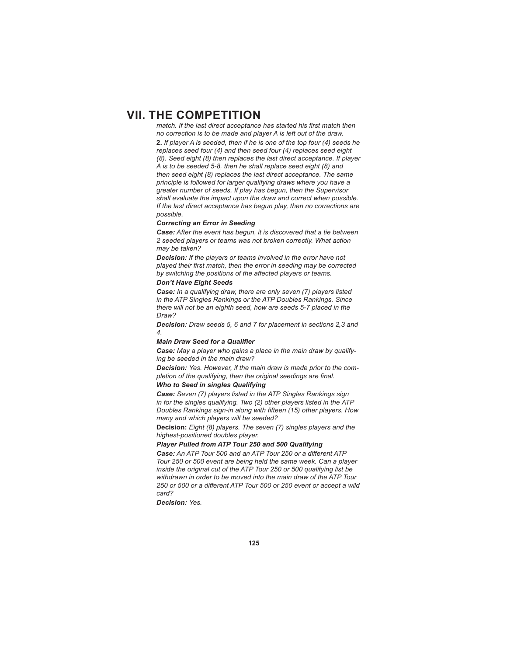*match. If the last direct acceptance has started his first match then no correction is to be made and player A is left out of the draw.* **2.** *If player A is seeded, then if he is one of the top four (4) seeds he replaces seed four (4) and then seed four (4) replaces seed eight (8). Seed eight (8) then replaces the last direct acceptance. If player A is to be seeded 5-8, then he shall replace seed eight (8) and then seed eight (8) replaces the last direct acceptance. The same principle is followed for larger qualifying draws where you have a greater number of seeds. If play has begun, then the Supervisor shall evaluate the impact upon the draw and correct when possible. If the last direct acceptance has begun play, then no corrections are possible.*

#### *Correcting an Error in Seeding*

*Case: After the event has begun, it is discovered that a tie between 2 seeded players or teams was not broken correctly. What action may be taken?*

*Decision: If the players or teams involved in the error have not*  played their first match, then the error in seeding may be corrected by switching the positions of the affected players or teams.

## *Don't Have Eight Seeds*

*Case: In a qualifying draw, there are only seven (7) players listed in the ATP Singles Rankings or the ATP Doubles Rankings. Since there will not be an eighth seed, how are seeds 5-7 placed in the Draw?*

*Decision: Draw seeds 5, 6 and 7 for placement in sections 2,3 and 4.*

#### **Main Draw Seed for a Qualifier**

*Case: May a player who gains a place in the main draw by qualifying be seeded in the main draw?*

*Decision: Yes. However, if the main draw is made prior to the completion of the qualifying, then the original seedings are final.* 

#### *Who to Seed in singles Qualifying*

*Case: Seven (7) players listed in the ATP Singles Rankings sign in for the singles qualifying. Two (2) other players listed in the ATP Doubles Rankings sign-in along with fifteen (15) other players. How many and which players will be seeded?*

**Decision:** *Eight (8) players. The seven (7) singles players and the highest-positioned doubles player.* 

#### *Player Pulled from ATP Tour 250 and 500 Qualifying*

**Case:** An ATP Tour 500 and an ATP Tour 250 or a different ATP *Tour 250 or 500 event are being held the same week. Can a player inside the original cut of the ATP Tour 250 or 500 qualifying list be withdrawn in order to be moved into the main draw of the ATP Tour 250 or 500 or a diff erent ATP Tour 500 or 250 event or accept a wild card?*

*Decision: Yes.*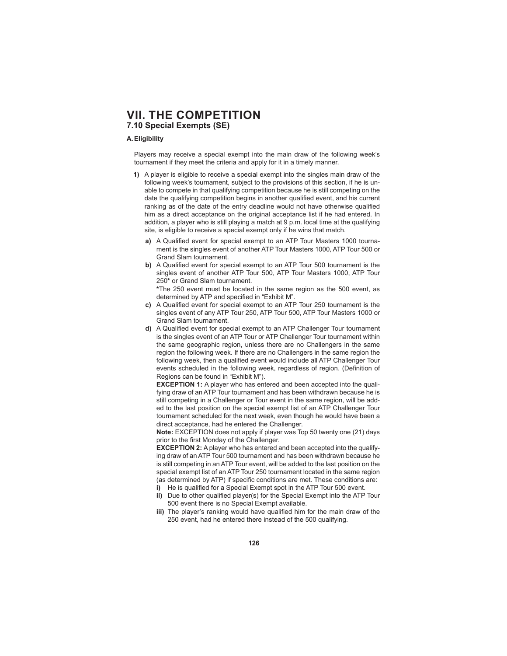# **VII. THE COMPETITION 7.10 Special Exempts (SE)**

### **A. Eligibility**

 Players may receive a special exempt into the main draw of the following week's tournament if they meet the criteria and apply for it in a timely manner.

- **1)** A player is eligible to receive a special exempt into the singles main draw of the following week's tournament, subject to the provisions of this section, if he is unable to compete in that qualifying competition because he is still competing on the date the qualifying competition begins in another qualified event, and his current ranking as of the date of the entry deadline would not have otherwise qualified him as a direct acceptance on the original acceptance list if he had entered. In addition, a player who is still playing a match at 9 p.m. local time at the qualifying site, is eligible to receive a special exempt only if he wins that match.
	- a) A Qualified event for special exempt to an ATP Tour Masters 1000 tournament is the singles event of another ATP Tour Masters 1000, ATP Tour 500 or Grand Slam tournament.
	- **b)** A Qualified event for special exempt to an ATP Tour 500 tournament is the singles event of another ATP Tour 500, ATP Tour Masters 1000, ATP Tour 250**\*** or Grand Slam tournament.

**\***The 250 event must be located in the same region as the 500 event, as determined by ATP and specified in "Exhibit M".

- **c)** A Qualified event for special exempt to an ATP Tour 250 tournament is the singles event of any ATP Tour 250, ATP Tour 500, ATP Tour Masters 1000 or Grand Slam tournament.
- **d)** A Qualified event for special exempt to an ATP Challenger Tour tournament is the singles event of an ATP Tour or ATP Challenger Tour tournament within the same geographic region, unless there are no Challengers in the same region the following week. If there are no Challengers in the same region the following week, then a qualified event would include all ATP Challenger Tour events scheduled in the following week, regardless of region. (Definition of Regions can be found in "Exhibit M").

**EXCEPTION 1:** A player who has entered and been accepted into the qualifying draw of an ATP Tour tournament and has been withdrawn because he is still competing in a Challenger or Tour event in the same region, will be added to the last position on the special exempt list of an ATP Challenger Tour tournament scheduled for the next week, even though he would have been a direct acceptance, had he entered the Challenger.

**Note:** EXCEPTION does not apply if player was Top 50 twenty one (21) days prior to the first Monday of the Challenger.

**EXCEPTION 2:** A player who has entered and been accepted into the qualifying draw of an ATP Tour 500 tournament and has been withdrawn because he is still competing in an ATP Tour event, will be added to the last position on the special exempt list of an ATP Tour 250 tournament located in the same region (as determined by ATP) if specific conditions are met. These conditions are:

- **i)** He is qualified for a Special Exempt spot in the ATP Tour 500 event.
- **ii)** Due to other qualified player(s) for the Special Exempt into the ATP Tour 500 event there is no Special Exempt available.
- **iii)** The player's ranking would have qualified him for the main draw of the 250 event, had he entered there instead of the 500 qualifying.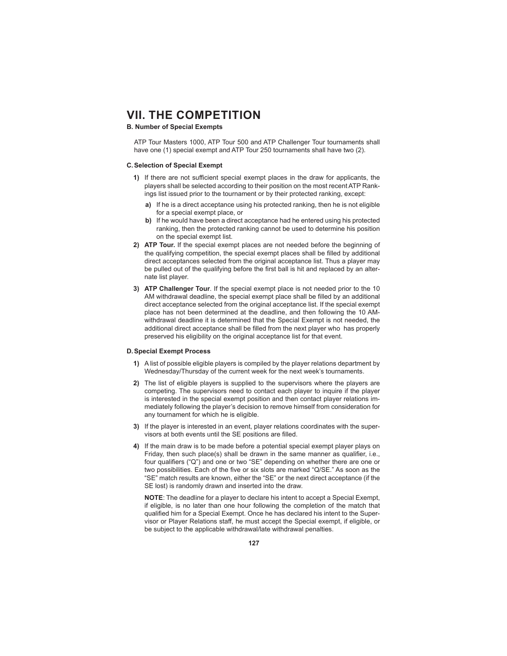# **B. Number of Special Exempts**

 ATP Tour Masters 1000, ATP Tour 500 and ATP Challenger Tour tournaments shall have one (1) special exempt and ATP Tour 250 tournaments shall have two (2).

#### **C. Selection of Special Exempt**

- **1)** If there are not sufficient special exempt places in the draw for applicants, the players shall be selected according to their position on the most recent ATP Rankings list issued prior to the tournament or by their protected ranking, except:
	- **a)** If he is a direct acceptance using his protected ranking, then he is not eligible for a special exempt place, or
	- **b)** If he would have been a direct acceptance had he entered using his protected ranking, then the protected ranking cannot be used to determine his position on the special exempt list.
- **2) ATP Tour.** If the special exempt places are not needed before the beginning of the qualifying competition, the special exempt places shall be filled by additional direct acceptances selected from the original acceptance list. Thus a player may be pulled out of the qualifying before the first ball is hit and replaced by an alternate list player.
- **3) ATP Challenger Tour**. If the special exempt place is not needed prior to the 10 AM withdrawal deadline, the special exempt place shall be filled by an additional direct acceptance selected from the original acceptance list. If the special exempt place has not been determined at the deadline, and then following the 10 AMwithdrawal deadline it is determined that the Special Exempt is not needed, the additional direct acceptance shall be filled from the next player who has properly preserved his eligibility on the original acceptance list for that event.

#### **D. Special Exempt Process**

- **1)** A list of possible eligible players is compiled by the player relations department by Wednesday/Thursday of the current week for the next week's tournaments.
- **2)** The list of eligible players is supplied to the supervisors where the players are competing. The supervisors need to contact each player to inquire if the player is interested in the special exempt position and then contact player relations immediately following the player's decision to remove himself from consideration for any tournament for which he is eligible.
- **3)** If the player is interested in an event, player relations coordinates with the supervisors at both events until the SE positions are filled.
- **4)** If the main draw is to be made before a potential special exempt player plays on Friday, then such place(s) shall be drawn in the same manner as qualifier, i.e., four qualifiers ("Q") and one or two "SE" depending on whether there are one or two possibilities. Each of the five or six slots are marked "Q/SE." As soon as the "SE" match results are known, either the "SE" or the next direct acceptance (if the SE lost) is randomly drawn and inserted into the draw.

**NOTE**: The deadline for a player to declare his intent to accept a Special Exempt, if eligible, is no later than one hour following the completion of the match that qualified him for a Special Exempt. Once he has declared his intent to the Supervisor or Player Relations staff, he must accept the Special exempt, if eligible, or be subject to the applicable withdrawal/late withdrawal penalties.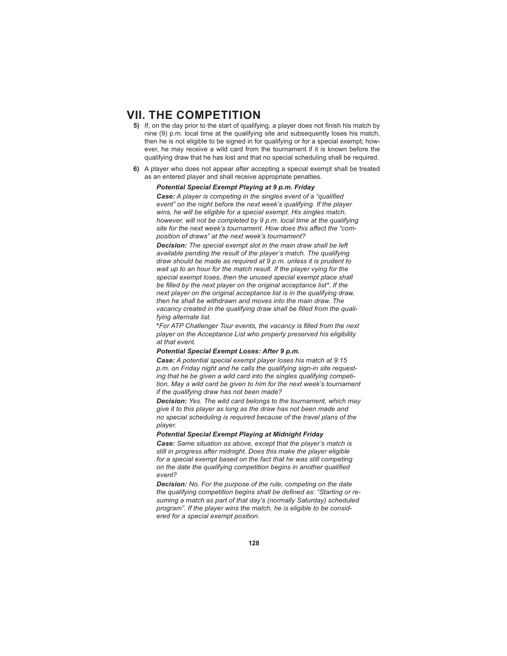- **5)** If, on the day prior to the start of qualifying, a player does not finish his match by nine (9) p.m. local time at the qualifying site and subsequently loses his match, then he is not eligible to be signed in for qualifying or for a special exempt; however, he may receive a wild card from the tournament if it is known before the qualifying draw that he has lost and that no special scheduling shall be required.
- **6)** A player who does not appear after accepting a special exempt shall be treated as an entered player and shall receive appropriate penalties.

# *Potential Special Exempt Playing at 9 p.m. Friday*

**Case:** A player is competing in the singles event of a "qualified *event" on the night before the next week's qualifying. If the player wins, he will be eligible for a special exempt. His singles match, however, will not be completed by 9 p.m. local time at the qualifying*  site for the next week's tournament. How does this affect the "com*position of draws" at the next week's tournament?*

*Decision: The special exempt slot in the main draw shall be left available pending the result of the player's match. The qualifying draw should be made as required at 9 p.m. unless it is prudent to wait up to an hour for the match result. If the player vying for the special exempt loses, then the unused special exempt place shall*  be filled by the next player on the original acceptance list\*. If the *next player on the original acceptance list is in the qualifying draw, then he shall be withdrawn and moves into the main draw. The*  vacancy created in the qualifying draw shall be filled from the quali*fying alternate list.* 

**\****For ATP Challenger Tour events, the vacancy is fi lled from the next player on the Acceptance List who properly preserved his eligibility at that event.*

#### *Potential Special Exempt Loses: After 9 p.m.*

*Case: A potential special exempt player loses his match at 9:15 p.m. on Friday night and he calls the qualifying sign-in site requesting that he be given a wild card into the singles qualifying competition. May a wild card be given to him for the next week's tournament if the qualifying draw has not been made?*

*Decision: Yes. The wild card belongs to the tournament, which may give it to this player as long as the draw has not been made and no special scheduling is required because of the travel plans of the player.* 

#### *Potential Special Exempt Playing at Midnight Friday*

*Case: Same situation as above, except that the player's match is still in progress after midnight. Does this make the player eligible for a special exempt based on the fact that he was still competing on the date the qualifying competition begins in another qualified event?*

*Decision: No. For the purpose of the rule, competing on the date*  the qualifying competition begins shall be defined as: "Starting or re*suming a match as part of that day's (normally Saturday) scheduled program". If the player wins the match, he is eligible to be considered for a special exempt position.*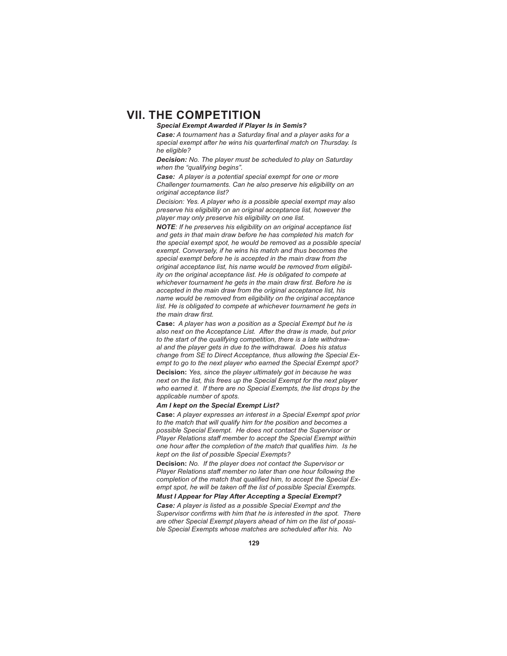### *Special Exempt Awarded if Player Is in Semis?*

**Case:** A tournament has a Saturday final and a player asks for a special exempt after he wins his quarterfinal match on Thursday. Is *he eligible?*

*Decision: No. The player must be scheduled to play on Saturday when the "qualifying begins".* 

*Case: A player is a potential special exempt for one or more Challenger tournaments. Can he also preserve his eligibility on an original acceptance list?*

*Decision: Yes. A player who is a possible special exempt may also preserve his eligibility on an original acceptance list, however the player may only preserve his eligibility on one list.*

*NOTE: If he preserves his eligibility on an original acceptance list and gets in that main draw before he has completed his match for the special exempt spot, he would be removed as a possible special exempt. Conversely, if he wins his match and thus becomes the special exempt before he is accepted in the main draw from the original acceptance list, his name would be removed from eligibility on the original acceptance list. He is obligated to compete at*  whichever tournament he gets in the main draw first. Before he is *accepted in the main draw from the original acceptance list, his name would be removed from eligibility on the original acceptance list. He is obligated to compete at whichever tournament he gets in*  the main draw first.

**Case:** *A player has won a position as a Special Exempt but he is also next on the Acceptance List. After the draw is made, but prior to the start of the qualifying competition, there is a late withdrawal and the player gets in due to the withdrawal. Does his status change from SE to Direct Acceptance, thus allowing the Special Exempt to go to the next player who earned the Special Exempt spot?* **Decision:** *Yes, since the player ultimately got in because he was next on the list, this frees up the Special Exempt for the next player who earned it. If there are no Special Exempts, the list drops by the applicable number of spots.*

### *Am I kept on the Special Exempt List?*

**Case:** *A player expresses an interest in a Special Exempt spot prior to the match that will qualify him for the position and becomes a possible Special Exempt. He does not contact the Supervisor or Player Relations staff member to accept the Special Exempt within*  one hour after the completion of the match that qualifies him. Is he *kept on the list of possible Special Exempts?*

**Decision:** *No. If the player does not contact the Supervisor or Player Relations staff member no later than one hour following the*  completion of the match that qualified him, to accept the Special Ex*empt spot, he will be taken off the list of possible Special Exempts.* 

### *Must I Appear for Play After Accepting a Special Exempt?*

*Case: A player is listed as a possible Special Exempt and the*  Supervisor confirms with him that he is interested in the spot. There *are other Special Exempt players ahead of him on the list of possible Special Exempts whose matches are scheduled after his. No*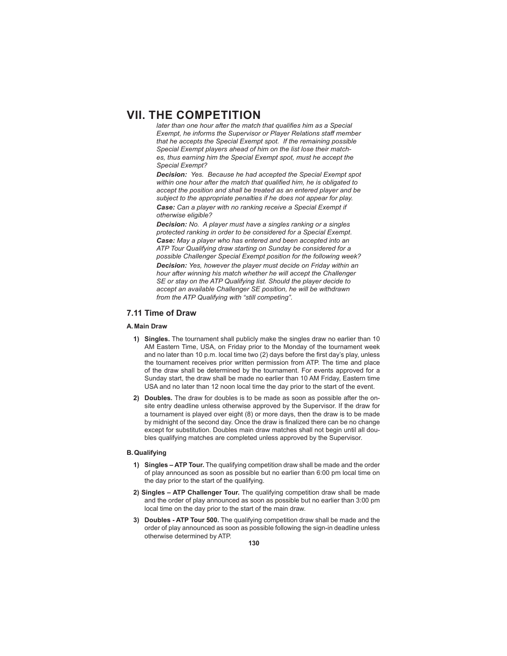*later than one hour after the match that qualifies him as a Special Exempt, he informs the Supervisor or Player Relations staff member that he accepts the Special Exempt spot. If the remaining possible Special Exempt players ahead of him on the list lose their matches, thus earning him the Special Exempt spot, must he accept the Special Exempt?*

*Decision: Yes. Because he had accepted the Special Exempt spot*  within one hour after the match that qualified him, he is obligated to *accept the position and shall be treated as an entered player and be subject to the appropriate penalties if he does not appear for play. Case: Can a player with no ranking receive a Special Exempt if otherwise eligible?*

*Decision: No. A player must have a singles ranking or a singles protected ranking in order to be considered for a Special Exempt. Case: May a player who has entered and been accepted into an ATP Tour Qualifying draw starting on Sunday be considered for a possible Challenger Special Exempt position for the following week? Decision: Yes, however the player must decide on Friday within an hour after winning his match whether he will accept the Challenger SE or stay on the ATP Qualifying list. Should the player decide to accept an available Challenger SE position, he will be withdrawn from the ATP Qualifying with "still competing".*

# **7.11 Time of Draw**

#### **A. Main Draw**

- **1) Singles.** The tournament shall publicly make the singles draw no earlier than 10 AM Eastern Time, USA, on Friday prior to the Monday of the tournament week and no later than 10 p.m. local time two (2) days before the first day's play, unless the tournament receives prior written permission from ATP. The time and place of the draw shall be determined by the tournament. For events approved for a Sunday start, the draw shall be made no earlier than 10 AM Friday, Eastern time USA and no later than 12 noon local time the day prior to the start of the event.
- **2) Doubles.** The draw for doubles is to be made as soon as possible after the onsite entry deadline unless otherwise approved by the Supervisor. If the draw for a tournament is played over eight (8) or more days, then the draw is to be made by midnight of the second day. Once the draw is finalized there can be no change except for substitution. Doubles main draw matches shall not begin until all doubles qualifying matches are completed unless approved by the Supervisor.

#### **B. Qualifying**

- **1) Singles ATP Tour.** The qualifying competition draw shall be made and the order of play announced as soon as possible but no earlier than 6:00 pm local time on the day prior to the start of the qualifying.
- **2) Singles ATP Challenger Tour.** The qualifying competition draw shall be made and the order of play announced as soon as possible but no earlier than 3:00 pm local time on the day prior to the start of the main draw.
- **3) Doubles ATP Tour 500.** The qualifying competition draw shall be made and the order of play announced as soon as possible following the sign-in deadline unless otherwise determined by ATP.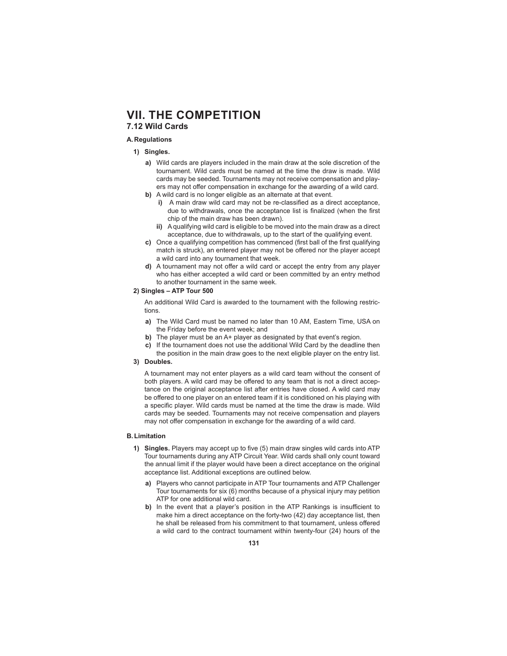# **7.12 Wild Cards**

# **A. Regulations**

- **1) Singles.**
	- **a)** Wild cards are players included in the main draw at the sole discretion of the tournament. Wild cards must be named at the time the draw is made. Wild cards may be seeded. Tournaments may not receive compensation and players may not offer compensation in exchange for the awarding of a wild card.
	- **b)** A wild card is no longer eligible as an alternate at that event.
		- **i)** A main draw wild card may not be re-classified as a direct acceptance, due to withdrawals, once the acceptance list is finalized (when the first chip of the main draw has been drawn).
		- **ii)** A qualifying wild card is eligible to be moved into the main draw as a direct acceptance, due to withdrawals, up to the start of the qualifying event.
	- c) Once a qualifying competition has commenced (first ball of the first qualifying match is struck), an entered player may not be offered nor the player accept a wild card into any tournament that week.
	- **d)** A tournament may not offer a wild card or accept the entry from any player who has either accepted a wild card or been committed by an entry method to another tournament in the same week.

## **2) Singles – ATP Tour 500**

 An additional Wild Card is awarded to the tournament with the following restrictions.

- **a)** The Wild Card must be named no later than 10 AM, Eastern Time, USA on the Friday before the event week; and
- **b)** The player must be an A+ player as designated by that event's region.
- **c)** If the tournament does not use the additional Wild Card by the deadline then the position in the main draw goes to the next eligible player on the entry list.

### **3) Doubles.**

 A tournament may not enter players as a wild card team without the consent of both players. A wild card may be offered to any team that is not a direct acceptance on the original acceptance list after entries have closed. A wild card may be offered to one player on an entered team if it is conditioned on his playing with a specific player. Wild cards must be named at the time the draw is made. Wild cards may be seeded. Tournaments may not receive compensation and players may not offer compensation in exchange for the awarding of a wild card.

### **B. Limitation**

- **1) Singles.** Players may accept up to five (5) main draw singles wild cards into ATP Tour tournaments during any ATP Circuit Year. Wild cards shall only count toward the annual limit if the player would have been a direct acceptance on the original acceptance list. Additional exceptions are outlined below.
	- **a)** Players who cannot participate in ATP Tour tournaments and ATP Challenger Tour tournaments for six (6) months because of a physical injury may petition ATP for one additional wild card.
	- **b)** In the event that a player's position in the ATP Rankings is insufficient to make him a direct acceptance on the forty-two (42) day acceptance list, then he shall be released from his commitment to that tournament, unless offered a wild card to the contract tournament within twenty-four (24) hours of the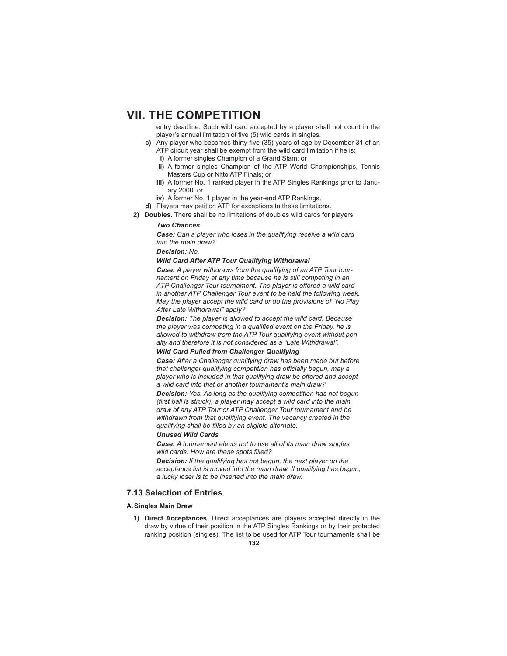entry deadline. Such wild card accepted by a player shall not count in the player's annual limitation of five (5) wild cards in singles.

- **c)** Any player who becomes thirty-five (35) years of age by December 31 of an ATP circuit year shall be exempt from the wild card limitation if he is:
	- **i)** A former singles Champion of a Grand Slam; or
	- **ii)** A former singles Champion of the ATP World Championships, Tennis Masters Cup or Nitto ATP Finals; or
	- **iii)** A former No. 1 ranked player in the ATP Singles Rankings prior to January 2000; or
	- **iv)** A former No. 1 player in the year-end ATP Rankings.
- **d)** Players may petition ATP for exceptions to these limitations.
- **2) Doubles.** There shall be no limitations of doubles wild cards for players.

### *Two Chances*

*Case: Can a player who loses in the qualifying receive a wild card into the main draw?*

*Decision: No.*

### *Wild Card After ATP Tour Qualifying Withdrawal*

*Case: A player withdraws from the qualifying of an ATP Tour tournament on Friday at any time because he is still competing in an*  ATP Challenger Tour tournament. The player is offered a wild card *in another ATP Challenger Tour event to be held the following week. May the player accept the wild card or do the provisions of "No Play After Late Withdrawal" apply?*

*Decision: The player is allowed to accept the wild card. Because*  the player was competing in a qualified event on the Friday, he is *allowed to withdraw from the ATP Tour qualifying event without penalty and therefore it is not considered as a "Late Withdrawal".* 

#### *Wild Card Pulled from Challenger Qualifying*

*Case: After a Challenger qualifying draw has been made but before that challenger qualifying competition has officially begun, may a player who is included in that qualifying draw be off ered and accept a wild card into that or another tournament's main draw?*

*Decision: Yes. As long as the qualifying competition has not begun (first ball is struck), a player may accept a wild card into the main draw of any ATP Tour or ATP Challenger Tour tournament and be withdrawn from that qualifying event. The vacancy created in the qualifying shall be filled by an eligible alternate.* 

#### *Unused Wild Cards*

*Case***:** *A tournament elects not to use all of its main draw singles*  wild cards. How are these spots filled?

*Decision: If the qualifying has not begun, the next player on the acceptance list is moved into the main draw. If qualifying has begun, a lucky loser is to be inserted into the main draw.* 

## **7.13 Selection of Entries**

### **A. Singles Main Draw**

**1) Direct Acceptances.** Direct acceptances are players accepted directly in the draw by virtue of their position in the ATP Singles Rankings or by their protected ranking position (singles). The list to be used for ATP Tour tournaments shall be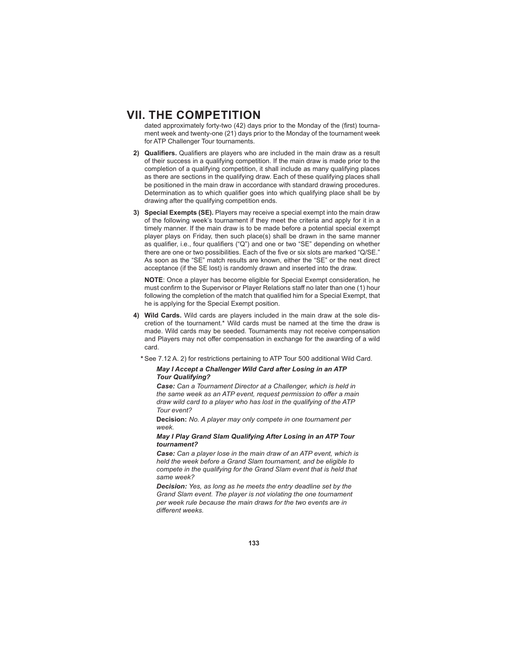dated approximately forty-two (42) days prior to the Monday of the (first) tournament week and twenty-one (21) days prior to the Monday of the tournament week for ATP Challenger Tour tournaments.

- 2) Qualifiers. Qualifiers are players who are included in the main draw as a result of their success in a qualifying competition. If the main draw is made prior to the completion of a qualifying competition, it shall include as many qualifying places as there are sections in the qualifying draw. Each of these qualifying places shall be positioned in the main draw in accordance with standard drawing procedures. Determination as to which qualifier goes into which qualifying place shall be by drawing after the qualifying competition ends.
- **3) Special Exempts (SE).** Players may receive a special exempt into the main draw of the following week's tournament if they meet the criteria and apply for it in a timely manner. If the main draw is to be made before a potential special exempt player plays on Friday, then such place(s) shall be drawn in the same manner as qualifier, i.e., four qualifiers (" $Q$ ") and one or two "SE" depending on whether there are one or two possibilities. Each of the five or six slots are marked "Q/SE." As soon as the "SE" match results are known, either the "SE" or the next direct acceptance (if the SE lost) is randomly drawn and inserted into the draw.

**NOTE**: Once a player has become eligible for Special Exempt consideration, he must confirm to the Supervisor or Player Relations staff no later than one (1) hour following the completion of the match that qualified him for a Special Exempt, that he is applying for the Special Exempt position.

**4) Wild Cards.** Wild cards are players included in the main draw at the sole discretion of the tournament.\* Wild cards must be named at the time the draw is made. Wild cards may be seeded. Tournaments may not receive compensation and Players may not offer compensation in exchange for the awarding of a wild card.

 **\*** See 7.12 A. 2) for restrictions pertaining to ATP Tour 500 additional Wild Card.

### *May I Accept a Challenger Wild Card after Losing in an ATP Tour Qualifying?*

*Case: Can a Tournament Director at a Challenger, which is held in the same week as an ATP event, request permission to offer a main draw wild card to a player who has lost in the qualifying of the ATP Tour event?*

**Decision:** *No. A player may only compete in one tournament per week.* 

*May I Play Grand Slam Qualifying After Losing in an ATP Tour tournament?*

*Case: Can a player lose in the main draw of an ATP event, which is held the week before a Grand Slam tournament, and be eligible to compete in the qualifying for the Grand Slam event that is held that same week?*

*Decision: Yes, as long as he meets the entry deadline set by the Grand Slam event. The player is not violating the one tournament per week rule because the main draws for the two events are in diff erent weeks.*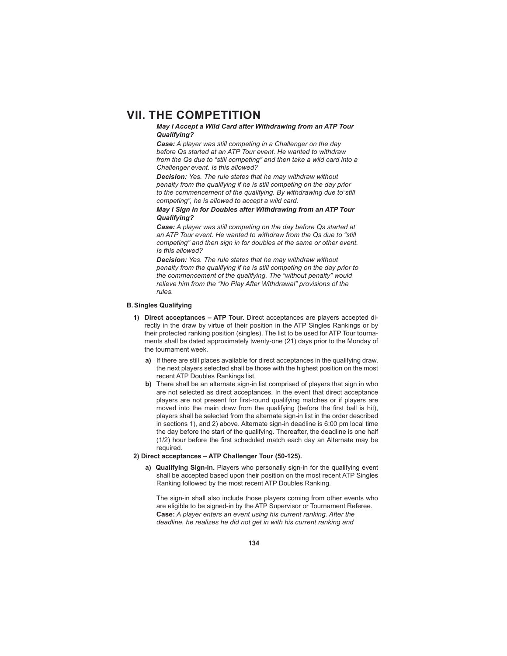### *May I Accept a Wild Card after Withdrawing from an ATP Tour Qualifying?*

*Case: A player was still competing in a Challenger on the day before Qs started at an ATP Tour event. He wanted to withdraw from the Qs due to "still competing" and then take a wild card into a Challenger event. Is this allowed?*

*Decision: Yes. The rule states that he may withdraw without penalty from the qualifying if he is still competing on the day prior to the commencement of the qualifying. By withdrawing due to"still competing", he is allowed to accept a wild card.*

*May I Sign In for Doubles after Withdrawing from an ATP Tour Qualifying?*

*Case: A player was still competing on the day before Qs started at an ATP Tour event. He wanted to withdraw from the Qs due to "still competing" and then sign in for doubles at the same or other event. Is this allowed?*

*Decision: Yes. The rule states that he may withdraw without penalty from the qualifying if he is still competing on the day prior to the commencement of the qualifying. The "without penalty" would relieve him from the "No Play After Withdrawal" provisions of the rules.*

### **B. Singles Qualifying**

- **1) Direct acceptances ATP Tour.** Direct acceptances are players accepted directly in the draw by virtue of their position in the ATP Singles Rankings or by their protected ranking position (singles). The list to be used for ATP Tour tournaments shall be dated approximately twenty-one (21) days prior to the Monday of the tournament week.
	- **a)** If there are still places available for direct acceptances in the qualifying draw, the next players selected shall be those with the highest position on the most recent ATP Doubles Rankings list.
	- **b)** There shall be an alternate sign-in list comprised of players that sign in who are not selected as direct acceptances. In the event that direct acceptance players are not present for first-round qualifying matches or if players are moved into the main draw from the qualifying (before the first ball is hit), players shall be selected from the alternate sign-in list in the order described in sections 1), and 2) above. Alternate sign-in deadline is 6:00 pm local time the day before the start of the qualifying. Thereafter, the deadline is one half  $(1/2)$  hour before the first scheduled match each day an Alternate may be required.

### **2) Direct acceptances – ATP Challenger Tour (50-125).**

**a) Qualifying Sign-In.** Players who personally sign-in for the qualifying event shall be accepted based upon their position on the most recent ATP Singles Ranking followed by the most recent ATP Doubles Ranking.

The sign-in shall also include those players coming from other events who are eligible to be signed-in by the ATP Supervisor or Tournament Referee. **Case:** *A player enters an event using his current ranking. After the deadline, he realizes he did not get in with his current ranking and*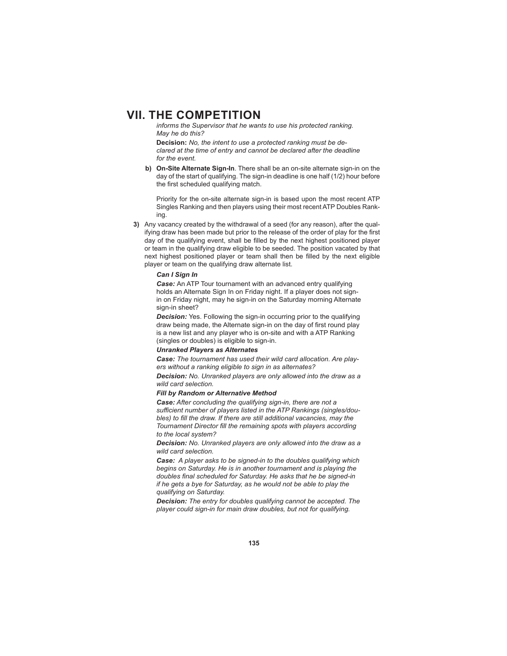*informs the Supervisor that he wants to use his protected ranking. May he do this?*

**Decision:** *No, the intent to use a protected ranking must be declared at the time of entry and cannot be declared after the deadline for the event.*

**b) On-Site Alternate Sign-In**. There shall be an on-site alternate sign-in on the day of the start of qualifying. The sign-in deadline is one half (1/2) hour before the first scheduled qualifying match.

 Priority for the on-site alternate sign-in is based upon the most recent ATP Singles Ranking and then players using their most recent ATP Doubles Ranking.

**3)** Any vacancy created by the withdrawal of a seed (for any reason), after the qualifying draw has been made but prior to the release of the order of play for the first day of the qualifying event, shall be filled by the next highest positioned player or team in the qualifying draw eligible to be seeded. The position vacated by that next highest positioned player or team shall then be filled by the next eligible player or team on the qualifying draw alternate list.

#### *Can I Sign In*

*Case:* An ATP Tour tournament with an advanced entry qualifying holds an Alternate Sign In on Friday night. If a player does not signin on Friday night, may he sign-in on the Saturday morning Alternate sign-in sheet?

**Decision:** Yes. Following the sign-in occurring prior to the qualifying draw being made, the Alternate sign-in on the day of first round play is a new list and any player who is on-site and with a ATP Ranking (singles or doubles) is eligible to sign-in.

#### *Unranked Players as Alternates*

*Case: The tournament has used their wild card allocation. Are players without a ranking eligible to sign in as alternates?*

*Decision: No. Unranked players are only allowed into the draw as a wild card selection.*

#### *Fill by Random or Alternative Method*

*Case: After concluding the qualifying sign-in, there are not a*  sufficient number of players listed in the ATP Rankings (singles/doubles) to fill the draw. If there are still additional vacancies, may the Tournament Director fill the remaining spots with players according *to the local system?*

*Decision: No. Unranked players are only allowed into the draw as a wild card selection.*

*Case: A player asks to be signed-in to the doubles qualifying which begins on Saturday. He is in another tournament and is playing the*  doubles final scheduled for Saturday. He asks that he be signed-in *if he gets a bye for Saturday, as he would not be able to play the qualifying on Saturday.*

*Decision: The entry for doubles qualifying cannot be accepted. The player could sign-in for main draw doubles, but not for qualifying.*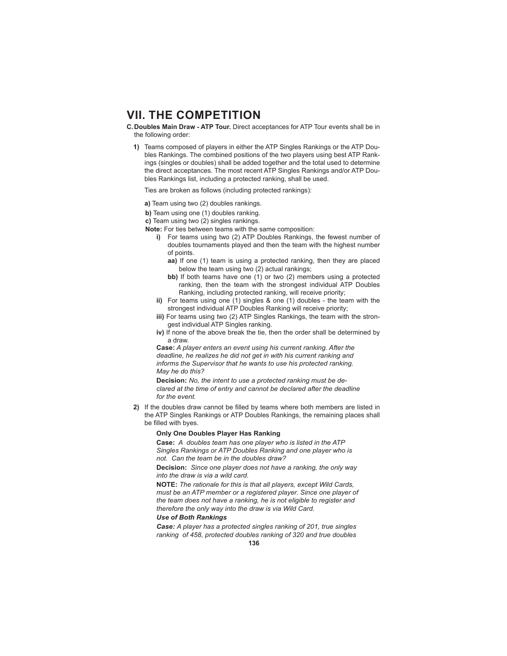**C. Doubles Main Draw - ATP Tour.** Direct acceptances for ATP Tour events shall be in the following order:

**1)** Teams composed of players in either the ATP Singles Rankings or the ATP Doubles Rankings. The combined positions of the two players using best ATP Rankings (singles or doubles) shall be added together and the total used to determine the direct acceptances. The most recent ATP Singles Rankings and/or ATP Doubles Rankings list, including a protected ranking, shall be used.

Ties are broken as follows (including protected rankings):

- **a)** Team using two (2) doubles rankings.
- **b)** Team using one (1) doubles ranking.

**c)** Team using two (2) singles rankings.

- **Note:** For ties between teams with the same composition:
	- **i)** For teams using two (2) ATP Doubles Rankings, the fewest number of doubles tournaments played and then the team with the highest number of points.
		- **aa)** If one (1) team is using a protected ranking, then they are placed below the team using two (2) actual rankings;
		- **bb)** If both teams have one (1) or two (2) members using a protected ranking, then the team with the strongest individual ATP Doubles Ranking, including protected ranking, will receive priority;
	- **ii)** For teams using one (1) singles & one (1) doubles the team with the strongest individual ATP Doubles Ranking will receive priority;
	- **iii)** For teams using two (2) ATP Singles Rankings, the team with the strongest individual ATP Singles ranking.
	- **iv)** If none of the above break the tie, then the order shall be determined by a draw.

**Case:** *A player enters an event using his current ranking. After the deadline, he realizes he did not get in with his current ranking and informs the Supervisor that he wants to use his protected ranking. May he do this?*

**Decision:** *No, the intent to use a protected ranking must be declared at the time of entry and cannot be declared after the deadline for the event.*

**2)** If the doubles draw cannot be filled by teams where both members are listed in the ATP Singles Rankings or ATP Doubles Rankings, the remaining places shall be filled with byes.

#### **Only One Doubles Player Has Ranking**

**Case:** *A doubles team has one player who is listed in the ATP Singles Rankings or ATP Doubles Ranking and one player who is not. Can the team be in the doubles draw?*

**Decision:** *Since one player does not have a ranking, the only way into the draw is via a wild card.*

**NOTE:** *The rationale for this is that all players, except Wild Cards, must be an ATP member or a registered player. Since one player of the team does not have a ranking, he is not eligible to register and therefore the only way into the draw is via Wild Card.*

#### *Use of Both Rankings*

*Case: A player has a protected singles ranking of 201, true singles ranking of 458, protected doubles ranking of 320 and true doubles*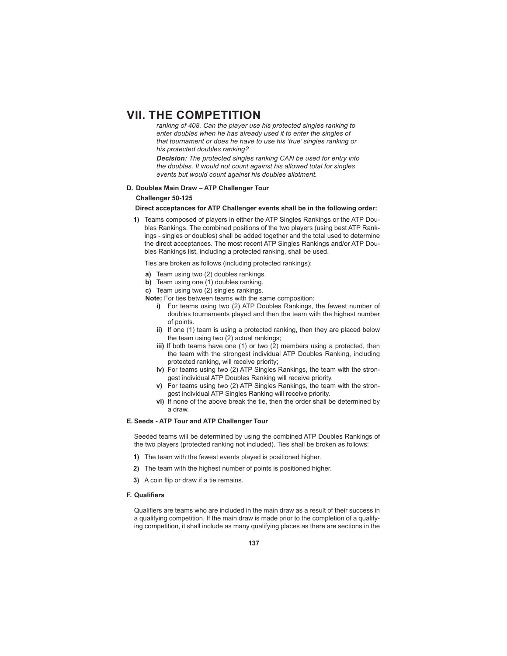*ranking of 408. Can the player use his protected singles ranking to enter doubles when he has already used it to enter the singles of that tournament or does he have to use his 'true' singles ranking or his protected doubles ranking?*

*Decision: The protected singles ranking CAN be used for entry into the doubles. It would not count against his allowed total for singles events but would count against his doubles allotment.*

#### **D. Doubles Main Draw – ATP Challenger Tour**

#### **Challenger 50-125**

**Direct acceptances for ATP Challenger events shall be in the following order:**

**1)** Teams composed of players in either the ATP Singles Rankings or the ATP Doubles Rankings. The combined positions of the two players (using best ATP Rankings - singles or doubles) shall be added together and the total used to determine the direct acceptances. The most recent ATP Singles Rankings and/or ATP Doubles Rankings list, including a protected ranking, shall be used.

Ties are broken as follows (including protected rankings):

- **a)** Team using two (2) doubles rankings.
- **b)** Team using one (1) doubles ranking.
- **c)** Team using two (2) singles rankings.
- **Note:** For ties between teams with the same composition:
	- **i)** For teams using two (2) ATP Doubles Rankings, the fewest number of doubles tournaments played and then the team with the highest number of points.
	- **ii)** If one (1) team is using a protected ranking, then they are placed below the team using two (2) actual rankings;
	- **iii)** If both teams have one (1) or two (2) members using a protected, then the team with the strongest individual ATP Doubles Ranking, including protected ranking, will receive priority;
	- **iv)** For teams using two (2) ATP Singles Rankings, the team with the strongest individual ATP Doubles Ranking will receive priority.
	- **v)** For teams using two (2) ATP Singles Rankings, the team with the strongest individual ATP Singles Ranking will receive priority.
	- **vi)** If none of the above break the tie, then the order shall be determined by a draw.

#### **E. Seeds - ATP Tour and ATP Challenger Tour**

 Seeded teams will be determined by using the combined ATP Doubles Rankings of the two players (protected ranking not included). Ties shall be broken as follows:

- **1)** The team with the fewest events played is positioned higher.
- **2)** The team with the highest number of points is positioned higher.
- **3)** A coin flip or draw if a tie remains.

#### **F. Qualifiers**

Qualifiers are teams who are included in the main draw as a result of their success in a qualifying competition. If the main draw is made prior to the completion of a qualifying competition, it shall include as many qualifying places as there are sections in the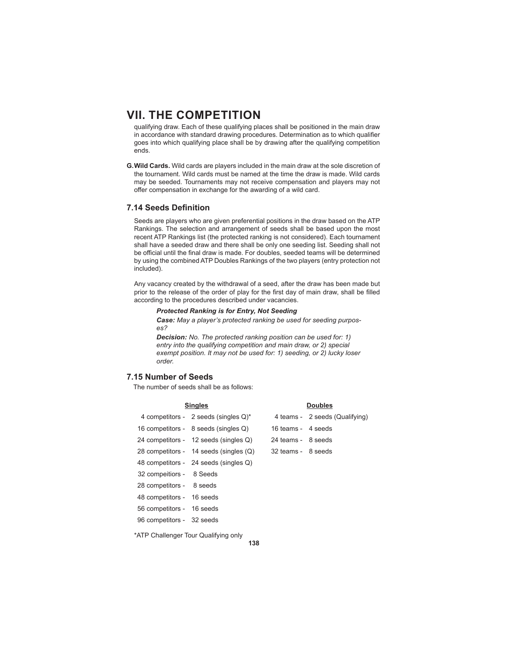qualifying draw. Each of these qualifying places shall be positioned in the main draw in accordance with standard drawing procedures. Determination as to which qualifier goes into which qualifying place shall be by drawing after the qualifying competition ends.

**G. Wild Cards.** Wild cards are players included in the main draw at the sole discretion of the tournament. Wild cards must be named at the time the draw is made. Wild cards may be seeded. Tournaments may not receive compensation and players may not offer compensation in exchange for the awarding of a wild card.

### **7.14 Seeds Definition**

 Seeds are players who are given preferential positions in the draw based on the ATP Rankings. The selection and arrangement of seeds shall be based upon the most recent ATP Rankings list (the protected ranking is not considered). Each tournament shall have a seeded draw and there shall be only one seeding list. Seeding shall not be official until the final draw is made. For doubles, seeded teams will be determined by using the combined ATP Doubles Rankings of the two players (entry protection not included).

 Any vacancy created by the withdrawal of a seed, after the draw has been made but prior to the release of the order of play for the first day of main draw, shall be filled according to the procedures described under vacancies.

## *Protected Ranking is for Entry, Not Seeding*

*Case: May a player's protected ranking be used for seeding purposes?*

*Decision: No. The protected ranking position can be used for: 1) entry into the qualifying competition and main draw, or 2) special exempt position. It may not be used for: 1) seeding, or 2) lucky loser order.*

# **7.15 Number of Seeds**

The number of seeds shall be as follows:

| <b>Singles</b>            |                                         | <b>Doubles</b>     |                                |  |
|---------------------------|-----------------------------------------|--------------------|--------------------------------|--|
|                           | 4 competitors - 2 seeds (singles $Q$ )* |                    | 4 teams - 2 seeds (Qualifying) |  |
|                           | 16 competitors - 8 seeds (singles Q)    | 16 teams - 4 seeds |                                |  |
|                           | 24 competitors - 12 seeds (singles Q)   | 24 teams - 8 seeds |                                |  |
|                           | 28 competitors - 14 seeds (singles (Q)  | 32 teams - 8 seeds |                                |  |
|                           | 48 competitors - 24 seeds (singles Q)   |                    |                                |  |
| 32 compeitiors - 8 Seeds  |                                         |                    |                                |  |
| 28 competitors - 8 seeds  |                                         |                    |                                |  |
| 48 competitors - 16 seeds |                                         |                    |                                |  |
| 56 competitors - 16 seeds |                                         |                    |                                |  |
| 96 competitors - 32 seeds |                                         |                    |                                |  |

\*ATP Challenger Tour Qualifying only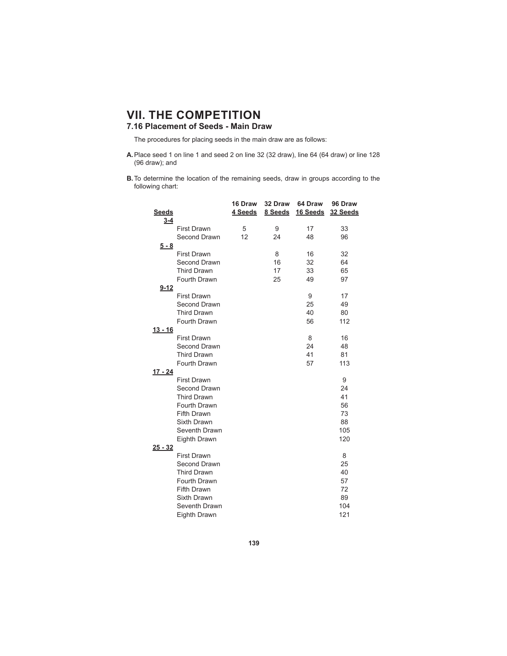# **7.16 Placement of Seeds - Main Draw**

The procedures for placing seeds in the main draw are as follows:

- **A.** Place seed 1 on line 1 and seed 2 on line 32 (32 draw), line 64 (64 draw) or line 128 (96 draw); and
- **B.** To determine the location of the remaining seeds, draw in groups according to the following chart:

|                |                    | 16 Draw | 32 Draw | 64 Draw  | 96 Draw  |
|----------------|--------------------|---------|---------|----------|----------|
| <b>Seeds</b>   |                    | 4 Seeds | 8 Seeds | 16 Seeds | 32 Seeds |
| $3 - 4$        |                    |         |         |          |          |
|                | <b>First Drawn</b> | 5       | 9       | 17       | 33       |
|                | Second Drawn       | 12      | 24      | 48       | 96       |
| $5 - 8$        |                    |         |         |          |          |
|                | <b>First Drawn</b> |         | 8       | 16       | 32       |
|                | Second Drawn       |         | 16      | 32       | 64       |
|                | <b>Third Drawn</b> |         | 17      | 33       | 65       |
|                | Fourth Drawn       |         | 25      | 49       | 97       |
| $9 - 12$       |                    |         |         |          |          |
|                | <b>First Drawn</b> |         |         | 9        | 17       |
|                | Second Drawn       |         |         | 25       | 49       |
|                | <b>Third Drawn</b> |         |         | 40       | 80       |
|                | Fourth Drawn       |         |         | 56       | 112      |
| $13 - 16$      |                    |         |         |          |          |
|                | <b>First Drawn</b> |         |         | 8        | 16       |
|                | Second Drawn       |         |         | 24       | 48       |
|                | <b>Third Drawn</b> |         |         | 41       | 81       |
|                | Fourth Drawn       |         |         | 57       | 113      |
| 17 - 24        |                    |         |         |          |          |
|                | <b>First Drawn</b> |         |         |          | 9        |
|                | Second Drawn       |         |         |          | 24       |
|                | <b>Third Drawn</b> |         |         |          | 41       |
|                | Fourth Drawn       |         |         |          | 56       |
|                | Fifth Drawn        |         |         |          | 73       |
|                | Sixth Drawn        |         |         |          | 88       |
|                | Seventh Drawn      |         |         |          | 105      |
|                | Eighth Drawn       |         |         |          | 120      |
| <u>25 - 32</u> |                    |         |         |          |          |
|                | <b>First Drawn</b> |         |         |          | 8        |
|                | Second Drawn       |         |         |          | 25       |
|                | <b>Third Drawn</b> |         |         |          | 40       |
|                | Fourth Drawn       |         |         |          | 57       |
|                | Fifth Drawn        |         |         |          | 72       |
|                | Sixth Drawn        |         |         |          | 89       |
|                | Seventh Drawn      |         |         |          | 104      |
|                | Eighth Drawn       |         |         |          | 121      |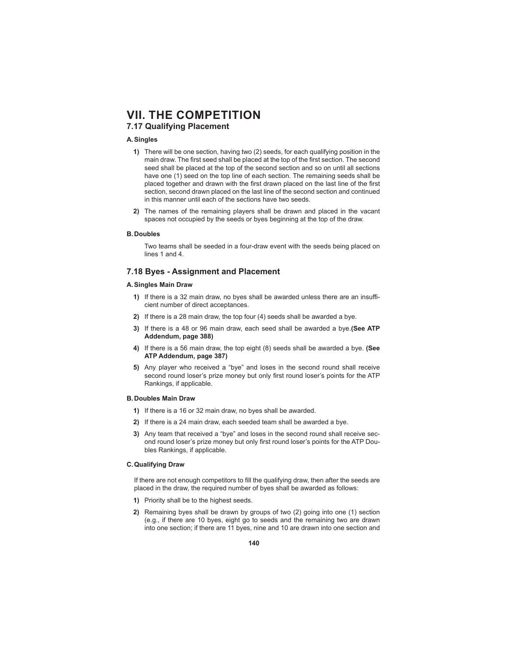# **7.17 Qualifying Placement**

### **A. Singles**

- **1)** There will be one section, having two (2) seeds, for each qualifying position in the main draw. The first seed shall be placed at the top of the first section. The second seed shall be placed at the top of the second section and so on until all sections have one (1) seed on the top line of each section. The remaining seeds shall be placed together and drawn with the first drawn placed on the last line of the first section, second drawn placed on the last line of the second section and continued in this manner until each of the sections have two seeds.
- **2)** The names of the remaining players shall be drawn and placed in the vacant spaces not occupied by the seeds or byes beginning at the top of the draw.

#### **B. Doubles**

Two teams shall be seeded in a four-draw event with the seeds being placed on lines 1 and 4.

### **7.18 Byes - Assignment and Placement**

#### **A. Singles Main Draw**

- **1)** If there is a 32 main draw, no byes shall be awarded unless there are an insufficient number of direct acceptances.
- **2)** If there is a 28 main draw, the top four (4) seeds shall be awarded a bye.
- **3)** If there is a 48 or 96 main draw, each seed shall be awarded a bye.**(See ATP Addendum, page 388)**
- **4)** If there is a 56 main draw, the top eight (8) seeds shall be awarded a bye. **(See ATP Addendum, page 387)**
- **5)** Any player who received a "bye" and loses in the second round shall receive second round loser's prize money but only first round loser's points for the ATP Rankings, if applicable.

#### **B. Doubles Main Draw**

- **1)** If there is a 16 or 32 main draw, no byes shall be awarded.
- **2)** If there is a 24 main draw, each seeded team shall be awarded a bye.
- **3)** Any team that received a "bye" and loses in the second round shall receive second round loser's prize money but only first round loser's points for the ATP Doubles Rankings, if applicable.

#### **C. Qualifying Draw**

If there are not enough competitors to fill the qualifying draw, then after the seeds are placed in the draw, the required number of byes shall be awarded as follows:

- **1)** Priority shall be to the highest seeds.
- **2)** Remaining byes shall be drawn by groups of two (2) going into one (1) section (e.g., if there are 10 byes, eight go to seeds and the remaining two are drawn into one section; if there are 11 byes, nine and 10 are drawn into one section and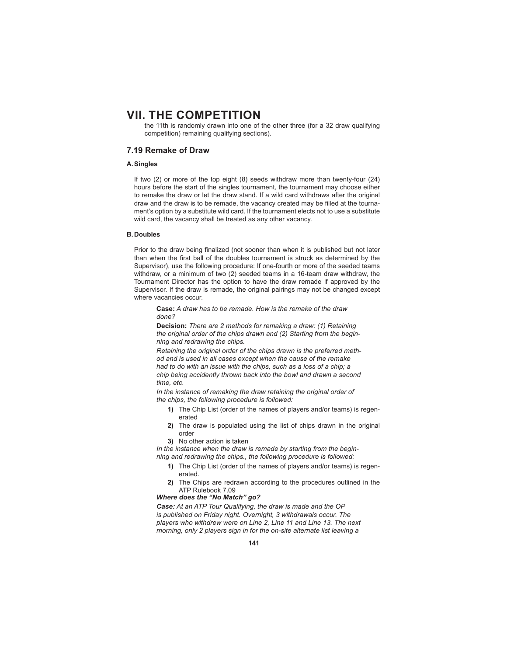the 11th is randomly drawn into one of the other three (for a 32 draw qualifying competition) remaining qualifying sections).

# **7.19 Remake of Draw**

# **A. Singles**

 If two (2) or more of the top eight (8) seeds withdraw more than twenty-four (24) hours before the start of the singles tournament, the tournament may choose either to remake the draw or let the draw stand. If a wild card withdraws after the original draw and the draw is to be remade, the vacancy created may be filled at the tournament's option by a substitute wild card. If the tournament elects not to use a substitute wild card, the vacancy shall be treated as any other vacancy.

### **B. Doubles**

Prior to the draw being finalized (not sooner than when it is published but not later than when the first ball of the doubles tournament is struck as determined by the Supervisor), use the following procedure: If one-fourth or more of the seeded teams withdraw, or a minimum of two (2) seeded teams in a 16-team draw withdraw, the Tournament Director has the option to have the draw remade if approved by the Supervisor. If the draw is remade, the original pairings may not be changed except where vacancies occur.

**Case:** *A draw has to be remade. How is the remake of the draw done?*

**Decision:** *There are 2 methods for remaking a draw: (1) Retaining the original order of the chips drawn and (2) Starting from the beginning and redrawing the chips.*

*Retaining the original order of the chips drawn is the preferred method and is used in all cases except when the cause of the remake had to do with an issue with the chips, such as a loss of a chip; a chip being accidently thrown back into the bowl and drawn a second time, etc.*

*In the instance of remaking the draw retaining the original order of the chips, the following procedure is followed:*

- **1)** The Chip List (order of the names of players and/or teams) is regenerated
- **2)** The draw is populated using the list of chips drawn in the original order
- **3)** No other action is taken

*In the instance when the draw is remade by starting from the beginning and redrawing the chips., the following procedure is followed:*

- **1)** The Chip List (order of the names of players and/or teams) is regenerated.
- **2)** The Chips are redrawn according to the procedures outlined in the ATP Rulebook 7.09

# *Where does the "No Match" go?*

*Case: At an ATP Tour Qualifying, the draw is made and the OP is published on Friday night. Overnight, 3 withdrawals occur. The players who withdrew were on Line 2, Line 11 and Line 13. The next morning, only 2 players sign in for the on-site alternate list leaving a*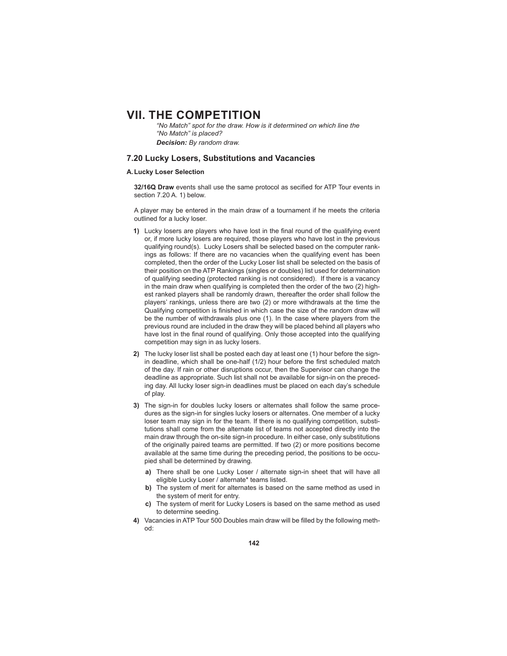*"No Match" spot for the draw. How is it determined on which line the "No Match" is placed? Decision: By random draw.*

# **7.20 Lucky Losers, Substitutions and Vacancies**

### **A. Lucky Loser Selection**

**32/16Q Draw** events shall use the same protocol as secified for ATP Tour events in section 7.20 A. 1) below.

 A player may be entered in the main draw of a tournament if he meets the criteria outlined for a lucky loser.

- **1)** Lucky losers are players who have lost in the final round of the qualifying event or, if more lucky losers are required, those players who have lost in the previous qualifying round(s). Lucky Losers shall be selected based on the computer rankings as follows: If there are no vacancies when the qualifying event has been completed, then the order of the Lucky Loser list shall be selected on the basis of their position on the ATP Rankings (singles or doubles) list used for determination of qualifying seeding (protected ranking is not considered). If there is a vacancy in the main draw when qualifying is completed then the order of the two (2) highest ranked players shall be randomly drawn, thereafter the order shall follow the players' rankings, unless there are two (2) or more withdrawals at the time the Qualifying competition is finished in which case the size of the random draw will be the number of withdrawals plus one (1). In the case where players from the previous round are included in the draw they will be placed behind all players who have lost in the final round of qualifying. Only those accepted into the qualifying competition may sign in as lucky losers.
- **2)** The lucky loser list shall be posted each day at least one (1) hour before the signin deadline, which shall be one-half (1/2) hour before the first scheduled match of the day. If rain or other disruptions occur, then the Supervisor can change the deadline as appropriate. Such list shall not be available for sign-in on the preceding day. All lucky loser sign-in deadlines must be placed on each day's schedule of play.
- **3)** The sign-in for doubles lucky losers or alternates shall follow the same procedures as the sign-in for singles lucky losers or alternates. One member of a lucky loser team may sign in for the team. If there is no qualifying competition, substitutions shall come from the alternate list of teams not accepted directly into the main draw through the on-site sign-in procedure. In either case, only substitutions of the originally paired teams are permitted. If two (2) or more positions become available at the same time during the preceding period, the positions to be occupied shall be determined by drawing.
	- **a)** There shall be one Lucky Loser / alternate sign-in sheet that will have all eligible Lucky Loser / alternate\* teams listed.
	- **b)** The system of merit for alternates is based on the same method as used in the system of merit for entry.
	- **c)** The system of merit for Lucky Losers is based on the same method as used to determine seeding.
- 4) Vacancies in ATP Tour 500 Doubles main draw will be filled by the following method: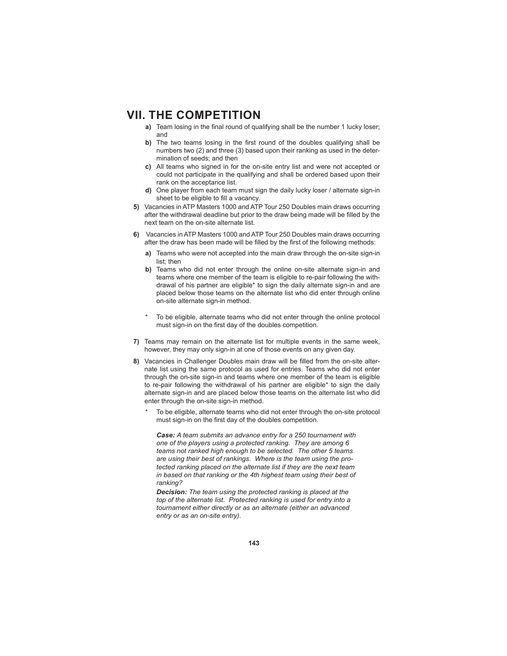- **a)** Team losing in the final round of qualifying shall be the number 1 lucky loser; and
- **b)** The two teams losing in the first round of the doubles qualifying shall be numbers two (2) and three (3) based upon their ranking as used in the determination of seeds; and then
- **c)** All teams who signed in for the on-site entry list and were not accepted or could not participate in the qualifying and shall be ordered based upon their rank on the acceptance list.
- **d)** One player from each team must sign the daily lucky loser / alternate sign-in sheet to be eligible to fill a vacancy.
- **5)** Vacancies in ATP Masters 1000 and ATP Tour 250 Doubles main draws occurring after the withdrawal deadline but prior to the draw being made will be filled by the next team on the on-site alternate list.
- **6)** Vacancies in ATP Masters 1000 and ATP Tour 250 Doubles main draws occurring after the draw has been made will be filled by the first of the following methods:
	- **a)** Teams who were not accepted into the main draw through the on-site sign-in list; then
	- **b)** Teams who did not enter through the online on-site alternate sign-in and teams where one member of the team is eligible to re-pair following the withdrawal of his partner are eligible\* to sign the daily alternate sign-in and are placed below those teams on the alternate list who did enter through online on-site alternate sign-in method.
	- To be eligible, alternate teams who did not enter through the online protocol must sign-in on the first day of the doubles competition.
- **7)** Teams may remain on the alternate list for multiple events in the same week, however, they may only sign-in at one of those events on any given day.
- 8) Vacancies in Challenger Doubles main draw will be filled from the on-site alternate list using the same protocol as used for entries. Teams who did not enter through the on-site sign-in and teams where one member of the team is eligible to re-pair following the withdrawal of his partner are eligible\* to sign the daily alternate sign-in and are placed below those teams on the alternate list who did enter through the on-site sign-in method.
	- To be eligible, alternate teams who did not enter through the on-site protocol must sign-in on the first day of the doubles competition.

*Case: A team submits an advance entry for a 250 tournament with one of the players using a protected ranking. They are among 6 teams not ranked high enough to be selected. The other 5 teams are using their best of rankings. Where is the team using the protected ranking placed on the alternate list if they are the next team in based on that ranking or the 4th highest team using their best of ranking?*

*Decision: The team using the protected ranking is placed at the top of the alternate list. Protected ranking is used for entry into a tournament either directly or as an alternate (either an advanced entry or as an on-site entry).*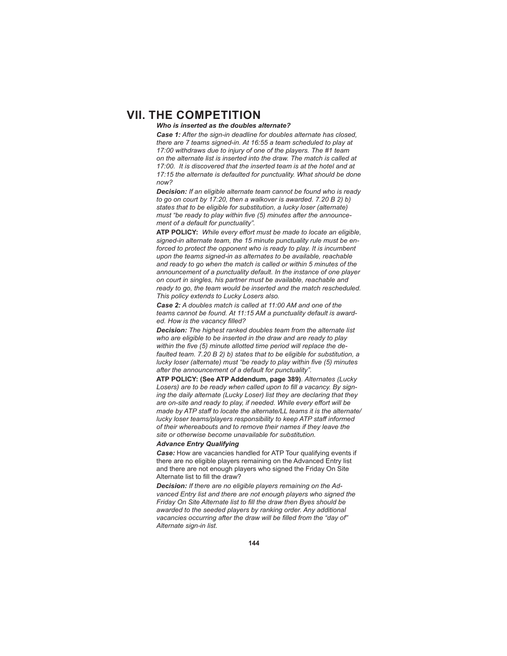# *Who is inserted as the doubles alternate?*

*Case 1: After the sign-in deadline for doubles alternate has closed, there are 7 teams signed-in. At 16:55 a team scheduled to play at 17:00 withdraws due to injury of one of the players. The #1 team on the alternate list is inserted into the draw. The match is called at 17:00. It is discovered that the inserted team is at the hotel and at 17:15 the alternate is defaulted for punctuality. What should be done now?*

*Decision: If an eligible alternate team cannot be found who is ready to go on court by 17:20, then a walkover is awarded. 7.20 B 2) b) states that to be eligible for substitution, a lucky loser (alternate)*  must "be ready to play within five (5) minutes after the announce*ment of a default for punctuality".*

**ATP POLICY:** *While every eff ort must be made to locate an eligible, signed-in alternate team, the 15 minute punctuality rule must be enforced to protect the opponent who is ready to play. It is incumbent upon the teams signed-in as alternates to be available, reachable and ready to go when the match is called or within 5 minutes of the announcement of a punctuality default. In the instance of one player on court in singles, his partner must be available, reachable and ready to go, the team would be inserted and the match rescheduled. This policy extends to Lucky Losers also.*

*Case 2: A doubles match is called at 11:00 AM and one of the teams cannot be found. At 11:15 AM a punctuality default is award*ed. How is the vacancy filled?

*Decision: The highest ranked doubles team from the alternate list who are eligible to be inserted in the draw and are ready to play*  within the five (5) minute allotted time period will replace the de*faulted team. 7.20 B 2) b) states that to be eligible for substitution, a lucky loser (alternate) must "be ready to play within five (5) minutes after the announcement of a default for punctuality".*

**ATP POLICY: (See ATP Addendum, page 389)***. Alternates (Lucky*  Losers) are to be ready when called upon to fill a vacancy. By sign*ing the daily alternate (Lucky Loser) list they are declaring that they*  are on-site and ready to play, if needed. While every effort will be *made by ATP staff to locate the alternate/LL teams it is the alternate/ lucky loser teams/players responsibility to keep ATP staff informed of their whereabouts and to remove their names if they leave the site or otherwise become unavailable for substitution.*

### *Advance Entry Qualifying*

*Case:* How are vacancies handled for ATP Tour qualifying events if there are no eligible players remaining on the Advanced Entry list and there are not enough players who signed the Friday On Site Alternate list to fill the draw?

*Decision: If there are no eligible players remaining on the Advanced Entry list and there are not enough players who signed the*  **Friday On Site Alternate list to fill the draw then Byes should be** *awarded to the seeded players by ranking order. Any additional*  vacancies occurring after the draw will be filled from the "day of" *Alternate sign-in list.*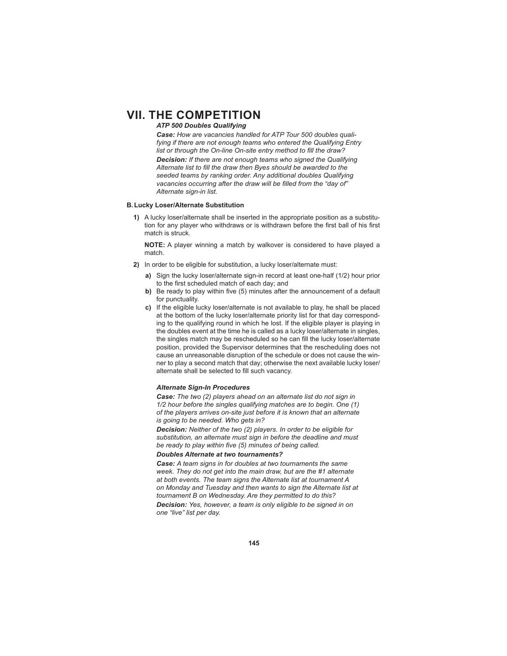# *ATP 500 Doubles Qualifying*

*Case: How are vacancies handled for ATP Tour 500 doubles qualifying if there are not enough teams who entered the Qualifying Entry*  list or through the On-line On-site entry method to fill the draw?

*Decision: If there are not enough teams who signed the Qualifying*  Alternate list to fill the draw then Byes should be awarded to the *seeded teams by ranking order. Any additional doubles Qualifying*  vacancies occurring after the draw will be filled from the "day of" *Alternate sign-in list.*

### **B. Lucky Loser/Alternate Substitution**

**1)** A lucky loser/alternate shall be inserted in the appropriate position as a substitution for any player who withdraws or is withdrawn before the first ball of his first match is struck.

**NOTE:** A player winning a match by walkover is considered to have played a match.

- **2)** In order to be eligible for substitution, a lucky loser/alternate must:
	- **a)** Sign the lucky loser/alternate sign-in record at least one-half (1/2) hour prior to the first scheduled match of each day; and
	- **b)** Be ready to play within five (5) minutes after the announcement of a default for punctuality.
	- **c)** If the eligible lucky loser/alternate is not available to play, he shall be placed at the bottom of the lucky loser/alternate priority list for that day corresponding to the qualifying round in which he lost. If the eligible player is playing in the doubles event at the time he is called as a lucky loser/alternate in singles, the singles match may be rescheduled so he can fill the lucky loser/alternate position, provided the Supervisor determines that the rescheduling does not cause an unreasonable disruption of the schedule or does not cause the winner to play a second match that day; otherwise the next available lucky loser/ alternate shall be selected to fill such vacancy.

### *Alternate Sign-In Procedures*

*Case: The two (2) players ahead on an alternate list do not sign in 1/2 hour before the singles qualifying matches are to begin. One (1) of the players arrives on-site just before it is known that an alternate is going to be needed. Who gets in?*

*Decision: Neither of the two (2) players. In order to be eligible for substitution, an alternate must sign in before the deadline and must*  be ready to play within five (5) minutes of being called.

# *Doubles Alternate at two tournaments?*

*Case: A team signs in for doubles at two tournaments the same week. They do not get into the main draw, but are the #1 alternate at both events. The team signs the Alternate list at tournament A on Monday and Tuesday and then wants to sign the Alternate list at tournament B on Wednesday. Are they permitted to do this? Decision: Yes, however, a team is only eligible to be signed in on one "live" list per day.*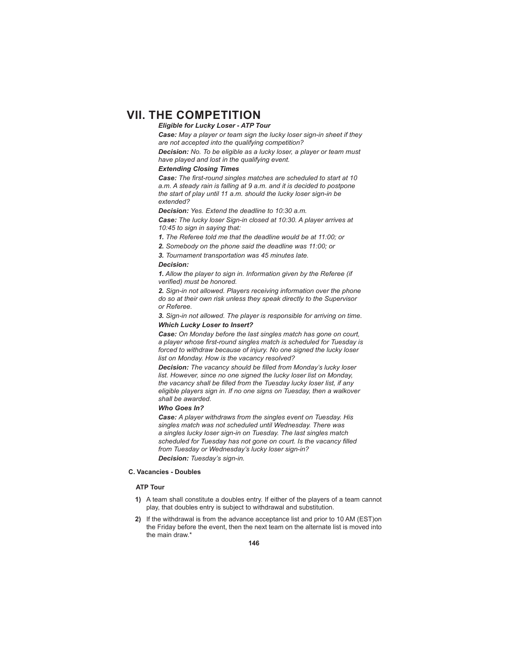# *Eligible for Lucky Loser - ATP Tour*

*Case: May a player or team sign the lucky loser sign-in sheet if they are not accepted into the qualifying competition?*

*Decision: No. To be eligible as a lucky loser, a player or team must have played and lost in the qualifying event.* 

### *Extending Closing Times*

**Case:** The first-round singles matches are scheduled to start at 10 *a.m. A steady rain is falling at 9 a.m. and it is decided to postpone the start of play until 11 a.m. should the lucky loser sign-in be extended?*

*Decision: Yes. Extend the deadline to 10:30 a.m.* 

*Case: The lucky loser Sign-in closed at 10:30. A player arrives at 10:45 to sign in saying that:*

*1. The Referee told me that the deadline would be at 11:00; or*

*2. Somebody on the phone said the deadline was 11:00; or*

*3. Tournament transportation was 45 minutes late.*

#### *Decision:*

*1. Allow the player to sign in. Information given by the Referee (if verified)* must be honored.

*2. Sign-in not allowed. Players receiving information over the phone do so at their own risk unless they speak directly to the Supervisor or Referee.*

*3. Sign-in not allowed. The player is responsible for arriving on time. Which Lucky Loser to Insert?*

*Case: On Monday before the last singles match has gone on court,*  a player whose first-round singles match is scheduled for Tuesday is *forced to withdraw because of injury. No one signed the lucky loser list on Monday. How is the vacancy resolved?*

**Decision:** The vacancy should be filled from Monday's lucky loser *list. However, since no one signed the lucky loser list on Monday,*  the vacancy shall be filled from the Tuesday lucky loser list, if any *eligible players sign in. If no one signs on Tuesday, then a walkover shall be awarded.* 

#### *Who Goes In?*

*Case: A player withdraws from the singles event on Tuesday. His singles match was not scheduled until Wednesday. There was a singles lucky loser sign-in on Tuesday. The last singles match*  scheduled for Tuesday has not gone on court. Is the vacancy filled *from Tuesday or Wednesday's lucky loser sign-in? Decision: Tuesday's sign-in.*

### **C. Vacancies - Doubles**

# **ATP Tour**

- **1)** A team shall constitute a doubles entry. If either of the players of a team cannot play, that doubles entry is subject to withdrawal and substitution.
- **2)** If the withdrawal is from the advance acceptance list and prior to 10 AM (EST)on the Friday before the event, then the next team on the alternate list is moved into the main draw.\*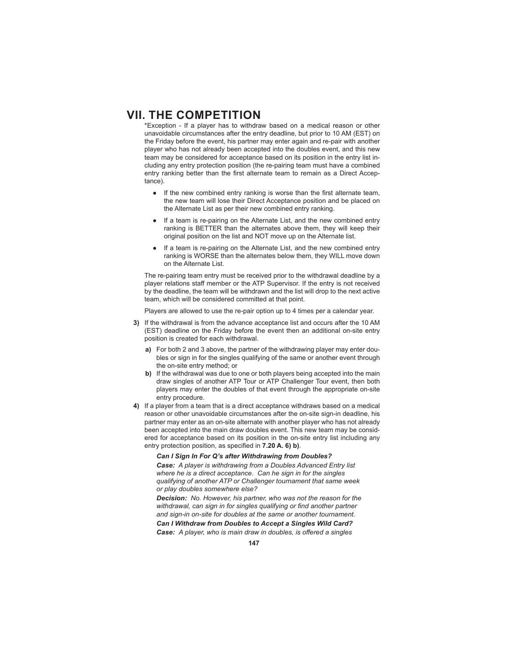\*Exception - If a player has to withdraw based on a medical reason or other unavoidable circumstances after the entry deadline, but prior to 10 AM (EST) on the Friday before the event, his partner may enter again and re-pair with another player who has not already been accepted into the doubles event, and this new team may be considered for acceptance based on its position in the entry list including any entry protection position (the re-pairing team must have a combined entry ranking better than the first alternate team to remain as a Direct Acceptance).

- If the new combined entry ranking is worse than the first alternate team, the new team will lose their Direct Acceptance position and be placed on the Alternate List as per their new combined entry ranking.
- If a team is re-pairing on the Alternate List, and the new combined entry ranking is BETTER than the alternates above them, they will keep their original position on the list and NOT move up on the Alternate list.
- If a team is re-pairing on the Alternate List, and the new combined entry ranking is WORSE than the alternates below them, they WILL move down on the Alternate List.

 The re-pairing team entry must be received prior to the withdrawal deadline by a player relations staff member or the ATP Supervisor. If the entry is not received by the deadline, the team will be withdrawn and the list will drop to the next active team, which will be considered committed at that point.

Players are allowed to use the re-pair option up to 4 times per a calendar year.

- **3)** If the withdrawal is from the advance acceptance list and occurs after the 10 AM (EST) deadline on the Friday before the event then an additional on-site entry position is created for each withdrawal.
	- **a)** For both 2 and 3 above, the partner of the withdrawing player may enter doubles or sign in for the singles qualifying of the same or another event through the on-site entry method; or
	- **b)** If the withdrawal was due to one or both players being accepted into the main draw singles of another ATP Tour or ATP Challenger Tour event, then both players may enter the doubles of that event through the appropriate on-site entry procedure.
- **4)** If a player from a team that is a direct acceptance withdraws based on a medical reason or other unavoidable circumstances after the on-site sign-in deadline, his partner may enter as an on-site alternate with another player who has not already been accepted into the main draw doubles event. This new team may be considered for acceptance based on its position in the on-site entry list including any entry protection position, as specified in **7.20 A. 6) b)**.

*Can I Sign In For Q's after Withdrawing from Doubles?*

*Case: A player is withdrawing from a Doubles Advanced Entry list where he is a direct acceptance. Can he sign in for the singles qualifying of another ATP or Challenger tournament that same week or play doubles somewhere else?*

*Decision: No. However, his partner, who was not the reason for the*  withdrawal, can sign in for singles qualifying or find another partner *and sign-in on-site for doubles at the same or another tournament.*

*Can I Withdraw from Doubles to Accept a Singles Wild Card?*

**Case:** A player, who is main draw in doubles, is offered a singles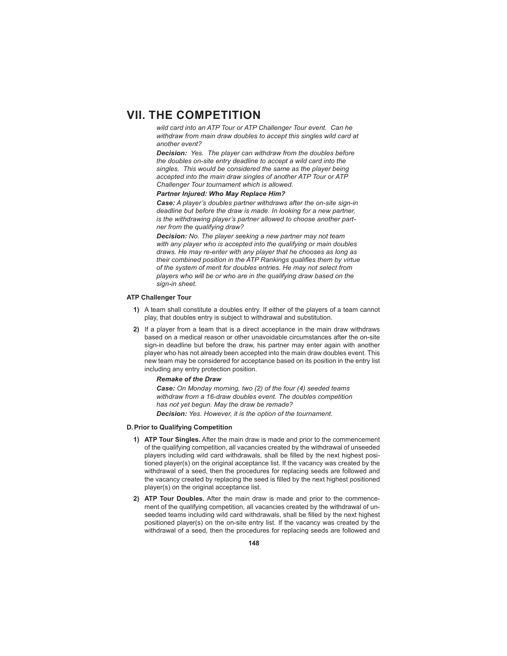*wild card into an ATP Tour or ATP Challenger Tour event. Can he withdraw from main draw doubles to accept this singles wild card at another event?*

*Decision: Yes. The player can withdraw from the doubles before the doubles on-site entry deadline to accept a wild card into the singles. This would be considered the same as the player being accepted into the main draw singles of another ATP Tour or ATP Challenger Tour tournament which is allowed.*

#### *Partner Injured: Who May Replace Him?*

*Case: A player's doubles partner withdraws after the on-site sign-in deadline but before the draw is made. In looking for a new partner, is the withdrawing player's partner allowed to choose another partner from the qualifying draw?*

*Decision: No. The player seeking a new partner may not team with any player who is accepted into the qualifying or main doubles draws. He may re-enter with any player that he chooses as long as*  their combined position in the ATP Rankings qualifies them by virtue *of the system of merit for doubles entries. He may not select from players who will be or who are in the qualifying draw based on the sign-in sheet.*

### **ATP Challenger Tour**

- **1)** A team shall constitute a doubles entry. If either of the players of a team cannot play, that doubles entry is subject to withdrawal and substitution.
- **2)** If a player from a team that is a direct acceptance in the main draw withdraws based on a medical reason or other unavoidable circumstances after the on-site sign-in deadline but before the draw, his partner may enter again with another player who has not already been accepted into the main draw doubles event. This new team may be considered for acceptance based on its position in the entry list including any entry protection position.

# *Remake of the Draw*

*Case: On Monday morning, two (2) of the four (4) seeded teams withdraw from a 16-draw doubles event. The doubles competition has not yet begun. May the draw be remade? Decision: Yes. However, it is the option of the tournament.* 

#### **D. Prior to Qualifying Competition**

- **1) ATP Tour Singles.** After the main draw is made and prior to the commencement of the qualifying competition, all vacancies created by the withdrawal of unseeded players including wild card withdrawals, shall be filled by the next highest positioned player(s) on the original acceptance list. If the vacancy was created by the withdrawal of a seed, then the procedures for replacing seeds are followed and the vacancy created by replacing the seed is filled by the next highest positioned player(s) on the original acceptance list.
- **2) ATP Tour Doubles.** After the main draw is made and prior to the commencement of the qualifying competition, all vacancies created by the withdrawal of unseeded teams including wild card withdrawals, shall be filled by the next highest positioned player(s) on the on-site entry list. If the vacancy was created by the withdrawal of a seed, then the procedures for replacing seeds are followed and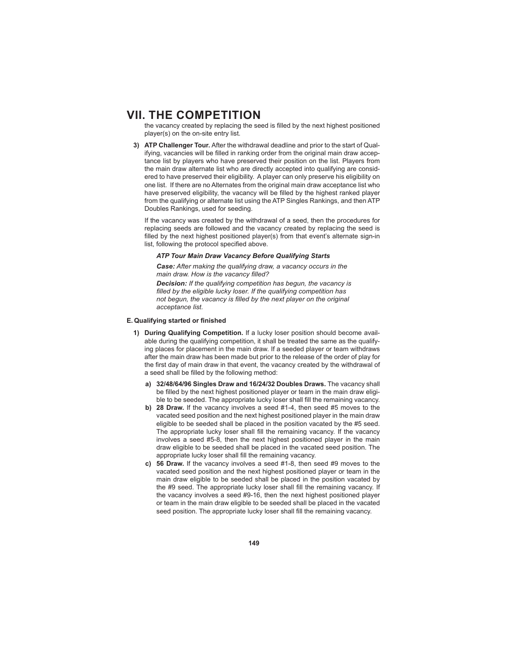the vacancy created by replacing the seed is filled by the next highest positioned player(s) on the on-site entry list.

**3) ATP Challenger Tour.** After the withdrawal deadline and prior to the start of Qualifying, vacancies will be filled in ranking order from the original main draw acceptance list by players who have preserved their position on the list. Players from the main draw alternate list who are directly accepted into qualifying are considered to have preserved their eligibility. A player can only preserve his eligibility on one list. If there are no Alternates from the original main draw acceptance list who have preserved eligibility, the vacancy will be filled by the highest ranked player from the qualifying or alternate list using the ATP Singles Rankings, and then ATP Doubles Rankings, used for seeding.

 If the vacancy was created by the withdrawal of a seed, then the procedures for replacing seeds are followed and the vacancy created by replacing the seed is filled by the next highest positioned player(s) from that event's alternate sign-in list, following the protocol specified above.

### *ATP Tour Main Draw Vacancy Before Qualifying Starts*

*Case: After making the qualifying draw, a vacancy occurs in the*  main draw. How is the vacancy filled?

*Decision: If the qualifying competition has begun, the vacancy is*  filled by the eligible lucky loser. If the qualifying competition has *not begun, the vacancy is filled by the next player on the original acceptance list.* 

### **E. Qualifying started or finished**

- **1) During Qualifying Competition.** If a lucky loser position should become available during the qualifying competition, it shall be treated the same as the qualifying places for placement in the main draw. If a seeded player or team withdraws after the main draw has been made but prior to the release of the order of play for the first day of main draw in that event, the vacancy created by the withdrawal of a seed shall be filled by the following method:
	- **a) 32/48/64/96 Singles Draw and 16/24/32 Doubles Draws.** The vacancy shall be filled by the next highest positioned player or team in the main draw eligible to be seeded. The appropriate lucky loser shall fill the remaining vacancy.
	- **b) 28 Draw.** If the vacancy involves a seed #1-4, then seed #5 moves to the vacated seed position and the next highest positioned player in the main draw eligible to be seeded shall be placed in the position vacated by the #5 seed. The appropriate lucky loser shall fill the remaining vacancy. If the vacancy involves a seed #5-8, then the next highest positioned player in the main draw eligible to be seeded shall be placed in the vacated seed position. The appropriate lucky loser shall fill the remaining vacancy.
	- **c) 56 Draw.** If the vacancy involves a seed #1-8, then seed #9 moves to the vacated seed position and the next highest positioned player or team in the main draw eligible to be seeded shall be placed in the position vacated by the #9 seed. The appropriate lucky loser shall fill the remaining vacancy. If the vacancy involves a seed #9-16, then the next highest positioned player or team in the main draw eligible to be seeded shall be placed in the vacated seed position. The appropriate lucky loser shall fill the remaining vacancy.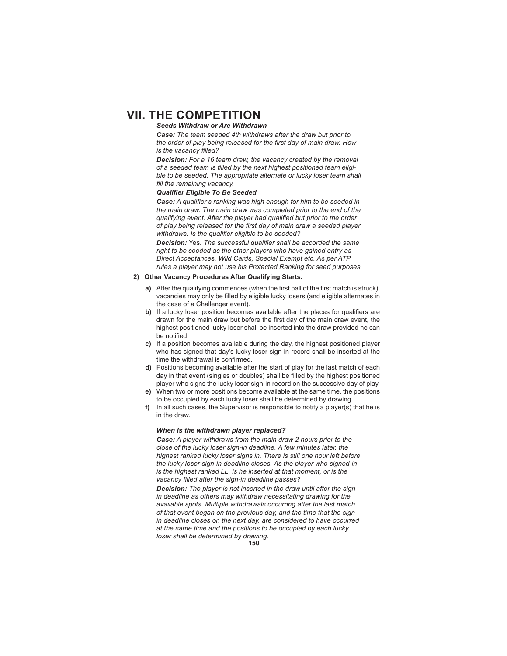# *Seeds Withdraw or Are Withdrawn*

*Case: The team seeded 4th withdraws after the draw but prior to the order of play being released for the fi rst day of main draw. How is the vacancy filled?* 

*Decision: For a 16 team draw, the vacancy created by the removal*  of a seeded team is filled by the next highest positioned team eligi*ble to be seeded. The appropriate alternate or lucky loser team shall*  fill the remaining vacancy.

# **Qualifier Eligible To Be Seeded**

**Case:** A qualifier's ranking was high enough for him to be seeded in *the main draw. The main draw was completed prior to the end of the qualifying event. After the player had qualified but prior to the order* of play being released for the first day of main draw a seeded player withdraws. Is the qualifier eligible to be seeded?

**Decision:** Yes. The successful qualifier shall be accorded the same *right to be seeded as the other players who have gained entry as Direct Acceptances, Wild Cards, Special Exempt etc. As per ATP rules a player may not use his Protected Ranking for seed purposes*

### **2) Other Vacancy Procedures After Qualifying Starts.**

- **a)** After the qualifying commences (when the first ball of the first match is struck), vacancies may only be filled by eligible lucky losers (and eligible alternates in the case of a Challenger event).
- **b)** If a lucky loser position becomes available after the places for qualifiers are drawn for the main draw but before the first day of the main draw event, the highest positioned lucky loser shall be inserted into the draw provided he can he notified.
- **c)** If a position becomes available during the day, the highest positioned player who has signed that day's lucky loser sign-in record shall be inserted at the time the withdrawal is confirmed.
- **d)** Positions becoming available after the start of play for the last match of each day in that event (singles or doubles) shall be filled by the highest positioned player who signs the lucky loser sign-in record on the successive day of play.
- **e)** When two or more positions become available at the same time, the positions to be occupied by each lucky loser shall be determined by drawing.
- **f)** In all such cases, the Supervisor is responsible to notify a player(s) that he is in the draw.

### *When is the withdrawn player replaced?*

*Case: A player withdraws from the main draw 2 hours prior to the close of the lucky loser sign-in deadline. A few minutes later, the highest ranked lucky loser signs in. There is still one hour left before the lucky loser sign-in deadline closes. As the player who signed-in is the highest ranked LL, is he inserted at that moment, or is the vacancy fi lled after the sign-in deadline passes?*

*Decision: The player is not inserted in the draw until after the signin deadline as others may withdraw necessitating drawing for the available spots. Multiple withdrawals occurring after the last match of that event began on the previous day, and the time that the signin deadline closes on the next day, are considered to have occurred at the same time and the positions to be occupied by each lucky loser shall be determined by drawing.*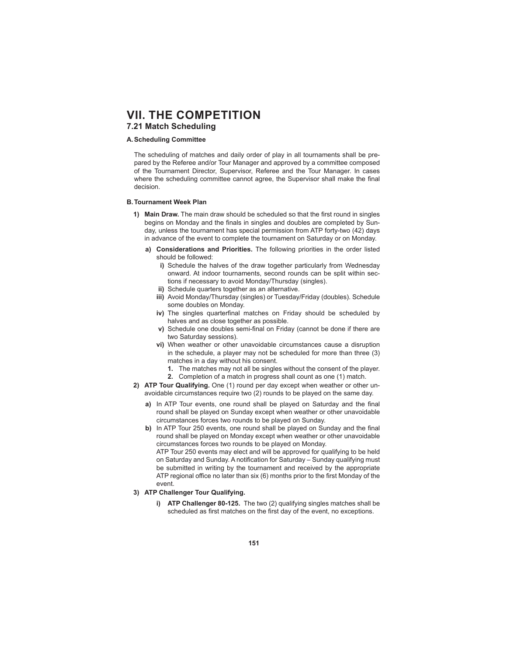# **VII. THE COMPETITION 7.21 Match Scheduling**

# **A. Scheduling Committee**

 The scheduling of matches and daily order of play in all tournaments shall be prepared by the Referee and/or Tour Manager and approved by a committee composed of the Tournament Director, Supervisor, Referee and the Tour Manager. In cases where the scheduling committee cannot agree, the Supervisor shall make the final decision.

# **B. Tournament Week Plan**

- 1) Main Draw. The main draw should be scheduled so that the first round in singles begins on Monday and the finals in singles and doubles are completed by Sunday, unless the tournament has special permission from ATP forty-two (42) days in advance of the event to complete the tournament on Saturday or on Monday.
	- **a) Considerations and Priorities.** The following priorities in the order listed should be followed:
		- **i)** Schedule the halves of the draw together particularly from Wednesday onward. At indoor tournaments, second rounds can be split within sections if necessary to avoid Monday/Thursday (singles).
		- **ii)** Schedule quarters together as an alternative.
		- **iii)** Avoid Monday/Thursday (singles) or Tuesday/Friday (doubles). Schedule some doubles on Monday.
		- iv) The singles quarterfinal matches on Friday should be scheduled by halves and as close together as possible.
		- **v)** Schedule one doubles semi-final on Friday (cannot be done if there are two Saturday sessions).
		- **vi)** When weather or other unavoidable circumstances cause a disruption in the schedule, a player may not be scheduled for more than three (3) matches in a day without his consent.
			- **1.** The matches may not all be singles without the consent of the player.
			- **2.** Completion of a match in progress shall count as one (1) match.
- **2) ATP Tour Qualifying.** One (1) round per day except when weather or other unavoidable circumstances require two (2) rounds to be played on the same day.
	- a) In ATP Tour events, one round shall be played on Saturday and the final round shall be played on Sunday except when weather or other unavoidable circumstances forces two rounds to be played on Sunday.
	- **b)** In ATP Tour 250 events, one round shall be played on Sunday and the final round shall be played on Monday except when weather or other unavoidable circumstances forces two rounds to be played on Monday.

 ATP Tour 250 events may elect and will be approved for qualifying to be held on Saturday and Sunday. A notification for Saturday – Sunday qualifying must be submitted in writing by the tournament and received by the appropriate ATP regional office no later than six (6) months prior to the first Monday of the event.

- **3) ATP Challenger Tour Qualifying.**
	- **i) ATP Challenger 80-125.** The two (2) qualifying singles matches shall be scheduled as first matches on the first day of the event, no exceptions.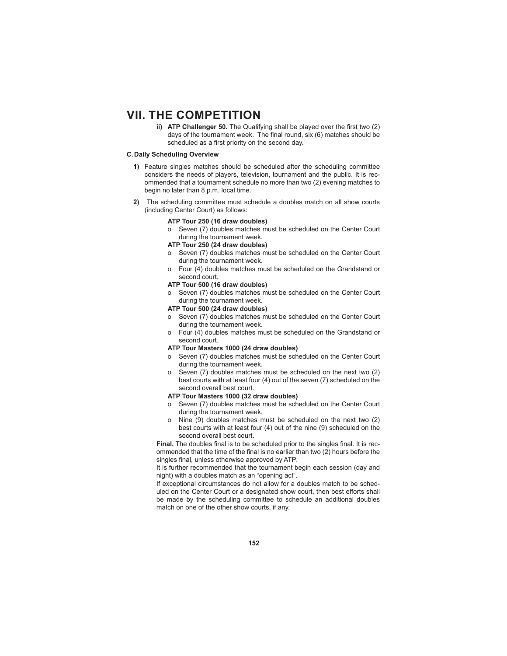**ii) ATP Challenger 50.** The Qualifying shall be played over the first two (2) days of the tournament week. The final round,  $six(6)$  matches should be scheduled as a first priority on the second day.

# **C. Daily Scheduling Overview**

- **1)** Feature singles matches should be scheduled after the scheduling committee considers the needs of players, television, tournament and the public. It is recommended that a tournament schedule no more than two (2) evening matches to begin no later than 8 p.m. local time.
- **2)** The scheduling committee must schedule a doubles match on all show courts (including Center Court) as follows:

#### **ATP Tour 250 (16 draw doubles)**

o Seven (7) doubles matches must be scheduled on the Center Court during the tournament week.

# **ATP Tour 250 (24 draw doubles)**

- o Seven (7) doubles matches must be scheduled on the Center Court during the tournament week.
- o Four (4) doubles matches must be scheduled on the Grandstand or second court.

#### **ATP Tour 500 (16 draw doubles)**

o Seven (7) doubles matches must be scheduled on the Center Court during the tournament week.

# **ATP Tour 500 (24 draw doubles)**

- o Seven (7) doubles matches must be scheduled on the Center Court during the tournament week.
- o Four (4) doubles matches must be scheduled on the Grandstand or second court.

#### **ATP Tour Masters 1000 (24 draw doubles)**

- o Seven (7) doubles matches must be scheduled on the Center Court during the tournament week.
- o Seven (7) doubles matches must be scheduled on the next two (2) best courts with at least four (4) out of the seven (7) scheduled on the second overall best court.

# **ATP Tour Masters 1000 (32 draw doubles)**

- o Seven (7) doubles matches must be scheduled on the Center Court during the tournament week.
- o Nine (9) doubles matches must be scheduled on the next two (2) best courts with at least four (4) out of the nine (9) scheduled on the second overall best court.

Final. The doubles final is to be scheduled prior to the singles final. It is recommended that the time of the final is no earlier than two (2) hours before the singles final, unless otherwise approved by ATP.

 It is further recommended that the tournament begin each session (day and night) with a doubles match as an "opening act".

 If exceptional circumstances do not allow for a doubles match to be scheduled on the Center Court or a designated show court, then best efforts shall be made by the scheduling committee to schedule an additional doubles match on one of the other show courts, if any.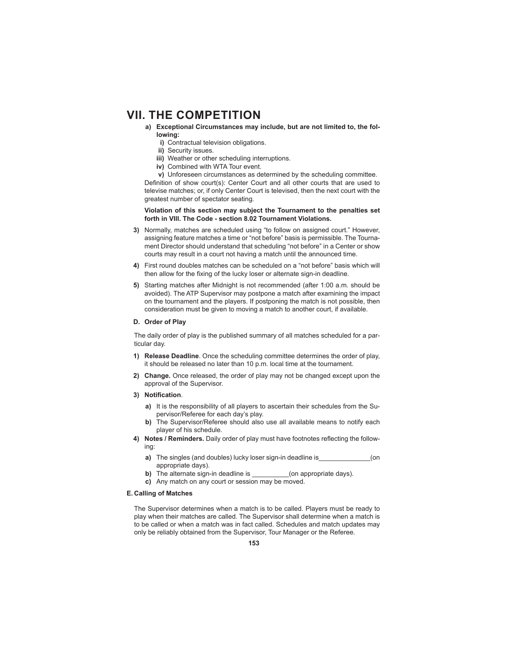- **a) Exceptional Circumstances may include, but are not limited to, the following:**
	- **i)** Contractual television obligations.
	- **ii)** Security issues.
	- **iii)** Weather or other scheduling interruptions.
	- **iv)** Combined with WTA Tour event.

 **v)** Unforeseen circumstances as determined by the scheduling committee. Definition of show court(s): Center Court and all other courts that are used to televise matches; or, if only Center Court is televised, then the next court with the greatest number of spectator seating.

### **Violation of this section may subject the Tournament to the penalties set forth in VIII. The Code - section 8.02 Tournament Violations.**

- **3)** Normally, matches are scheduled using "to follow on assigned court." However, assigning feature matches a time or "not before" basis is permissible. The Tournament Director should understand that scheduling "not before" in a Center or show courts may result in a court not having a match until the announced time.
- **4)** First round doubles matches can be scheduled on a "not before" basis which will then allow for the fixing of the lucky loser or alternate sign-in deadline.
- **5)** Starting matches after Midnight is not recommended (after 1:00 a.m. should be avoided). The ATP Supervisor may postpone a match after examining the impact on the tournament and the players. If postponing the match is not possible, then consideration must be given to moving a match to another court, if available.

### **D. Order of Play**

 The daily order of play is the published summary of all matches scheduled for a particular day.

- **1) Release Deadline**. Once the scheduling committee determines the order of play, it should be released no later than 10 p.m. local time at the tournament.
- **2) Change.** Once released, the order of play may not be changed except upon the approval of the Supervisor.
- **3)** Notification.
	- **a)** It is the responsibility of all players to ascertain their schedules from the Supervisor/Referee for each day's play.
	- **b)** The Supervisor/Referee should also use all available means to notify each player of his schedule.
- 4) Notes / Reminders. Daily order of play must have footnotes reflecting the following:
	- **a)** The singles (and doubles) lucky loser sign-in deadline is  $\qquad \qquad$  (on appropriate days).
	- **b)** The alternate sign-in deadline is \_\_\_\_\_\_\_\_\_\_(on appropriate days).
	- **c)** Any match on any court or session may be moved.

#### **E. Calling of Matches**

 The Supervisor determines when a match is to be called. Players must be ready to play when their matches are called. The Supervisor shall determine when a match is to be called or when a match was in fact called. Schedules and match updates may only be reliably obtained from the Supervisor, Tour Manager or the Referee.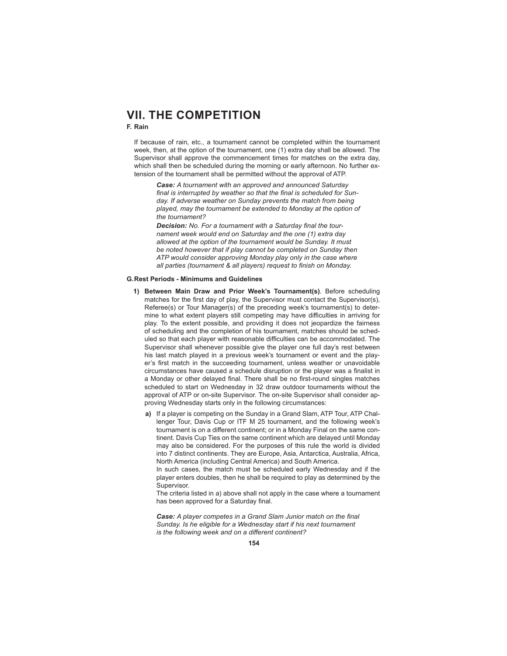# **F. Rain**

 If because of rain, etc., a tournament cannot be completed within the tournament week, then, at the option of the tournament, one (1) extra day shall be allowed. The Supervisor shall approve the commencement times for matches on the extra day, which shall then be scheduled during the morning or early afternoon. No further extension of the tournament shall be permitted without the approval of ATP.

*Case: A tournament with an approved and announced Saturday*  final is interrupted by weather so that the final is scheduled for Sun*day. If adverse weather on Sunday prevents the match from being played, may the tournament be extended to Monday at the option of the tournament?*

**Decision:** No. For a tournament with a Saturday final the tour*nament week would end on Saturday and the one (1) extra day allowed at the option of the tournament would be Sunday. It must be noted however that if play cannot be completed on Sunday then ATP would consider approving Monday play only in the case where*  all parties (tournament & all players) request to finish on Monday.

#### **G. Rest Periods - Minimums and Guidelines**

- **1) Between Main Draw and Prior Week's Tournament(s)**. Before scheduling matches for the first day of play, the Supervisor must contact the Supervisor(s), Referee(s) or Tour Manager(s) of the preceding week's tournament(s) to determine to what extent players still competing may have difficulties in arriving for play. To the extent possible, and providing it does not jeopardize the fairness of scheduling and the completion of his tournament, matches should be scheduled so that each player with reasonable difficulties can be accommodated. The Supervisor shall whenever possible give the player one full day's rest between his last match played in a previous week's tournament or event and the player's first match in the succeeding tournament, unless weather or unavoidable circumstances have caused a schedule disruption or the player was a finalist in a Monday or other delayed final. There shall be no first-round singles matches scheduled to start on Wednesday in 32 draw outdoor tournaments without the approval of ATP or on-site Supervisor. The on-site Supervisor shall consider approving Wednesday starts only in the following circumstances:
	- **a)** If a player is competing on the Sunday in a Grand Slam, ATP Tour, ATP Challenger Tour, Davis Cup or ITF M 25 tournament, and the following week's tournament is on a different continent; or in a Monday Final on the same continent. Davis Cup Ties on the same continent which are delayed until Monday may also be considered. For the purposes of this rule the world is divided into 7 distinct continents. They are Europe, Asia, Antarctica, Australia, Africa, North America (including Central America) and South America.

 In such cases, the match must be scheduled early Wednesday and if the player enters doubles, then he shall be required to play as determined by the Supervisor.

 The criteria listed in a) above shall not apply in the case where a tournament has been approved for a Saturday final.

**Case:** A player competes in a Grand Slam Junior match on the final *Sunday. Is he eligible for a Wednesday start if his next tournament is the following week and on a different continent?*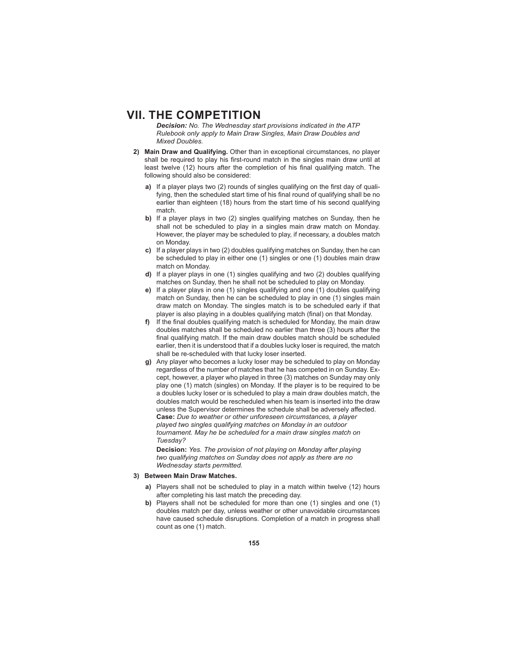*Decision: No. The Wednesday start provisions indicated in the ATP Rulebook only apply to Main Draw Singles, Main Draw Doubles and Mixed Doubles.*

- **2) Main Draw and Qualifying.** Other than in exceptional circumstances, no player shall be required to play his first-round match in the singles main draw until at least twelve (12) hours after the completion of his final qualifying match. The following should also be considered:
	- a) If a player plays two (2) rounds of singles qualifying on the first day of qualifying, then the scheduled start time of his final round of qualifying shall be no earlier than eighteen (18) hours from the start time of his second qualifying match.
	- **b)** If a player plays in two (2) singles qualifying matches on Sunday, then he shall not be scheduled to play in a singles main draw match on Monday. However, the player may be scheduled to play, if necessary, a doubles match on Monday.
	- **c)** If a player plays in two (2) doubles qualifying matches on Sunday, then he can be scheduled to play in either one (1) singles or one (1) doubles main draw match on Monday.
	- **d)** If a player plays in one (1) singles qualifying and two (2) doubles qualifying matches on Sunday, then he shall not be scheduled to play on Monday.
	- **e)** If a player plays in one (1) singles qualifying and one (1) doubles qualifying match on Sunday, then he can be scheduled to play in one (1) singles main draw match on Monday. The singles match is to be scheduled early if that player is also playing in a doubles qualifying match (final) on that Monday.
	- f) If the final doubles qualifying match is scheduled for Monday, the main draw doubles matches shall be scheduled no earlier than three (3) hours after the final qualifying match. If the main draw doubles match should be scheduled earlier, then it is understood that if a doubles lucky loser is required, the match shall be re-scheduled with that lucky loser inserted.
	- **g)** Any player who becomes a lucky loser may be scheduled to play on Monday regardless of the number of matches that he has competed in on Sunday. Except, however, a player who played in three (3) matches on Sunday may only play one (1) match (singles) on Monday. If the player is to be required to be a doubles lucky loser or is scheduled to play a main draw doubles match, the doubles match would be rescheduled when his team is inserted into the draw unless the Supervisor determines the schedule shall be adversely affected. **Case:** *Due to weather or other unforeseen circumstances, a player played two singles qualifying matches on Monday in an outdoor tournament. May he be scheduled for a main draw singles match on Tuesday?*

**Decision:** *Yes. The provision of not playing on Monday after playing two qualifying matches on Sunday does not apply as there are no Wednesday starts permitted.*

# **3) Between Main Draw Matches.**

- **a)** Players shall not be scheduled to play in a match within twelve (12) hours after completing his last match the preceding day.
- **b)** Players shall not be scheduled for more than one (1) singles and one (1) doubles match per day, unless weather or other unavoidable circumstances have caused schedule disruptions. Completion of a match in progress shall count as one (1) match.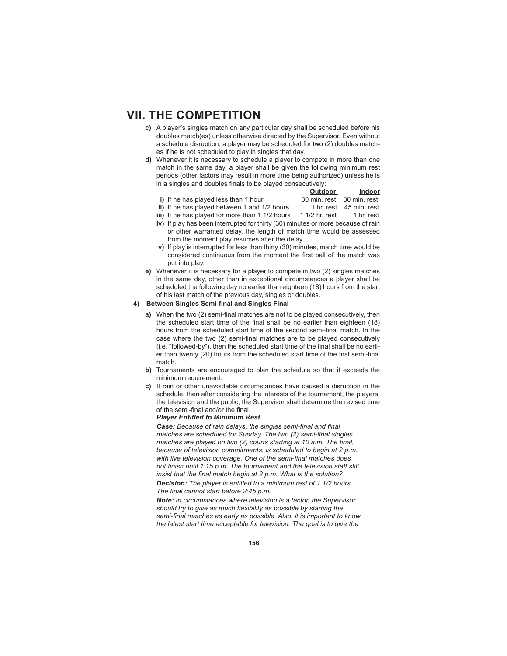- **c)** A player's singles match on any particular day shall be scheduled before his doubles match(es) unless otherwise directed by the Supervisor. Even without a schedule disruption, a player may be scheduled for two (2) doubles matches if he is not scheduled to play in singles that day.
- **d)** Whenever it is necessary to schedule a player to compete in more than one match in the same day, a player shall be given the following minimum rest periods (other factors may result in more time being authorized) unless he is in a singles and doubles finals to be played consecutively:

|                                      | Outdoor                   | Indoor |
|--------------------------------------|---------------------------|--------|
| i) If he has played less than 1 hour | 30 min. rest 30 min. rest |        |
|                                      |                           |        |

ii) If he has played between 1 and 1/2 hours 1 hr. rest 45 min. rest

**iii)** If he has played for more than 1 1/2 hours 1 1/2 hr. rest 1 hr. rest

- **iv)** If play has been interrupted for thirty (30) minutes or more because of rain or other warranted delay, the length of match time would be assessed from the moment play resumes after the delay.
- **v)** If play is interrupted for less than thirty (30) minutes, match time would be considered continuous from the moment the first ball of the match was put into play.
- **e)** Whenever it is necessary for a player to compete in two (2) singles matches in the same day, other than in exceptional circumstances a player shall be scheduled the following day no earlier than eighteen (18) hours from the start of his last match of the previous day, singles or doubles.

# **4)** Between Singles Semi-final and Singles Final

- **a)** When the two (2) semi-final matches are not to be played consecutively, then the scheduled start time of the final shall be no earlier than eighteen (18) hours from the scheduled start time of the second semi-final match. In the case where the two (2) semi-final matches are to be played consecutively (i.e. "followed-by"), then the scheduled start time of the final shall be no earlier than twenty  $(20)$  hours from the scheduled start time of the first semi-final match.
- **b)** Tournaments are encouraged to plan the schedule so that it exceeds the minimum requirement.
- **c)** If rain or other unavoidable circumstances have caused a disruption in the schedule, then after considering the interests of the tournament, the players, the television and the public, the Supervisor shall determine the revised time of the semi-final and/or the final.

#### *Player Entitled to Minimum Rest*

**Case:** Because of rain delays, the singles semi-final and final *matches are scheduled for Sunday. The two (2) semi-final singles matches are played on two (2) courts starting at 10 a.m. The final, because of television commitments, is scheduled to begin at 2 p.m.*  with live television coverage. One of the semi-final matches does *not finish until 1:15 p.m. The tournament and the television staff still insist that the final match begin at 2 p.m. What is the solution?* 

*Decision: The player is entitled to a minimum rest of 1 1/2 hours.*  The final cannot start before 2:45 p.m.

*Note: In circumstances where television is a factor, the Supervisor*  should try to give as much flexibility as possible by starting the semi-final matches as early as possible. Also, it is important to know *the latest start time acceptable for television. The goal is to give the*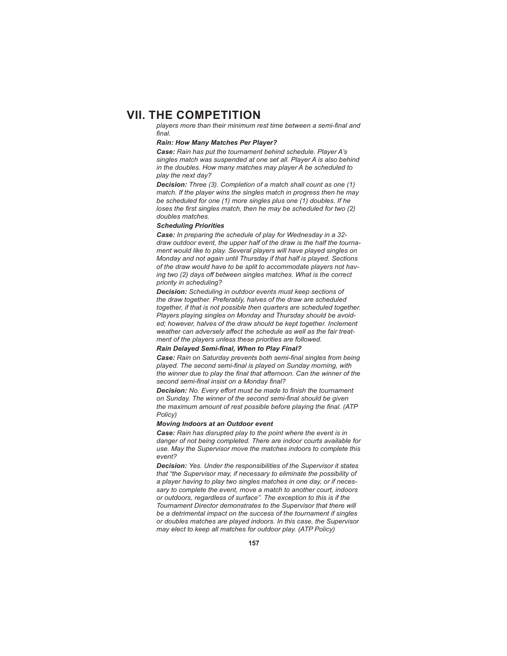players more than their minimum rest time between a semi-final and final.

#### *Rain: How Many Matches Per Player?*

*Case: Rain has put the tournament behind schedule. Player A's singles match was suspended at one set all. Player A is also behind in the doubles. How many matches may player A be scheduled to play the next day?*

*Decision: Three (3). Completion of a match shall count as one (1) match. If the player wins the singles match in progress then he may be scheduled for one (1) more singles plus one (1) doubles. If he loses the first singles match, then he may be scheduled for two (2) doubles matches.* 

#### *Scheduling Priorities*

*Case: In preparing the schedule of play for Wednesday in a 32 draw outdoor event, the upper half of the draw is the half the tournament would like to play. Several players will have played singles on Monday and not again until Thursday if that half is played. Sections of the draw would have to be split to accommodate players not having two (2) days off between singles matches. What is the correct priority in scheduling?*

*Decision: Scheduling in outdoor events must keep sections of the draw together. Preferably, halves of the draw are scheduled together, if that is not possible then quarters are scheduled together. Players playing singles on Monday and Thursday should be avoided; however, halves of the draw should be kept together. Inclement*  weather can adversely affect the schedule as well as the fair treat*ment of the players unless these priorities are followed.*

#### **Rain Delayed Semi-final, When to Play Final?**

**Case:** Rain on Saturday prevents both semi-final singles from being played. The second semi-final is played on Sunday morning, with the winner due to play the final that afternoon. Can the winner of the second semi-final insist on a Monday final?

**Decision:** No. Every effort must be made to finish the tournament on Sunday. The winner of the second semi-final should be given *the maximum amount of rest possible before playing the final. (ATP Policy)*

### *Moving Indoors at an Outdoor event*

*Case: Rain has disrupted play to the point where the event is in danger of not being completed. There are indoor courts available for use. May the Supervisor move the matches indoors to complete this event?*

*Decision: Yes. Under the responsibilities of the Supervisor it states that "the Supervisor may, if necessary to eliminate the possibility of a player having to play two singles matches in one day, or if necessary to complete the event, move a match to another court, indoors or outdoors, regardless of surface". The exception to this is if the Tournament Director demonstrates to the Supervisor that there will be a detrimental impact on the success of the tournament if singles or doubles matches are played indoors. In this case, the Supervisor may elect to keep all matches for outdoor play. (ATP Policy)*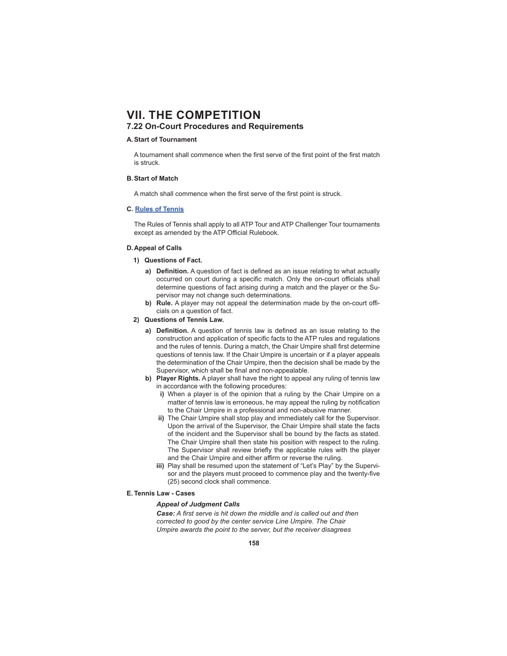# **7.22 On-Court Procedures and Requirements**

### **A. Start of Tournament**

A tournament shall commence when the first serve of the first point of the first match is struck.

### **B. Start of Match**

A match shall commence when the first serve of the first point is struck.

### **C. Rules of Tennis**

 The Rules of Tennis shall apply to all ATP Tour and ATP Challenger Tour tournaments except as amended by the ATP Official Rulebook.

### **D. Appeal of Calls**

- **1) Questions of Fact.** 
	- a) **Definition.** A question of fact is defined as an issue relating to what actually occurred on court during a specific match. Only the on-court officials shall determine questions of fact arising during a match and the player or the Supervisor may not change such determinations.
	- **b) Rule.** A player may not appeal the determination made by the on-court officials on a question of fact.
- **2) Questions of Tennis Law.** 
	- a) Definition. A question of tennis law is defined as an issue relating to the construction and application of specific facts to the ATP rules and regulations and the rules of tennis. During a match, the Chair Umpire shall first determine questions of tennis law. If the Chair Umpire is uncertain or if a player appeals the determination of the Chair Umpire, then the decision shall be made by the Supervisor, which shall be final and non-appealable.
	- **b) Player Rights.** A player shall have the right to appeal any ruling of tennis law in accordance with the following procedures:
		- **i)** When a player is of the opinion that a ruling by the Chair Umpire on a matter of tennis law is erroneous, he may appeal the ruling by notification to the Chair Umpire in a professional and non-abusive manner.
		- **ii)** The Chair Umpire shall stop play and immediately call for the Supervisor. Upon the arrival of the Supervisor, the Chair Umpire shall state the facts of the incident and the Supervisor shall be bound by the facts as stated. The Chair Umpire shall then state his position with respect to the ruling. The Supervisor shall review briefly the applicable rules with the player and the Chair Umpire and either affirm or reverse the ruling.
		- **iii)** Play shall be resumed upon the statement of "Let's Play" by the Supervisor and the players must proceed to commence play and the twenty-five (25) second clock shall commence.
- **E. Tennis Law Cases**

### *Appeal of Judgment Calls*

**Case:** A first serve is hit down the middle and is called out and then *corrected to good by the center service Line Umpire. The Chair Umpire awards the point to the server, but the receiver disagrees*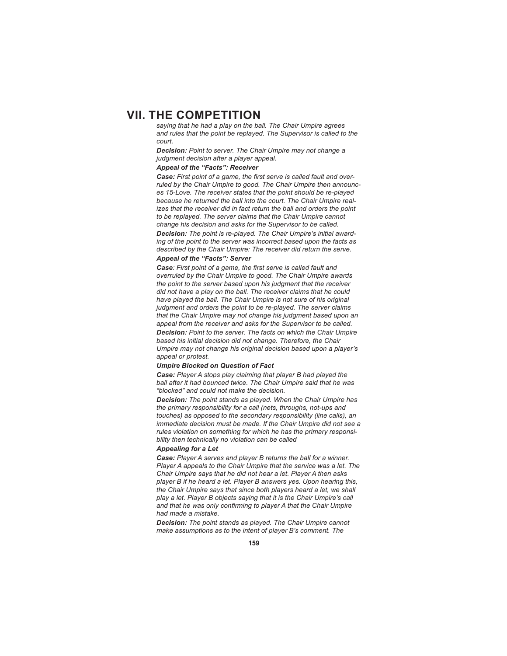*saying that he had a play on the ball. The Chair Umpire agrees and rules that the point be replayed. The Supervisor is called to the court.*

*Decision: Point to server. The Chair Umpire may not change a judgment decision after a player appeal.*

# *Appeal of the "Facts": Receiver*

**Case:** First point of a game, the first serve is called fault and over*ruled by the Chair Umpire to good. The Chair Umpire then announces 15-Love. The receiver states that the point should be re-played because he returned the ball into the court. The Chair Umpire realizes that the receiver did in fact return the ball and orders the point to be replayed. The server claims that the Chair Umpire cannot change his decision and asks for the Supervisor to be called.*

*Decision: The point is re-played. The Chair Umpire's initial awarding of the point to the server was incorrect based upon the facts as described by the Chair Umpire: The receiver did return the serve.* 

# *Appeal of the "Facts": Server*

Case: First point of a game, the first serve is called fault and *overruled by the Chair Umpire to good. The Chair Umpire awards the point to the server based upon his judgment that the receiver did not have a play on the ball. The receiver claims that he could have played the ball. The Chair Umpire is not sure of his original judgment and orders the point to be re-played. The server claims that the Chair Umpire may not change his judgment based upon an appeal from the receiver and asks for the Supervisor to be called.*

*Decision: Point to the server. The facts on which the Chair Umpire based his initial decision did not change. Therefore, the Chair Umpire may not change his original decision based upon a player's appeal or protest.*

#### *Umpire Blocked on Question of Fact*

*Case: Player A stops play claiming that player B had played the ball after it had bounced twice. The Chair Umpire said that he was "blocked" and could not make the decision.*

*Decision: The point stands as played. When the Chair Umpire has the primary responsibility for a call (nets, throughs, not-ups and touches) as opposed to the secondary responsibility (line calls), an immediate decision must be made. If the Chair Umpire did not see a rules violation on something for which he has the primary responsibility then technically no violation can be called*

### *Appealing for a Let*

*Case: Player A serves and player B returns the ball for a winner. Player A appeals to the Chair Umpire that the service was a let. The Chair Umpire says that he did not hear a let. Player A then asks player B if he heard a let. Player B answers yes. Upon hearing this, the Chair Umpire says that since both players heard a let, we shall play a let. Player B objects saying that it is the Chair Umpire's call*  and that he was only confirming to player A that the Chair Umpire *had made a mistake.*

*Decision: The point stands as played. The Chair Umpire cannot make assumptions as to the intent of player B's comment. The*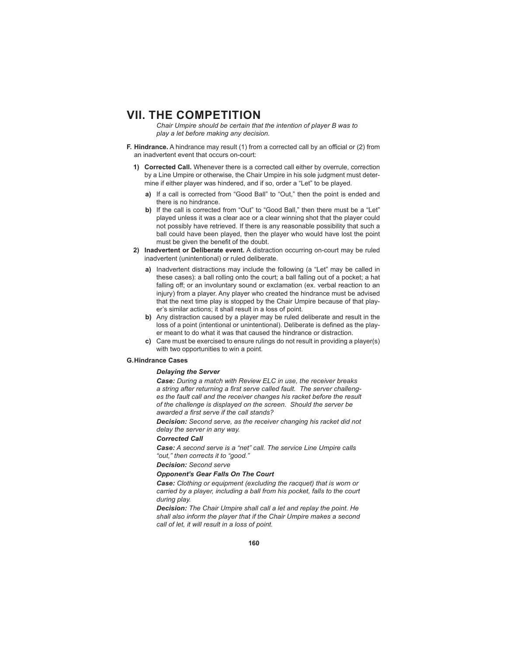*Chair Umpire should be certain that the intention of player B was to play a let before making any decision.* 

- **F. Hindrance.** A hindrance may result (1) from a corrected call by an official or (2) from an inadvertent event that occurs on-court:
	- **1) Corrected Call.** Whenever there is a corrected call either by overrule, correction by a Line Umpire or otherwise, the Chair Umpire in his sole judgment must determine if either player was hindered, and if so, order a "Let" to be played.
		- **a)** If a call is corrected from "Good Ball" to "Out," then the point is ended and there is no hindrance.
		- **b)** If the call is corrected from "Out" to "Good Ball," then there must be a "Let" played unless it was a clear ace or a clear winning shot that the player could not possibly have retrieved. If there is any reasonable possibility that such a ball could have been played, then the player who would have lost the point must be given the benefit of the doubt.
	- **2) Inadvertent or Deliberate event.** A distraction occurring on-court may be ruled inadvertent (unintentional) or ruled deliberate.
		- **a)** Inadvertent distractions may include the following (a "Let" may be called in these cases): a ball rolling onto the court; a ball falling out of a pocket; a hat falling off; or an involuntary sound or exclamation (ex. verbal reaction to an injury) from a player. Any player who created the hindrance must be advised that the next time play is stopped by the Chair Umpire because of that player's similar actions; it shall result in a loss of point.
		- **b)** Any distraction caused by a player may be ruled deliberate and result in the loss of a point (intentional or unintentional). Deliberate is defined as the player meant to do what it was that caused the hindrance or distraction.
		- **c)** Care must be exercised to ensure rulings do not result in providing a player(s) with two opportunities to win a point.

### **G. Hindrance Cases**

# *Delaying the Server*

*Case: During a match with Review ELC in use, the receiver breaks*  a string after returning a first serve called fault. The server challeng*es the fault call and the receiver changes his racket before the result of the challenge is displayed on the screen. Should the server be*  awarded a first serve if the call stands?

*Decision: Second serve, as the receiver changing his racket did not delay the server in any way.*

# *Corrected Call*

*Case: A second serve is a "net" call. The service Line Umpire calls "out," then corrects it to "good."*

# *Decision: Second serve*

### *Opponent's Gear Falls On The Court*

*Case: Clothing or equipment (excluding the racquet) that is worn or carried by a player, including a ball from his pocket, falls to the court during play.*

*Decision: The Chair Umpire shall call a let and replay the point. He shall also inform the player that if the Chair Umpire makes a second call of let, it will result in a loss of point.*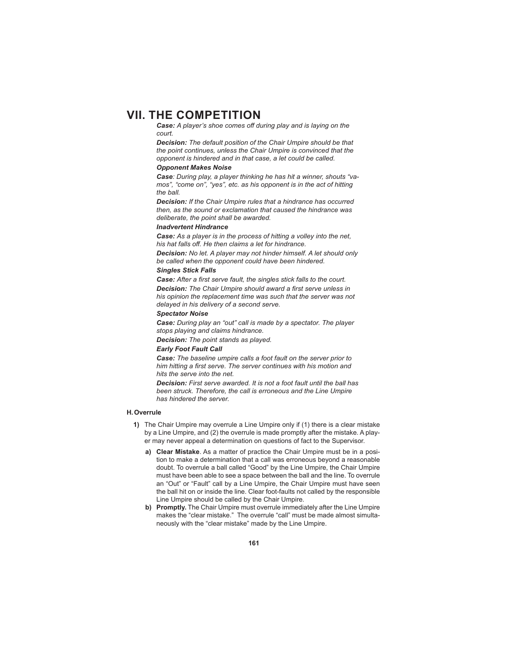*Case: A player's shoe comes off during play and is laying on the court.*

*Decision: The default position of the Chair Umpire should be that the point continues, unless the Chair Umpire is convinced that the opponent is hindered and in that case, a let could be called.*

### *Opponent Makes Noise*

*Case: During play, a player thinking he has hit a winner, shouts "vamos", "come on", "yes", etc. as his opponent is in the act of hitting the ball.*

*Decision: If the Chair Umpire rules that a hindrance has occurred then, as the sound or exclamation that caused the hindrance was deliberate, the point shall be awarded.* 

#### *Inadvertent Hindrance*

*Case: As a player is in the process of hitting a volley into the net, his hat falls off . He then claims a let for hindrance.*

*Decision: No let. A player may not hinder himself. A let should only be called when the opponent could have been hindered.*

# *Singles Stick Falls*

*Case: After a first serve fault, the singles stick falls to the court.* **Decision:** The Chair Umpire should award a first serve unless in *his opinion the replacement time was such that the server was not delayed in his delivery of a second serve.* 

# *Spectator Noise*

*Case: During play an "out" call is made by a spectator. The player stops playing and claims hindrance.*

*Decision: The point stands as played.* 

# *Early Foot Fault Call*

*Case: The baseline umpire calls a foot fault on the server prior to*  him hitting a first serve. The server continues with his motion and *hits the serve into the net.*

*Decision: First serve awarded. It is not a foot fault until the ball has been struck. Therefore, the call is erroneous and the Line Umpire has hindered the server.*

### **H. Overrule**

- **1)** The Chair Umpire may overrule a Line Umpire only if (1) there is a clear mistake by a Line Umpire, and (2) the overrule is made promptly after the mistake. A player may never appeal a determination on questions of fact to the Supervisor.
	- **a) Clear Mistake**. As a matter of practice the Chair Umpire must be in a position to make a determination that a call was erroneous beyond a reasonable doubt. To overrule a ball called "Good" by the Line Umpire, the Chair Umpire must have been able to see a space between the ball and the line. To overrule an "Out" or "Fault" call by a Line Umpire, the Chair Umpire must have seen the ball hit on or inside the line. Clear foot-faults not called by the responsible Line Umpire should be called by the Chair Umpire.
	- **b) Promptly.** The Chair Umpire must overrule immediately after the Line Umpire makes the "clear mistake." The overrule "call" must be made almost simultaneously with the "clear mistake" made by the Line Umpire.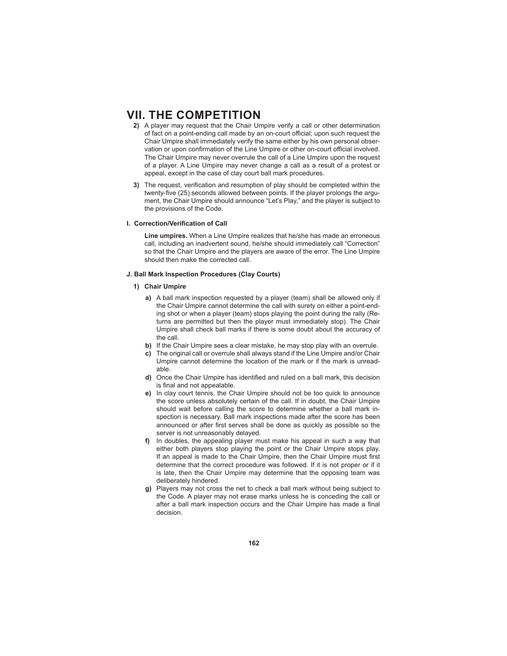- **2)** A player may request that the Chair Umpire verify a call or other determination of fact on a point-ending call made by an on-court official; upon such request the Chair Umpire shall immediately verify the same either by his own personal observation or upon confirmation of the Line Umpire or other on-court official involved. The Chair Umpire may never overrule the call of a Line Umpire upon the request of a player. A Line Umpire may never change a call as a result of a protest or appeal, except in the case of clay court ball mark procedures.
- **3)** The request, verification and resumption of play should be completed within the twenty-five (25) seconds allowed between points. If the player prolongs the argument, the Chair Umpire should announce "Let's Play," and the player is subject to the provisions of the Code.

# **I. Correction/Verification of Call**

**Line umpires.** When a Line Umpire realizes that he/she has made an erroneous call, including an inadvertent sound, he/she should immediately call "Correction" so that the Chair Umpire and the players are aware of the error. The Line Umpire should then make the corrected call.

### **J. Ball Mark Inspection Procedures (Clay Courts)**

# **1) Chair Umpire**

- **a)** A ball mark inspection requested by a player (team) shall be allowed only if the Chair Umpire cannot determine the call with surety on either a point-ending shot or when a player (team) stops playing the point during the rally (Returns are permitted but then the player must immediately stop). The Chair Umpire shall check ball marks if there is some doubt about the accuracy of the call.
- **b)** If the Chair Umpire sees a clear mistake, he may stop play with an overrule.
- **c)** The original call or overrule shall always stand if the Line Umpire and/or Chair Umpire cannot determine the location of the mark or if the mark is unreadable.
- **d)** Once the Chair Umpire has identified and ruled on a ball mark, this decision is final and not appealable.
- **e)** In clay court tennis, the Chair Umpire should not be too quick to announce the score unless absolutely certain of the call. If in doubt, the Chair Umpire should wait before calling the score to determine whether a ball mark inspection is necessary. Ball mark inspections made after the score has been announced or after first serves shall be done as quickly as possible so the server is not unreasonably delayed.
- **f)** In doubles, the appealing player must make his appeal in such a way that either both players stop playing the point or the Chair Umpire stops play. If an appeal is made to the Chair Umpire, then the Chair Umpire must first determine that the correct procedure was followed. If it is not proper or if it is late, then the Chair Umpire may determine that the opposing team was deliberately hindered.
- **g)** Players may not cross the net to check a ball mark without being subject to the Code. A player may not erase marks unless he is conceding the call or after a ball mark inspection occurs and the Chair Umpire has made a final decision.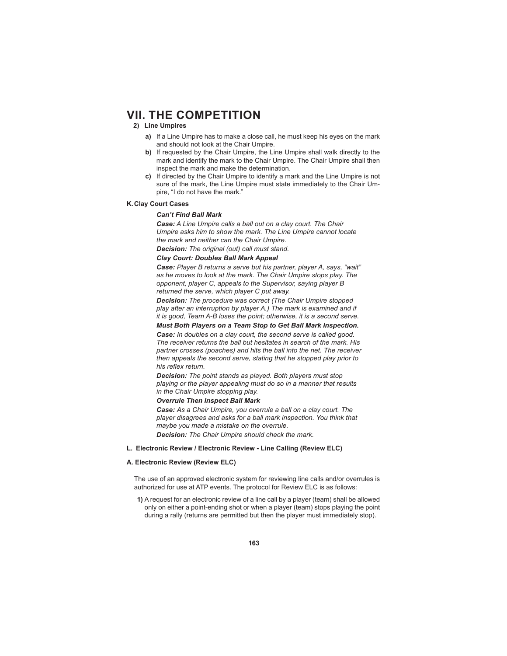# **2) Line Umpires**

- **a)** If a Line Umpire has to make a close call, he must keep his eyes on the mark and should not look at the Chair Umpire.
- **b)** If requested by the Chair Umpire, the Line Umpire shall walk directly to the mark and identify the mark to the Chair Umpire. The Chair Umpire shall then inspect the mark and make the determination.
- **c)** If directed by the Chair Umpire to identify a mark and the Line Umpire is not sure of the mark, the Line Umpire must state immediately to the Chair Umpire, "I do not have the mark."

# **K. Clay Court Cases**

#### *Can't Find Ball Mark*

*Case: A Line Umpire calls a ball out on a clay court. The Chair Umpire asks him to show the mark. The Line Umpire cannot locate the mark and neither can the Chair Umpire.*

*Decision: The original (out) call must stand.* 

# *Clay Court: Doubles Ball Mark Appeal*

*Case: Player B returns a serve but his partner, player A, says, "wait" as he moves to look at the mark. The Chair Umpire stops play. The opponent, player C, appeals to the Supervisor, saying player B returned the serve, which player C put away.*

*Decision: The procedure was correct (The Chair Umpire stopped play after an interruption by player A.) The mark is examined and if it is good, Team A-B loses the point; otherwise, it is a second serve.* 

### *Must Both Players on a Team Stop to Get Ball Mark Inspection.*

*Case: In doubles on a clay court, the second serve is called good. The receiver returns the ball but hesitates in search of the mark. His partner crosses (poaches) and hits the ball into the net. The receiver then appeals the second serve, stating that he stopped play prior to his reflex return.* 

*Decision: The point stands as played. Both players must stop playing or the player appealing must do so in a manner that results in the Chair Umpire stopping play.* 

### *Overrule Then Inspect Ball Mark*

*Case: As a Chair Umpire, you overrule a ball on a clay court. The player disagrees and asks for a ball mark inspection. You think that maybe you made a mistake on the overrule.*

*Decision: The Chair Umpire should check the mark.*

### **L. Electronic Review / Electronic Review - Line Calling (Review ELC)**

### **A. Electronic Review (Review ELC)**

 The use of an approved electronic system for reviewing line calls and/or overrules is authorized for use at ATP events. The protocol for Review ELC is as follows:

 **1)** A request for an electronic review of a line call by a player (team) shall be allowed only on either a point-ending shot or when a player (team) stops playing the point during a rally (returns are permitted but then the player must immediately stop).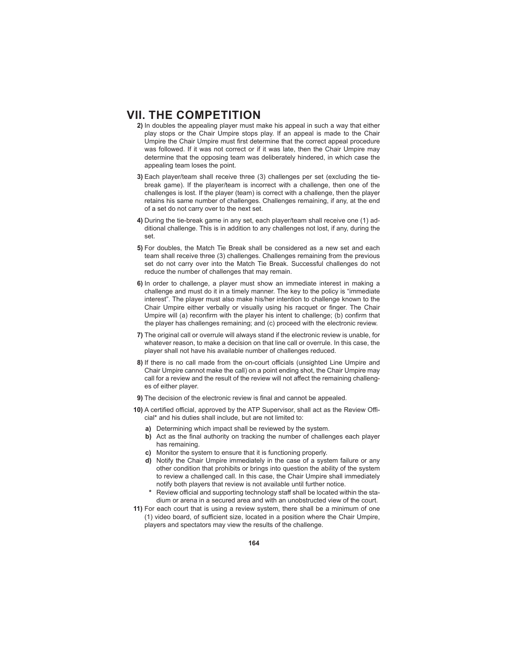- **2)** In doubles the appealing player must make his appeal in such a way that either play stops or the Chair Umpire stops play. If an appeal is made to the Chair Umpire the Chair Umpire must first determine that the correct appeal procedure was followed. If it was not correct or if it was late, then the Chair Umpire may determine that the opposing team was deliberately hindered, in which case the appealing team loses the point.
- **3)** Each player/team shall receive three (3) challenges per set (excluding the tiebreak game). If the player/team is incorrect with a challenge, then one of the challenges is lost. If the player (team) is correct with a challenge, then the player retains his same number of challenges. Challenges remaining, if any, at the end of a set do not carry over to the next set.
- **4)** During the tie-break game in any set, each player/team shall receive one (1) additional challenge. This is in addition to any challenges not lost, if any, during the set.
- **5)** For doubles, the Match Tie Break shall be considered as a new set and each team shall receive three (3) challenges. Challenges remaining from the previous set do not carry over into the Match Tie Break. Successful challenges do not reduce the number of challenges that may remain.
- **6)** In order to challenge, a player must show an immediate interest in making a challenge and must do it in a timely manner. The key to the policy is "immediate interest". The player must also make his/her intention to challenge known to the Chair Umpire either verbally or visually using his racquet or finger. The Chair Umpire will (a) reconfirm with the player his intent to challenge; (b) confirm that the player has challenges remaining; and (c) proceed with the electronic review.
- **7)** The original call or overrule will always stand if the electronic review is unable, for whatever reason, to make a decision on that line call or overrule. In this case, the player shall not have his available number of challenges reduced.
- 8) If there is no call made from the on-court officials (unsighted Line Umpire and Chair Umpire cannot make the call) on a point ending shot, the Chair Umpire may call for a review and the result of the review will not affect the remaining challenges of either player.
- **9)** The decision of the electronic review is final and cannot be appealed.
- **10)** A certified official, approved by the ATP Supervisor, shall act as the Review Official\* and his duties shall include, but are not limited to:
	- **a)** Determining which impact shall be reviewed by the system.
	- **b)** Act as the final authority on tracking the number of challenges each player has remaining.
	- **c)** Monitor the system to ensure that it is functioning properly.
	- **d)** Notify the Chair Umpire immediately in the case of a system failure or any other condition that prohibits or brings into question the ability of the system to review a challenged call. In this case, the Chair Umpire shall immediately notify both players that review is not available until further notice.
	- Review official and supporting technology staff shall be located within the stadium or arena in a secured area and with an unobstructed view of the court.
- **11)** For each court that is using a review system, there shall be a minimum of one  $(1)$  video board, of sufficient size, located in a position where the Chair Umpire, players and spectators may view the results of the challenge.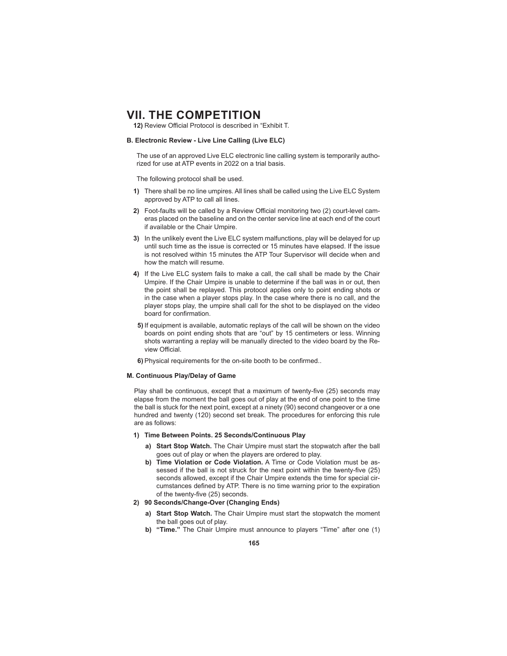12) Review Official Protocol is described in "Exhibit T.

# **B. Electronic Review - Live Line Calling (Live ELC)**

 The use of an approved Live ELC electronic line calling system is temporarily authorized for use at ATP events in 2022 on a trial basis.

The following protocol shall be used.

- **1)** There shall be no line umpires. All lines shall be called using the Live ELC System approved by ATP to call all lines.
- **2)** Foot-faults will be called by a Review Official monitoring two (2) court-level cameras placed on the baseline and on the center service line at each end of the court if available or the Chair Umpire.
- **3)** In the unlikely event the Live ELC system malfunctions, play will be delayed for up until such time as the issue is corrected or 15 minutes have elapsed. If the issue is not resolved within 15 minutes the ATP Tour Supervisor will decide when and how the match will resume.
- **4)** If the Live ELC system fails to make a call, the call shall be made by the Chair Umpire. If the Chair Umpire is unable to determine if the ball was in or out, then the point shall be replayed. This protocol applies only to point ending shots or in the case when a player stops play. In the case where there is no call, and the player stops play, the umpire shall call for the shot to be displayed on the video board for confirmation
- **5)** If equipment is available, automatic replays of the call will be shown on the video boards on point ending shots that are "out" by 15 centimeters or less. Winning shots warranting a replay will be manually directed to the video board by the Review Official

**6)** Physical requirements for the on-site booth to be confirmed..

#### **M. Continuous Play/ Delay of Game**

Play shall be continuous, except that a maximum of twenty-five (25) seconds may elapse from the moment the ball goes out of play at the end of one point to the time the ball is stuck for the next point, except at a ninety (90) second changeover or a one hundred and twenty (120) second set break. The procedures for enforcing this rule are as follows:

#### **1) Time Between Points. 25 Seconds/Continuous Play**

- **a) Start Stop Watch.** The Chair Umpire must start the stopwatch after the ball goes out of play or when the players are ordered to play.
- **b) Time Violation or Code Violation.** A Time or Code Violation must be assessed if the ball is not struck for the next point within the twenty-five (25) seconds allowed, except if the Chair Umpire extends the time for special circumstances defined by ATP. There is no time warning prior to the expiration of the twenty-five (25) seconds.
- **2) 90 Seconds/Change-Over (Changing Ends)**
	- **a) Start Stop Watch.** The Chair Umpire must start the stopwatch the moment the ball goes out of play.
	- **b) "Time."** The Chair Umpire must announce to players "Time" after one (1)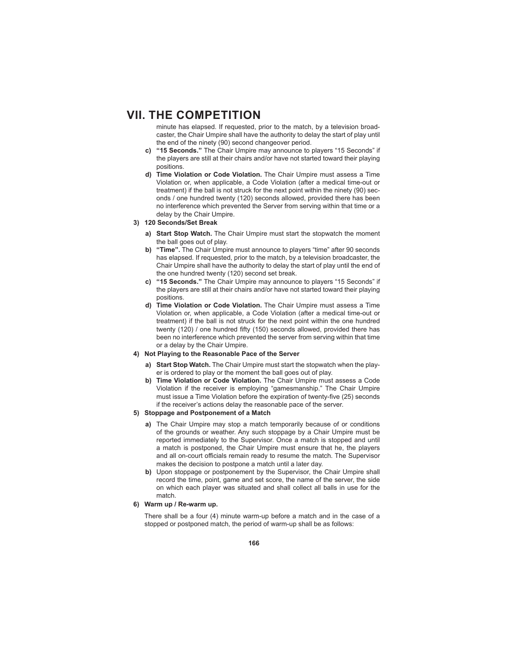minute has elapsed. If requested, prior to the match, by a television broadcaster, the Chair Umpire shall have the authority to delay the start of play until the end of the ninety (90) second changeover period.

- **c) "15 Seconds."** The Chair Umpire may announce to players "15 Seconds" if the players are still at their chairs and/or have not started toward their playing positions.
- **d) Time Violation or Code Violation.** The Chair Umpire must assess a Time Violation or, when applicable, a Code Violation (after a medical time-out or treatment) if the ball is not struck for the next point within the ninety (90) seconds / one hundred twenty (120) seconds allowed, provided there has been no interference which prevented the Server from serving within that time or a delay by the Chair Umpire.
- **3) 120 Seconds/Set Break**
	- **a) Start Stop Watch.** The Chair Umpire must start the stopwatch the moment the ball goes out of play.
	- **b) "Time".** The Chair Umpire must announce to players "time" after 90 seconds has elapsed. If requested, prior to the match, by a television broadcaster, the Chair Umpire shall have the authority to delay the start of play until the end of the one hundred twenty (120) second set break.
	- **c) "15 Seconds."** The Chair Umpire may announce to players "15 Seconds" if the players are still at their chairs and/or have not started toward their playing positions.
	- **d) Time Violation or Code Violation.** The Chair Umpire must assess a Time Violation or, when applicable, a Code Violation (after a medical time-out or treatment) if the ball is not struck for the next point within the one hundred twenty (120) / one hundred fifty (150) seconds allowed, provided there has been no interference which prevented the server from serving within that time or a delay by the Chair Umpire.
- **4) Not Playing to the Reasonable Pace of the Server**
	- **a) Start Stop Watch.** The Chair Umpire must start the stopwatch when the player is ordered to play or the moment the ball goes out of play.
	- **b) Time Violation or Code Violation.** The Chair Umpire must assess a Code Violation if the receiver is employing "gamesmanship." The Chair Umpire must issue a Time Violation before the expiration of twenty-five (25) seconds if the receiver's actions delay the reasonable pace of the server.

### **5) Stoppage and Postponement of a Match**

- **a)** The Chair Umpire may stop a match temporarily because of or conditions of the grounds or weather. Any such stoppage by a Chair Umpire must be reported immediately to the Supervisor. Once a match is stopped and until a match is postponed, the Chair Umpire must ensure that he, the players and all on-court officials remain ready to resume the match. The Supervisor makes the decision to postpone a match until a later day.
- **b)** Upon stoppage or postponement by the Supervisor, the Chair Umpire shall record the time, point, game and set score, the name of the server, the side on which each player was situated and shall collect all balls in use for the match.

# **6) Warm up / Re-warm up.**

 There shall be a four (4) minute warm-up before a match and in the case of a stopped or postponed match, the period of warm-up shall be as follows: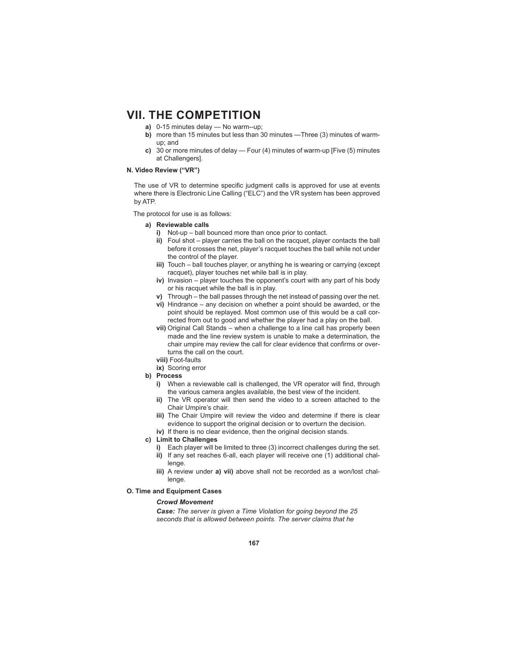- **a)** 0-15 minutes delay No warm--up;
- **b)** more than 15 minutes but less than 30 minutes —Three (3) minutes of warmup; and
- **c)** 30 or more minutes of delay Four (4) minutes of warm-up [Five (5) minutes at Challengers].

# **N. Video Review ("VR")**

The use of VR to determine specific judgment calls is approved for use at events where there is Electronic Line Calling ("ELC") and the VR system has been approved by ATP.

The protocol for use is as follows:

- **a) Reviewable calls**
	- **i)** Not-up ball bounced more than once prior to contact.
	- **ii)** Foul shot player carries the ball on the racquet, player contacts the ball before it crosses the net, player's racquet touches the ball while not under the control of the player.
	- **iii)** Touch ball touches player, or anything he is wearing or carrying (except racquet), player touches net while ball is in play.
	- **iv)** Invasion player touches the opponent's court with any part of his body or his racquet while the ball is in play.
	- **v)** Through the ball passes through the net instead of passing over the net.
	- **vi)** Hindrance any decision on whether a point should be awarded, or the point should be replayed. Most common use of this would be a call corrected from out to good and whether the player had a play on the ball.
	- **vii)** Original Call Stands when a challenge to a line call has properly been made and the line review system is unable to make a determination, the chair umpire may review the call for clear evidence that confirms or overturns the call on the court.
	- **viii)** Foot-faults
	- **ix)** Scoring error
- **b) Process**
	- **i)** When a reviewable call is challenged, the VR operator will find, through the various camera angles available, the best view of the incident.
	- **ii)** The VR operator will then send the video to a screen attached to the Chair Umpire's chair.
	- **iii)** The Chair Umpire will review the video and determine if there is clear evidence to support the original decision or to overturn the decision.
	- **iv)** If there is no clear evidence, then the original decision stands.
- **c) Limit to Challenges**
	- **i)** Each player will be limited to three (3) incorrect challenges during the set.
	- **ii)** If any set reaches 6-all, each player will receive one (1) additional challenge.
	- **iii)** A review under **a) vii)** above shall not be recorded as a won/lost challenge.
- **O. Time and Equipment Cases**

#### *Crowd Movement*

*Case: The server is given a Time Violation for going beyond the 25 seconds that is allowed between points. The server claims that he*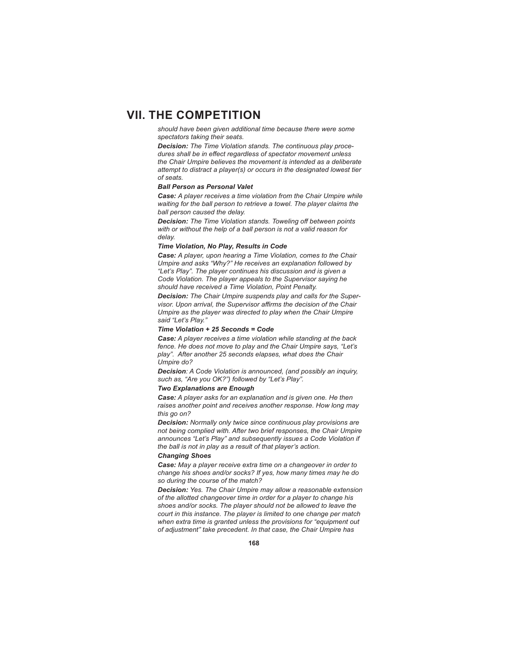*should have been given additional time because there were some spectators taking their seats.*

*Decision: The Time Violation stands. The continuous play procedures shall be in eff ect regardless of spectator movement unless the Chair Umpire believes the movement is intended as a deliberate attempt to distract a player(s) or occurs in the designated lowest tier of seats.* 

# *Ball Person as Personal Valet*

*Case: A player receives a time violation from the Chair Umpire while waiting for the ball person to retrieve a towel. The player claims the ball person caused the delay.*

*Decision: The Time Violation stands. Toweling off between points with or without the help of a ball person is not a valid reason for delay.* 

# *Time Violation, No Play, Results in Code*

*Case: A player, upon hearing a Time Violation, comes to the Chair Umpire and asks "Why?" He receives an explanation followed by "Let's Play". The player continues his discussion and is given a Code Violation. The player appeals to the Supervisor saying he should have received a Time Violation, Point Penalty.*

*Decision: The Chair Umpire suspends play and calls for the Supervisor. Upon arrival, the Supervisor affirms the decision of the Chair Umpire as the player was directed to play when the Chair Umpire said "Let's Play."*

#### *Time Violation + 25 Seconds = Code*

*Case: A player receives a time violation while standing at the back fence. He does not move to play and the Chair Umpire says, "Let's play". After another 25 seconds elapses, what does the Chair Umpire do?*

*Decision: A Code Violation is announced, (and possibly an inquiry, such as, "Are you OK?") followed by "Let's Play".* 

# *Two Explanations are Enough*

*Case: A player asks for an explanation and is given one. He then raises another point and receives another response. How long may this go on?*

*Decision: Normally only twice since continuous play provisions are not being complied with. After two brief responses, the Chair Umpire announces "Let's Play" and subsequently issues a Code Violation if the ball is not in play as a result of that player's action.* 

# *Changing Shoes*

*Case: May a player receive extra time on a changeover in order to change his shoes and/or socks? If yes, how many times may he do so during the course of the match?*

*Decision: Yes. The Chair Umpire may allow a reasonable extension of the allotted changeover time in order for a player to change his shoes and/or socks. The player should not be allowed to leave the court in this instance. The player is limited to one change per match when extra time is granted unless the provisions for "equipment out of adjustment" take precedent. In that case, the Chair Umpire has*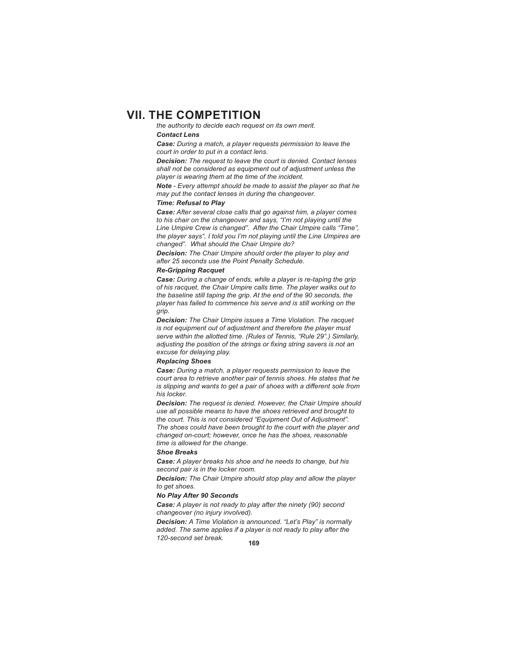*the authority to decide each request on its own merit. Contact Lens*

*Case: During a match, a player requests permission to leave the court in order to put in a contact lens.*

*Decision: The request to leave the court is denied. Contact lenses shall not be considered as equipment out of adjustment unless the player is wearing them at the time of the incident.* 

*Note - Every attempt should be made to assist the player so that he may put the contact lenses in during the changeover.*

### *Time: Refusal to Play*

*Case: After several close calls that go against him, a player comes to his chair on the changeover and says, "I'm not playing until the Line Umpire Crew is changed". After the Chair Umpire calls "Time", the player says", I told you I'm not playing until the Line Umpires are changed". What should the Chair Umpire do?*

*Decision: The Chair Umpire should order the player to play and after 25 seconds use the Point Penalty Schedule.* 

# *Re-Gripping Racquet*

*Case: During a change of ends, while a player is re-taping the grip of his racquet, the Chair Umpire calls time. The player walks out to the baseline still taping the grip. At the end of the 90 seconds, the player has failed to commence his serve and is still working on the grip.*

*Decision: The Chair Umpire issues a Time Violation. The racquet is not equipment out of adjustment and therefore the player must serve within the allotted time. (Rules of Tennis, "Rule 29".) Similarly,*  adjusting the position of the strings or fixing string savers is not an *excuse for delaying play.* 

### *Replacing Shoes*

*Case: During a match, a player requests permission to leave the court area to retrieve another pair of tennis shoes. He states that he is slipping and wants to get a pair of shoes with a different sole from his locker.*

*Decision: The request is denied. However, the Chair Umpire should use all possible means to have the shoes retrieved and brought to the court. This is not considered "Equipment Out of Adjustment". The shoes could have been brought to the court with the player and changed on-court; however, once he has the shoes, reasonable time is allowed for the change.*

#### *Shoe Breaks*

*Case: A player breaks his shoe and he needs to change, but his second pair is in the locker room.*

*Decision: The Chair Umpire should stop play and allow the player to get shoes.* 

#### *No Play After 90 Seconds*

*Case: A player is not ready to play after the ninety (90) second changeover (no injury involved).*

*Decision: A Time Violation is announced. "Let's Play" is normally added. The same applies if a player is not ready to play after the 120-second set break.*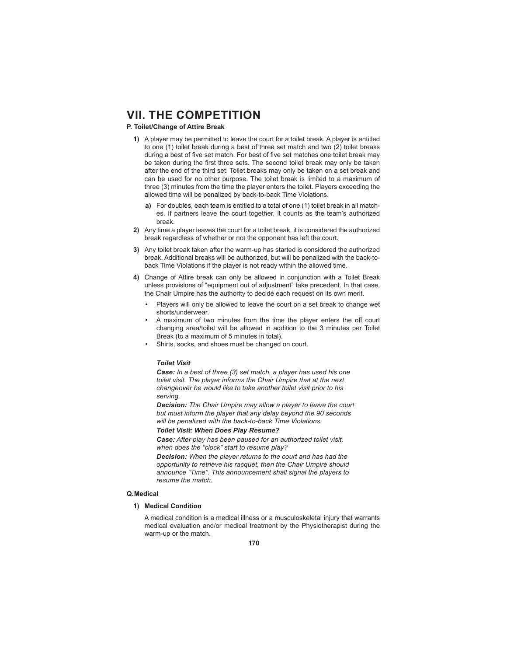# **P. Toilet/Change of Attire Break**

- **1)** A player may be permitted to leave the court for a toilet break. A player is entitled to one (1) toilet break during a best of three set match and two (2) toilet breaks during a best of five set match. For best of five set matches one toilet break may be taken during the first three sets. The second toilet break may only be taken after the end of the third set. Toilet breaks may only be taken on a set break and can be used for no other purpose. The toilet break is limited to a maximum of three (3) minutes from the time the player enters the toilet. Players exceeding the allowed time will be penalized by back-to-back Time Violations.
	- **a)** For doubles, each team is entitled to a total of one (1) toilet break in all matches. If partners leave the court together, it counts as the team's authorized break.
- **2)** Any time a player leaves the court for a toilet break, it is considered the authorized break regardless of whether or not the opponent has left the court.
- **3)** Any toilet break taken after the warm-up has started is considered the authorized break. Additional breaks will be authorized, but will be penalized with the back-toback Time Violations if the player is not ready within the allowed time.
- **4)** Change of Attire break can only be allowed in conjunction with a Toilet Break unless provisions of "equipment out of adjustment" take precedent. In that case, the Chair Umpire has the authority to decide each request on its own merit.
	- Players will only be allowed to leave the court on a set break to change wet shorts/underwear.
	- A maximum of two minutes from the time the player enters the off court changing area/toilet will be allowed in addition to the 3 minutes per Toilet Break (to a maximum of 5 minutes in total).
	- Shirts, socks, and shoes must be changed on court.

### *Toilet Visit*

*Case: In a best of three (3) set match, a player has used his one toilet visit. The player informs the Chair Umpire that at the next changeover he would like to take another toilet visit prior to his serving.*

*Decision: The Chair Umpire may allow a player to leave the court but must inform the player that any delay beyond the 90 seconds will be penalized with the back-to-back Time Violations.*

*Toilet Visit: When Does Play Resume?*

*Case: After play has been paused for an authorized toilet visit, when does the "clock" start to resume play?*

*Decision: When the player returns to the court and has had the opportunity to retrieve his racquet, then the Chair Umpire should announce "Time". This announcement shall signal the players to resume the match.* 

### **Q. Medical**

# **1) Medical Condition**

 A medical condition is a medical illness or a musculoskeletal injury that warrants medical evaluation and/or medical treatment by the Physiotherapist during the warm-up or the match.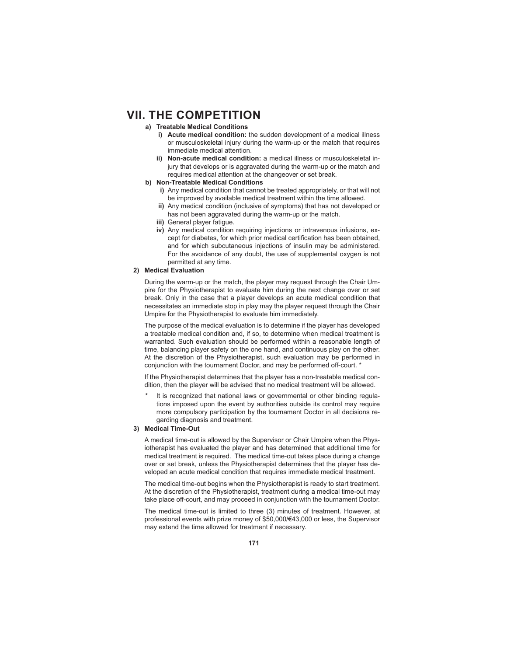- **a) Treatable Medical Conditions**
	- **i) Acute medical condition:** the sudden development of a medical illness or musculoskeletal injury during the warm-up or the match that requires immediate medical attention.
	- **ii) Non-acute medical condition:** a medical illness or musculoskeletal injury that develops or is aggravated during the warm-up or the match and requires medical attention at the changeover or set break.
- **b) Non-Treatable Medical Conditions**
	- **i)** Any medical condition that cannot be treated appropriately, or that will not be improved by available medical treatment within the time allowed.
	- **ii)** Any medical condition (inclusive of symptoms) that has not developed or has not been aggravated during the warm-up or the match.
	- **iii)** General player fatigue.
	- **iv)** Any medical condition requiring injections or intravenous infusions, except for diabetes, for which prior medical certification has been obtained, and for which subcutaneous injections of insulin may be administered. For the avoidance of any doubt, the use of supplemental oxygen is not permitted at any time.

# **2) Medical Evaluation**

 During the warm-up or the match, the player may request through the Chair Umpire for the Physiotherapist to evaluate him during the next change over or set break. Only in the case that a player develops an acute medical condition that necessitates an immediate stop in play may the player request through the Chair Umpire for the Physiotherapist to evaluate him immediately.

 The purpose of the medical evaluation is to determine if the player has developed a treatable medical condition and, if so, to determine when medical treatment is warranted. Such evaluation should be performed within a reasonable length of time, balancing player safety on the one hand, and continuous play on the other. At the discretion of the Physiotherapist, such evaluation may be performed in conjunction with the tournament Doctor, and may be performed off-court. \*

 If the Physiotherapist determines that the player has a non-treatable medical condition, then the player will be advised that no medical treatment will be allowed.

It is recognized that national laws or governmental or other binding regulations imposed upon the event by authorities outside its control may require more compulsory participation by the tournament Doctor in all decisions regarding diagnosis and treatment.

# **3) Medical Time-Out**

 A medical time-out is allowed by the Supervisor or Chair Umpire when the Physiotherapist has evaluated the player and has determined that additional time for medical treatment is required. The medical time-out takes place during a change over or set break, unless the Physiotherapist determines that the player has developed an acute medical condition that requires immediate medical treatment.

 The medical time-out begins when the Physiotherapist is ready to start treatment. At the discretion of the Physiotherapist, treatment during a medical time-out may take place off-court, and may proceed in conjunction with the tournament Doctor.

 The medical time-out is limited to three (3) minutes of treatment. However, at professional events with prize money of \$50,000/€43,000 or less, the Supervisor may extend the time allowed for treatment if necessary.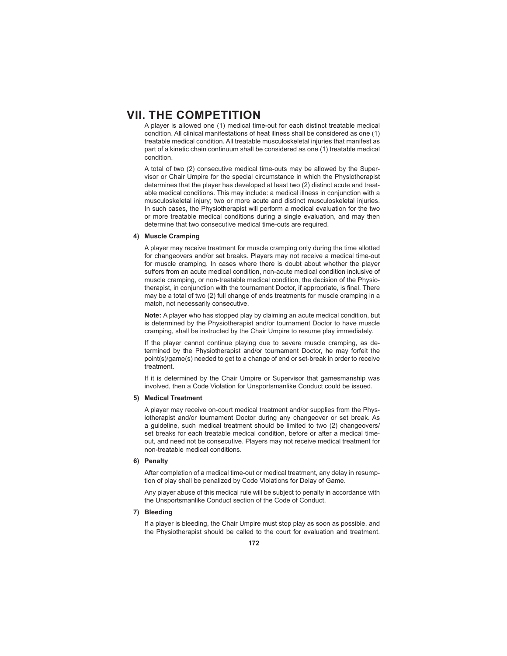A player is allowed one (1) medical time-out for each distinct treatable medical condition. All clinical manifestations of heat illness shall be considered as one (1) treatable medical condition. All treatable musculoskeletal injuries that manifest as part of a kinetic chain continuum shall be considered as one (1) treatable medical condition.

 A total of two (2) consecutive medical time-outs may be allowed by the Supervisor or Chair Umpire for the special circumstance in which the Physiotherapist determines that the player has developed at least two (2) distinct acute and treatable medical conditions. This may include: a medical illness in conjunction with a musculoskeletal injury; two or more acute and distinct musculoskeletal injuries. In such cases, the Physiotherapist will perform a medical evaluation for the two or more treatable medical conditions during a single evaluation, and may then determine that two consecutive medical time-outs are required.

# **4) Muscle Cramping**

 A player may receive treatment for muscle cramping only during the time allotted for changeovers and/or set breaks. Players may not receive a medical time-out for muscle cramping. In cases where there is doubt about whether the player suffers from an acute medical condition, non-acute medical condition inclusive of muscle cramping, or non-treatable medical condition, the decision of the Physiotherapist, in conjunction with the tournament Doctor, if appropriate, is final. There may be a total of two (2) full change of ends treatments for muscle cramping in a match, not necessarily consecutive.

**Note:** A player who has stopped play by claiming an acute medical condition, but is determined by the Physiotherapist and/or tournament Doctor to have muscle cramping, shall be instructed by the Chair Umpire to resume play immediately.

 If the player cannot continue playing due to severe muscle cramping, as determined by the Physiotherapist and/or tournament Doctor, he may forfeit the point(s)/game(s) needed to get to a change of end or set-break in order to receive treatment.

If it is determined by the Chair Umpire or Supervisor that gamesmanship was involved, then a Code Violation for Unsportsmanlike Conduct could be issued.

# **5) Medical Treatment**

 A player may receive on-court medical treatment and/or supplies from the Physiotherapist and/or tournament Doctor during any changeover or set break. As a guideline, such medical treatment should be limited to two (2) changeovers/ set breaks for each treatable medical condition, before or after a medical timeout, and need not be consecutive. Players may not receive medical treatment for non-treatable medical conditions.

### **6) Penalty**

 After completion of a medical time-out or medical treatment, any delay in resumption of play shall be penalized by Code Violations for Delay of Game.

 Any player abuse of this medical rule will be subject to penalty in accordance with the Unsportsmanlike Conduct section of the Code of Conduct.

# **7) Bleeding**

 If a player is bleeding, the Chair Umpire must stop play as soon as possible, and the Physiotherapist should be called to the court for evaluation and treatment.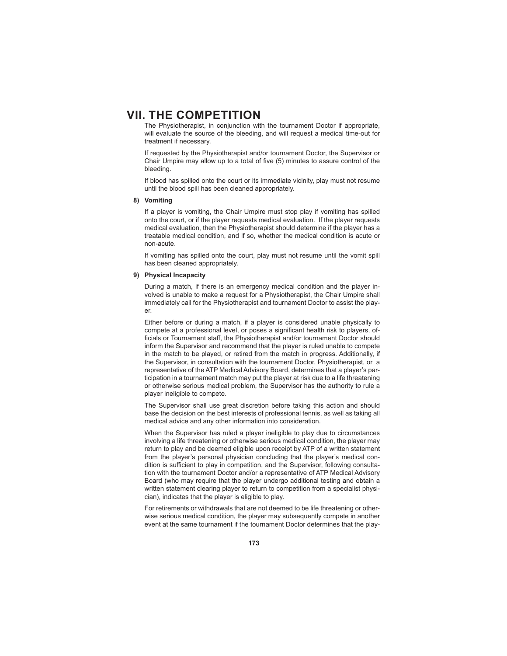The Physiotherapist, in conjunction with the tournament Doctor if appropriate, will evaluate the source of the bleeding, and will request a medical time-out for treatment if necessary.

 If requested by the Physiotherapist and/or tournament Doctor, the Supervisor or Chair Umpire may allow up to a total of five (5) minutes to assure control of the bleeding.

 If blood has spilled onto the court or its immediate vicinity, play must not resume until the blood spill has been cleaned appropriately.

# **8) Vomiting**

 If a player is vomiting, the Chair Umpire must stop play if vomiting has spilled onto the court, or if the player requests medical evaluation. If the player requests medical evaluation, then the Physiotherapist should determine if the player has a treatable medical condition, and if so, whether the medical condition is acute or non-acute.

 If vomiting has spilled onto the court, play must not resume until the vomit spill has been cleaned appropriately.

#### **9) Physical Incapacity**

 During a match, if there is an emergency medical condition and the player involved is unable to make a request for a Physiotherapist, the Chair Umpire shall immediately call for the Physiotherapist and tournament Doctor to assist the player.

 Either before or during a match, if a player is considered unable physically to compete at a professional level, or poses a significant health risk to players, officials or Tournament staff, the Physiotherapist and/or tournament Doctor should inform the Supervisor and recommend that the player is ruled unable to compete in the match to be played, or retired from the match in progress. Additionally, if the Supervisor, in consultation with the tournament Doctor, Physiotherapist, or a representative of the ATP Medical Advisory Board, determines that a player's participation in a tournament match may put the player at risk due to a life threatening or otherwise serious medical problem, the Supervisor has the authority to rule a player ineligible to compete.

 The Supervisor shall use great discretion before taking this action and should base the decision on the best interests of professional tennis, as well as taking all medical advice and any other information into consideration.

 When the Supervisor has ruled a player ineligible to play due to circumstances involving a life threatening or otherwise serious medical condition, the player may return to play and be deemed eligible upon receipt by ATP of a written statement from the player's personal physician concluding that the player's medical condition is sufficient to play in competition, and the Supervisor, following consultation with the tournament Doctor and/or a representative of ATP Medical Advisory Board (who may require that the player undergo additional testing and obtain a written statement clearing player to return to competition from a specialist physician), indicates that the player is eligible to play.

 For retirements or withdrawals that are not deemed to be life threatening or otherwise serious medical condition, the player may subsequently compete in another event at the same tournament if the tournament Doctor determines that the play-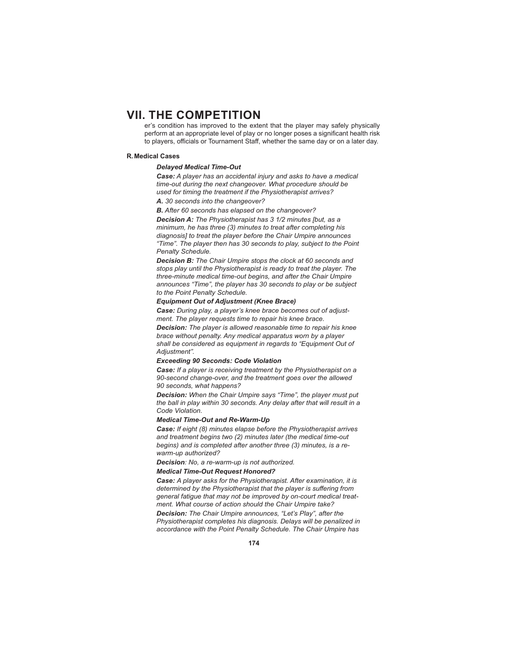er's condition has improved to the extent that the player may safely physically perform at an appropriate level of play or no longer poses a significant health risk to players, officials or Tournament Staff, whether the same day or on a later day.

#### **R. Medical Cases**

# *Delayed Medical Time-Out*

*Case: A player has an accidental injury and asks to have a medical time-out during the next changeover. What procedure should be used for timing the treatment if the Physiotherapist arrives?*

### *A. 30 seconds into the changeover?*

*B. After 60 seconds has elapsed on the changeover?*

*Decision A: The Physiotherapist has 3 1/2 minutes [but, as a minimum, he has three (3) minutes to treat after completing his diagnosis] to treat the player before the Chair Umpire announces "Time". The player then has 30 seconds to play, subject to the Point Penalty Schedule.*

*Decision B: The Chair Umpire stops the clock at 60 seconds and stops play until the Physiotherapist is ready to treat the player. The three-minute medical time-out begins, and after the Chair Umpire announces "Time", the player has 30 seconds to play or be subject to the Point Penalty Schedule.*

### *Equipment Out of Adjustment (Knee Brace)*

*Case: During play, a player's knee brace becomes out of adjustment. The player requests time to repair his knee brace.*

*Decision: The player is allowed reasonable time to repair his knee brace without penalty. Any medical apparatus worn by a player shall be considered as equipment in regards to "Equipment Out of Adjustment".* 

#### *Exceeding 90 Seconds: Code Violation*

*Case: If a player is receiving treatment by the Physiotherapist on a 90-second change-over, and the treatment goes over the allowed 90 seconds, what happens?*

*Decision: When the Chair Umpire says "Time", the player must put the ball in play within 30 seconds. Any delay after that will result in a Code Violation.* 

#### *Medical Time-Out and Re-Warm-Up*

*Case: If eight (8) minutes elapse before the Physiotherapist arrives and treatment begins two (2) minutes later (the medical time-out begins) and is completed after another three (3) minutes, is a rewarm-up authorized?*

*Decision: No, a re-warm-up is not authorized.* 

#### *Medical Time-Out Request Honored?*

*Case: A player asks for the Physiotherapist. After examination, it is determined by the Physiotherapist that the player is suffering from general fatigue that may not be improved by on-court medical treatment. What course of action should the Chair Umpire take? Decision: The Chair Umpire announces, "Let's Play", after the Physiotherapist completes his diagnosis. Delays will be penalized in accordance with the Point Penalty Schedule. The Chair Umpire has*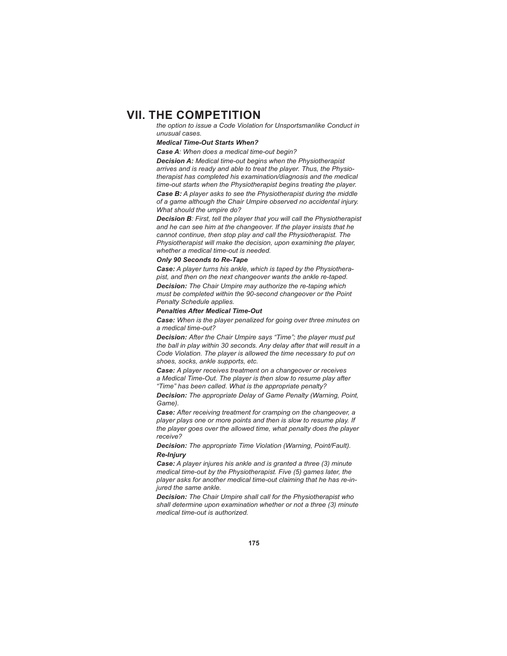*the option to issue a Code Violation for Unsportsmanlike Conduct in unusual cases.*

#### *Medical Time-Out Starts When?*

*Case A: When does a medical time-out begin?*

*Decision A: Medical time-out begins when the Physiotherapist arrives and is ready and able to treat the player. Thus, the Physiotherapist has completed his examination/diagnosis and the medical time-out starts when the Physiotherapist begins treating the player.*

*Case B: A player asks to see the Physiotherapist during the middle of a game although the Chair Umpire observed no accidental injury. What should the umpire do?*

*Decision B: First, tell the player that you will call the Physiotherapist and he can see him at the changeover. If the player insists that he cannot continue, then stop play and call the Physiotherapist. The Physiotherapist will make the decision, upon examining the player, whether a medical time-out is needed.* 

# *Only 90 Seconds to Re-Tape*

*Case: A player turns his ankle, which is taped by the Physiotherapist, and then on the next changeover wants the ankle re-taped. Decision: The Chair Umpire may authorize the re-taping which must be completed within the 90-second changeover or the Point Penalty Schedule applies.* 

### *Penalties After Medical Time-Out*

*Case: When is the player penalized for going over three minutes on a medical time-out?*

*Decision: After the Chair Umpire says "Time"; the player must put the ball in play within 30 seconds. Any delay after that will result in a Code Violation. The player is allowed the time necessary to put on shoes, socks, ankle supports, etc.*

*Case: A player receives treatment on a changeover or receives a Medical Time-Out. The player is then slow to resume play after "Time" has been called. What is the appropriate penalty?*

*Decision: The appropriate Delay of Game Penalty (Warning, Point, Game).*

*Case: After receiving treatment for cramping on the changeover, a player plays one or more points and then is slow to resume play. If the player goes over the allowed time, what penalty does the player receive?*

*Decision: The appropriate Time Violation (Warning, Point/Fault). Re-Injury*

*Case: A player injures his ankle and is granted a three (3) minute medical time-out by the Physiotherapist. Five (5) games later, the player asks for another medical time-out claiming that he has re-injured the same ankle.*

*Decision: The Chair Umpire shall call for the Physiotherapist who shall determine upon examination whether or not a three (3) minute medical time-out is authorized.*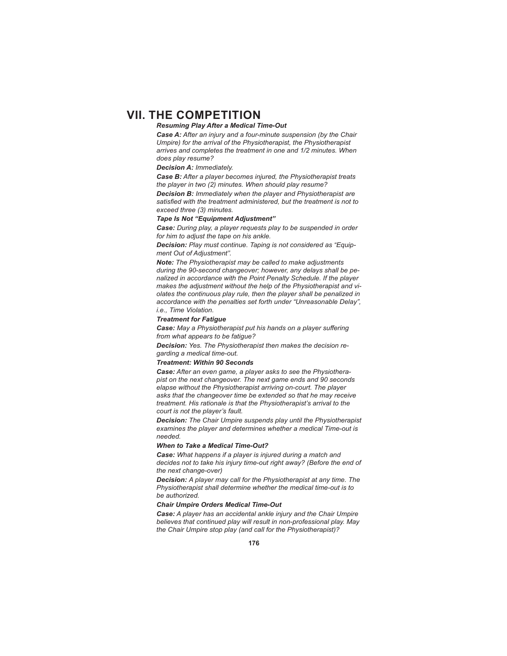# *Resuming Play After a Medical Time-Out*

*Case A: After an injury and a four-minute suspension (by the Chair Umpire) for the arrival of the Physiotherapist, the Physiotherapist arrives and completes the treatment in one and 1/2 minutes. When does play resume?*

*Decision A: Immediately.* 

*Case B: After a player becomes injured, the Physiotherapist treats the player in two (2) minutes. When should play resume?*

*Decision B: Immediately when the player and Physiotherapist are*  satisfied with the treatment administered, but the treatment is not to *exceed three (3) minutes.* 

### *Tape Is Not "Equipment Adjustment"*

*Case: During play, a player requests play to be suspended in order for him to adjust the tape on his ankle.*

*Decision: Play must continue. Taping is not considered as "Equipment Out of Adjustment".* 

*Note: The Physiotherapist may be called to make adjustments during the 90-second changeover; however, any delays shall be penalized in accordance with the Point Penalty Schedule. If the player makes the adjustment without the help of the Physiotherapist and violates the continuous play rule, then the player shall be penalized in accordance with the penalties set forth under "Unreasonable Delay", i.e., Time Violation.* 

#### *Treatment for Fatigue*

**Case:** May a Physiotherapist put his hands on a player suffering *from what appears to be fatigue?*

*Decision: Yes. The Physiotherapist then makes the decision regarding a medical time-out.* 

#### *Treatment: Within 90 Seconds*

*Case: After an even game, a player asks to see the Physiotherapist on the next changeover. The next game ends and 90 seconds elapse without the Physiotherapist arriving on-court. The player asks that the changeover time be extended so that he may receive treatment. His rationale is that the Physiotherapist's arrival to the court is not the player's fault.*

*Decision: The Chair Umpire suspends play until the Physiotherapist examines the player and determines whether a medical Time-out is needed.* 

### *When to Take a Medical Time-Out?*

*Case: What happens if a player is injured during a match and decides not to take his injury time-out right away? (Before the end of the next change-over)*

*Decision: A player may call for the Physiotherapist at any time. The Physiotherapist shall determine whether the medical time-out is to be authorized.* 

#### *Chair Umpire Orders Medical Time-Out*

*Case: A player has an accidental ankle injury and the Chair Umpire believes that continued play will result in non-professional play. May the Chair Umpire stop play (and call for the Physiotherapist)?*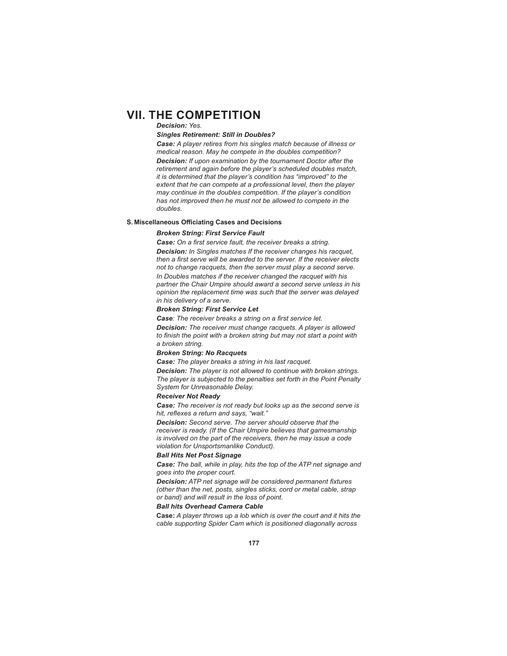#### *Decision: Yes.*

#### *Singles Retirement: Still in Doubles?*

*Case: A player retires from his singles match because of illness or medical reason. May he compete in the doubles competition? Decision: If upon examination by the tournament Doctor after the retirement and again before the player's scheduled doubles match, it is determined that the player's condition has "improved" to the extent that he can compete at a professional level, then the player may continue in the doubles competition. If the player's condition has not improved then he must not be allowed to compete in the doubles.*

## **S. Miscellaneous Officiating Cases and Decisions**

#### *Broken String: First Service Fault*

**Case:** On a first service fault, the receiver breaks a string. *Decision: In Singles matches If the receiver changes his racquet,*  then a first serve will be awarded to the server. If the receiver elects *not to change racquets, then the server must play a second serve. In Doubles matches if the receiver changed the racquet with his partner the Chair Umpire should award a second serve unless in his opinion the replacement time was such that the server was delayed in his delivery of a serve.* 

#### *Broken String: First Service Let*

Case: The receiver breaks a string on a first service let.

*Decision: The receiver must change racquets. A player is allowed*  to finish the point with a broken string but may not start a point with *a broken string.* 

#### *Broken String: No Racquets*

*Case: The player breaks a string in his last racquet.*

*Decision: The player is not allowed to continue with broken strings. The player is subjected to the penalties set forth in the Point Penalty System for Unreasonable Delay.*

## *Receiver Not Ready*

*Case: The receiver is not ready but looks up as the second serve is*  hit, reflexes a return and says, "wait."

*Decision: Second serve. The server should observe that the receiver is ready. (If the Chair Umpire believes that gamesmanship is involved on the part of the receivers, then he may issue a code violation for Unsportsmanlike Conduct).* 

#### *Ball Hits Net Post Signage*

*Case: The ball, while in play, hits the top of the ATP net signage and goes into the proper court.*

**Decision:** ATP net signage will be considered permanent fixtures *(other than the net, posts, singles sticks, cord or metal cable, strap or band) and will result in the loss of point.*

### *Ball hits Overhead Camera Cable*

**Case:** *A player throws up a lob which is over the court and it hits the cable supporting Spider Cam which is positioned diagonally across*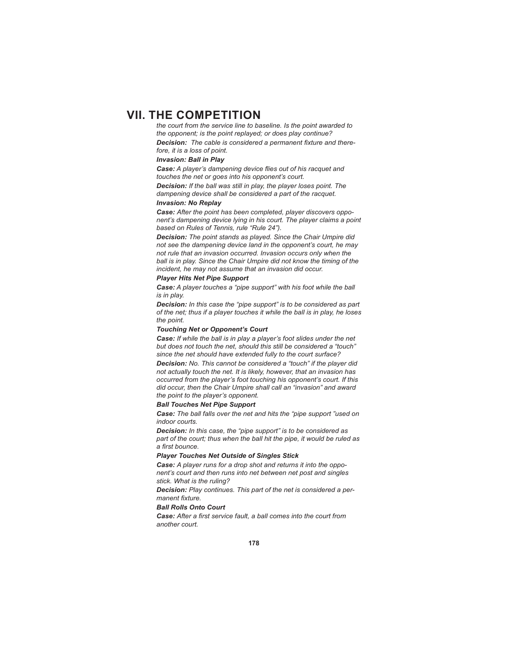*the court from the service line to baseline. Is the point awarded to the opponent; is the point replayed; or does play continue?* **Decision:** The cable is considered a permanent fixture and there*fore, it is a loss of point.*

#### *Invasion: Ball in Play*

**Case:** A player's dampening device flies out of his racquet and *touches the net or goes into his opponent's court.*

*Decision: If the ball was still in play, the player loses point. The dampening device shall be considered a part of the racquet.*

## *Invasion: No Replay*

*Case: After the point has been completed, player discovers opponent's dampening device lying in his court. The player claims a point based on Rules of Tennis, rule "Rule 24").*

*Decision: The point stands as played. Since the Chair Umpire did not see the dampening device land in the opponent's court, he may not rule that an invasion occurred. Invasion occurs only when the ball is in play. Since the Chair Umpire did not know the timing of the incident, he may not assume that an invasion did occur.*

## *Player Hits Net Pipe Support*

*Case: A player touches a "pipe support" with his foot while the ball is in play.*

*Decision: In this case the "pipe support" is to be considered as part of the net; thus if a player touches it while the ball is in play, he loses the point.*

#### *Touching Net or Opponent's Court*

*Case: If while the ball is in play a player's foot slides under the net but does not touch the net, should this still be considered a "touch" since the net should have extended fully to the court surface?*

*Decision: No. This cannot be considered a "touch" if the player did not actually touch the net. It is likely, however, that an invasion has occurred from the player's foot touching his opponent's court. If this did occur, then the Chair Umpire shall call an "invasion" and award the point to the player's opponent.* 

#### *Ball Touches Net Pipe Support*

*Case: The ball falls over the net and hits the "pipe support "used on indoor courts.*

*Decision: In this case, the "pipe support" is to be considered as part of the court; thus when the ball hit the pipe, it would be ruled as*   $a$  first bounce.

#### *Player Touches Net Outside of Singles Stick*

*Case: A player runs for a drop shot and returns it into the opponent's court and then runs into net between net post and singles stick. What is the ruling?*

*Decision: Play continues. This part of the net is considered a permanent fi xture.* 

#### *Ball Rolls Onto Court*

Case: After a first service fault, a ball comes into the court from *another court.*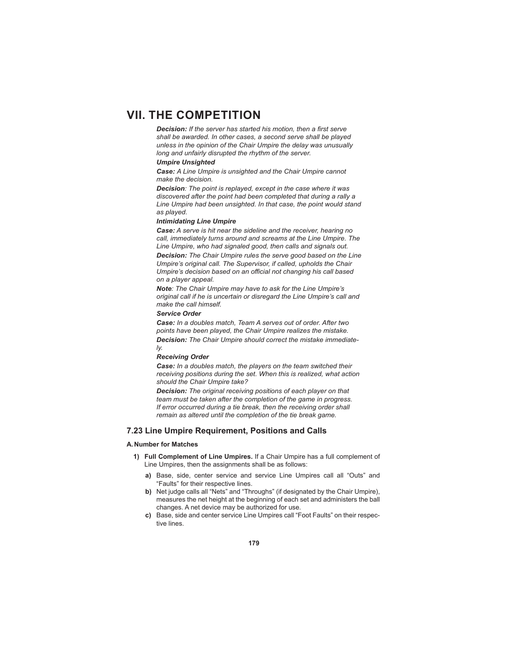**Decision:** If the server has started his motion, then a first serve *shall be awarded. In other cases, a second serve shall be played unless in the opinion of the Chair Umpire the delay was unusually long and unfairly disrupted the rhythm of the server.* 

## *Umpire Unsighted*

*Case: A Line Umpire is unsighted and the Chair Umpire cannot make the decision.*

*Decision: The point is replayed, except in the case where it was discovered after the point had been completed that during a rally a Line Umpire had been unsighted. In that case, the point would stand as played.*

#### *Intimidating Line Umpire*

*Case: A serve is hit near the sideline and the receiver, hearing no call, immediately turns around and screams at the Line Umpire. The Line Umpire, who had signaled good, then calls and signals out. Decision: The Chair Umpire rules the serve good based on the Line Umpire's original call. The Supervisor, if called, upholds the Chair Umpire's decision based on an official not changing his call based on a player appeal.*

*Note: The Chair Umpire may have to ask for the Line Umpire's original call if he is uncertain or disregard the Line Umpire's call and make the call himself.*

#### *Service Order*

*Case: In a doubles match, Team A serves out of order. After two points have been played, the Chair Umpire realizes the mistake. Decision: The Chair Umpire should correct the mistake immediately.* 

#### *Receiving Order*

*Case: In a doubles match, the players on the team switched their receiving positions during the set. When this is realized, what action should the Chair Umpire take?*

*Decision: The original receiving positions of each player on that team must be taken after the completion of the game in progress. If error occurred during a tie break, then the receiving order shall remain as altered until the completion of the tie break game.* 

### **7.23 Line Umpire Requirement, Positions and Calls**

### **A. Number for Matches**

- **1) Full Complement of Line Umpires.** If a Chair Umpire has a full complement of Line Umpires, then the assignments shall be as follows:
	- **a)** Base, side, center service and service Line Umpires call all "Outs" and "Faults" for their respective lines.
	- **b)** Net judge calls all "Nets" and "Throughs" (if designated by the Chair Umpire), measures the net height at the beginning of each set and administers the ball changes. A net device may be authorized for use.
	- **c)** Base, side and center service Line Umpires call "Foot Faults" on their respective lines.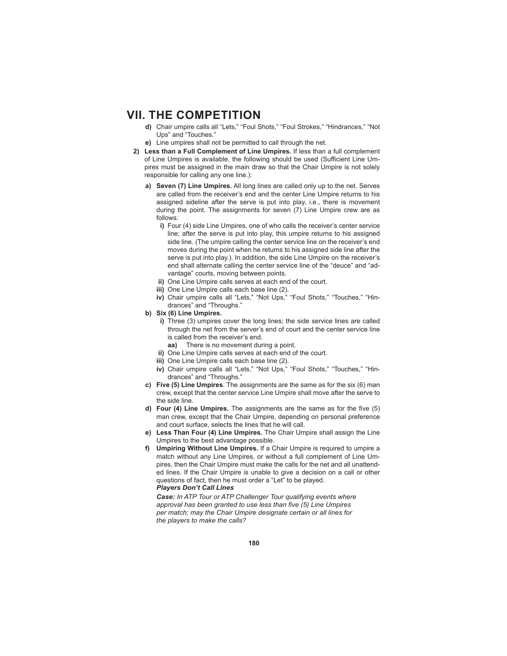- **d)** Chair umpire calls all "Lets," "Foul Shots," "Foul Strokes," "Hindrances," "Not Ups" and "Touches."
- **e)** Line umpires shall not be permitted to call through the net.
- **2) Less than a Full Complement of Line Umpires.** If less than a full complement of Line Umpires is available, the following should be used (Sufficient Line Umpires must be assigned in the main draw so that the Chair Umpire is not solely responsible for calling any one line.):
	- **a) Seven (7) Line Umpires.** All long lines are called only up to the net. Serves are called from the receiver's end and the center Line Umpire returns to his assigned sideline after the serve is put into play, i.e., there is movement during the point. The assignments for seven (7) Line Umpire crew are as follows:
		- **i)** Four (4) side Line Umpires, one of who calls the receiver's center service line; after the serve is put into play, this umpire returns to his assigned side line. (The umpire calling the center service line on the receiver's end moves during the point when he returns to his assigned side line after the serve is put into play.). In addition, the side Line Umpire on the receiver's end shall alternate calling the center service line of the "deuce" and "advantage" courts, moving between points.
		- **ii)** One Line Umpire calls serves at each end of the court.
		- **iii)** One Line Umpire calls each base line (2).
		- **iv)** Chair umpire calls all "Lets," "Not Ups," "Foul Shots," "Touches," "Hindrances" and "Throughs."
	- **b) Six (6) Line Umpires.**
		- **i)** Three (3) umpires cover the long lines; the side service lines are called through the net from the server's end of court and the center service line is called from the receiver's end.
			- **aa)** There is no movement during a point.
		- **ii)** One Line Umpire calls serves at each end of the court.
		- **iii)** One Line Umpire calls each base line (2).
		- **iv)** Chair umpire calls all "Lets," "Not Ups," "Foul Shots," "Touches," "Hindrances" and "Throughs."
	- **c) Five (5) Line Umpires**. The assignments are the same as for the six (6) man crew, except that the center service Line Umpire shall move after the serve to the side line.
	- **d) Four (4) Line Umpires.** The assignments are the same as for the five (5) man crew, except that the Chair Umpire, depending on personal preference and court surface, selects the lines that he will call.
	- **e) Less Than Four (4) Line Umpires.** The Chair Umpire shall assign the Line Umpires to the best advantage possible.
	- **f) Umpiring Without Line Umpires.** If a Chair Umpire is required to umpire a match without any Line Umpires, or without a full complement of Line Umpires, then the Chair Umpire must make the calls for the net and all unattended lines. If the Chair Umpire is unable to give a decision on a call or other questions of fact, then he must order a "Let" to be played. *Players Don't Call Lines*

*Case: In ATP Tour or ATP Challenger Tour qualifying events where*  approval has been granted to use less than five (5) Line Umpires *per match; may the Chair Umpire designate certain or all lines for the players to make the calls?*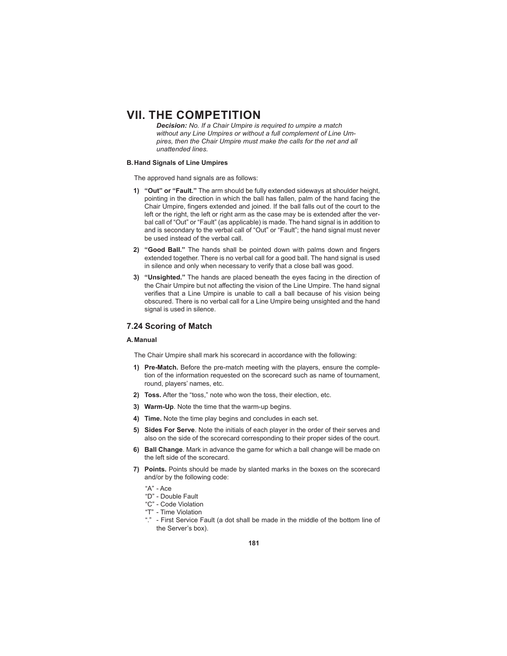*Decision: No. If a Chair Umpire is required to umpire a match without any Line Umpires or without a full complement of Line Umpires, then the Chair Umpire must make the calls for the net and all unattended lines.*

### **B. Hand Signals of Line Umpires**

The approved hand signals are as follows:

- **1) "Out" or "Fault."** The arm should be fully extended sideways at shoulder height, pointing in the direction in which the ball has fallen, palm of the hand facing the Chair Umpire, fingers extended and joined. If the ball falls out of the court to the left or the right, the left or right arm as the case may be is extended after the verbal call of "Out" or "Fault" (as applicable) is made. The hand signal is in addition to and is secondary to the verbal call of "Out" or "Fault"; the hand signal must never be used instead of the verbal call.
- 2) "Good Ball." The hands shall be pointed down with palms down and fingers extended together. There is no verbal call for a good ball. The hand signal is used in silence and only when necessary to verify that a close ball was good.
- **3) "Unsighted."** The hands are placed beneath the eyes facing in the direction of the Chair Umpire but not affecting the vision of the Line Umpire. The hand signal verifies that a Line Umpire is unable to call a ball because of his vision being obscured. There is no verbal call for a Line Umpire being unsighted and the hand signal is used in silence.

### **7.24 Scoring of Match**

#### **A. Manual**

The Chair Umpire shall mark his scorecard in accordance with the following:

- **1) Pre-Match.** Before the pre-match meeting with the players, ensure the completion of the information requested on the scorecard such as name of tournament, round, players' names, etc.
- **2) Toss.** After the "toss," note who won the toss, their election, etc.
- **3) Warm-Up**. Note the time that the warm-up begins.
- **4) Time.** Note the time play begins and concludes in each set.
- **5) Sides For Serve**. Note the initials of each player in the order of their serves and also on the side of the scorecard corresponding to their proper sides of the court.
- **6) Ball Change**. Mark in advance the game for which a ball change will be made on the left side of the scorecard.
- **7) Points.** Points should be made by slanted marks in the boxes on the scorecard and/or by the following code:
	- "A" Ace
	- "D" Double Fault
	- "C" Code Violation
	- "T" Time Violation
	- "." First Service Fault (a dot shall be made in the middle of the bottom line of the Server's box).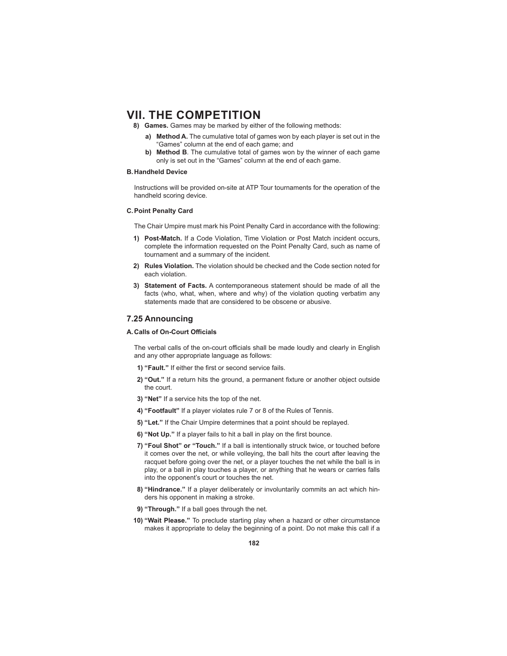- **8) Games.** Games may be marked by either of the following methods:
	- **a) Method A.** The cumulative total of games won by each player is set out in the "Games" column at the end of each game; and
	- **b) Method B**. The cumulative total of games won by the winner of each game only is set out in the "Games" column at the end of each game.

#### **B. Handheld Device**

 Instructions will be provided on-site at ATP Tour tournaments for the operation of the handheld scoring device.

#### **C. Point Penalty Card**

The Chair Umpire must mark his Point Penalty Card in accordance with the following:

- **1) Post-Match.** If a Code Violation, Time Violation or Post Match incident occurs, complete the information requested on the Point Penalty Card, such as name of tournament and a summary of the incident.
- **2) Rules Violation.** The violation should be checked and the Code section noted for each violation.
- **3) Statement of Facts.** A contemporaneous statement should be made of all the facts (who, what, when, where and why) of the violation quoting verbatim any statements made that are considered to be obscene or abusive.

## **7.25 Announcing**

### **A. Calls of On-Court Offi cials**

The verbal calls of the on-court officials shall be made loudly and clearly in English and any other appropriate language as follows:

- **1) "Fault."** If either the first or second service fails.
- 2) "Out." If a return hits the ground, a permanent fixture or another object outside the court.
- **3) "Net"** If a service hits the top of the net.
- **4) "Footfault"** If a player violates rule 7 or 8 of the Rules of Tennis.
- **5) "Let."** If the Chair Umpire determines that a point should be replayed.
- **6) "Not Up."** If a player fails to hit a ball in play on the first bounce.
- **7) "Foul Shot" or "Touch."** If a ball is intentionally struck twice, or touched before it comes over the net, or while volleying, the ball hits the court after leaving the racquet before going over the net, or a player touches the net while the ball is in play, or a ball in play touches a player, or anything that he wears or carries falls into the opponent's court or touches the net.
- **8) "Hindrance."** If a player deliberately or involuntarily commits an act which hinders his opponent in making a stroke.
- **9) "Through."** If a ball goes through the net.
- **10) "Wait Please."** To preclude starting play when a hazard or other circumstance makes it appropriate to delay the beginning of a point. Do not make this call if a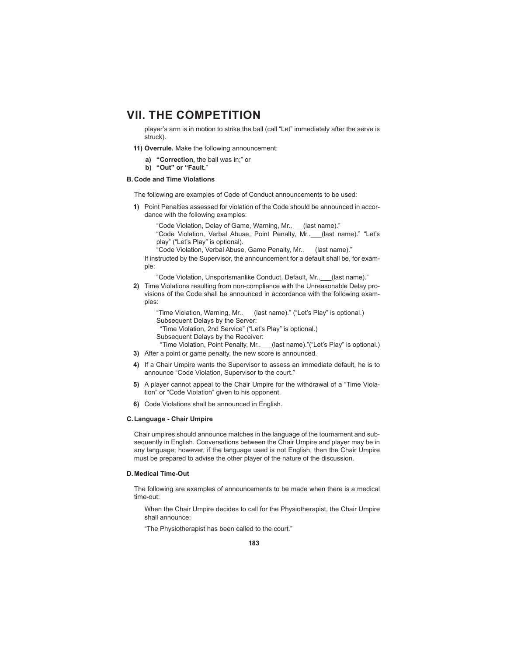player's arm is in motion to strike the ball (call "Let" immediately after the serve is struck).

- **11) Overrule.** Make the following announcement:
	- **a) "Correction,** the ball was in;" or
	- **b) "Out" or "Fault.**"

### **B. Code and Time Violations**

The following are examples of Code of Conduct announcements to be used:

- **1)** Point Penalties assessed for violation of the Code should be announced in accordance with the following examples:
	- "Code Violation, Delay of Game, Warning, Mr..\_\_\_(last name)."

 "Code Violation, Verbal Abuse, Point Penalty, Mr..\_\_\_(last name)." "Let's play" ("Let's Play" is optional).

"Code Violation, Verbal Abuse, Game Penalty, Mr..\_\_\_(last name)."

 If instructed by the Supervisor, the announcement for a default shall be, for example:

"Code Violation, Unsportsmanlike Conduct, Default, Mr..\_\_\_(last name)."

**2)** Time Violations resulting from non-compliance with the Unreasonable Delay provisions of the Code shall be announced in accordance with the following examples:

 "Time Violation, Warning, Mr..\_\_\_(last name)." ("Let's Play" is optional.) Subsequent Delays by the Server: "Time Violation, 2nd Service" ("Let's Play" is optional.) Subsequent Delays by the Receiver:

- "Time Violation, Point Penalty, Mr..\_\_\_(last name)."("Let's Play" is optional.) **3)** After a point or game penalty, the new score is announced.
- **4)** If a Chair Umpire wants the Supervisor to assess an immediate default, he is to announce "Code Violation, Supervisor to the court."
- **5)** A player cannot appeal to the Chair Umpire for the withdrawal of a "Time Violation" or "Code Violation" given to his opponent.
- **6)** Code Violations shall be announced in English.

#### **C. Language - Chair Umpire**

 Chair umpires should announce matches in the language of the tournament and subsequently in English. Conversations between the Chair Umpire and player may be in any language; however, if the language used is not English, then the Chair Umpire must be prepared to advise the other player of the nature of the discussion.

#### **D. Medical Time-Out**

 The following are examples of announcements to be made when there is a medical time-out:

 When the Chair Umpire decides to call for the Physiotherapist, the Chair Umpire shall announce:

"The Physiotherapist has been called to the court."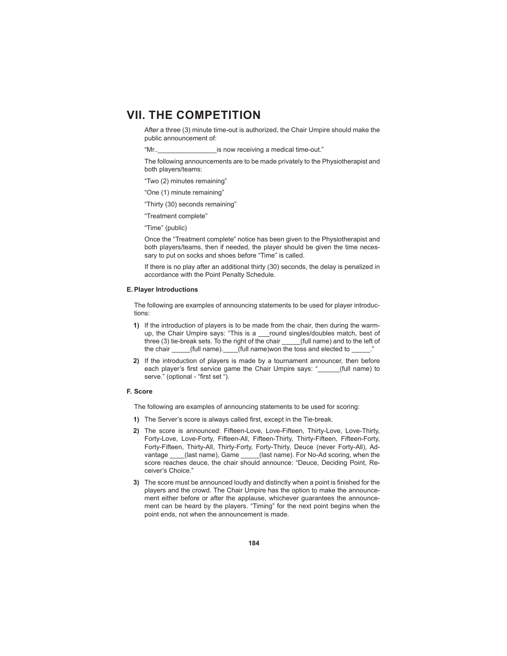After a three (3) minute time-out is authorized, the Chair Umpire should make the public announcement of:

"Mr..\_\_\_\_\_\_\_\_\_\_\_\_\_\_\_\_is now receiving a medical time-out."

 The following announcements are to be made privately to the Physiotherapist and both players/teams:

- "Two (2) minutes remaining"
- "One (1) minute remaining"
- "Thirty (30) seconds remaining"
- "Treatment complete"
- "Time" (public)

 Once the "Treatment complete" notice has been given to the Physiotherapist and both players/teams, then if needed, the player should be given the time necessary to put on socks and shoes before "Time" is called.

 If there is no play after an additional thirty (30) seconds, the delay is penalized in accordance with the Point Penalty Schedule.

#### **E. Player Introductions**

 The following are examples of announcing statements to be used for player introductions:

- **1)** If the introduction of players is to be made from the chair, then during the warmup, the Chair Umpire says: "This is a \_\_\_round singles/doubles match, best of three (3) tie-break sets. To the right of the chair \_\_\_\_\_(full name) and to the left of the chair \_\_\_\_\_(full name). \_\_\_\_(full name)won the toss and elected to \_
- **2)** If the introduction of players is made by a tournament announcer, then before each player's first service game the Chair Umpire says: " (full name) to serve." (optional - "first set ").

## **F. Score**

The following are examples of announcing statements to be used for scoring:

- **1)** The Server's score is always called first, except in the Tie-break.
- **2)** The score is announced: Fifteen-Love, Love-Fifteen, Thirty-Love, Love-Thirty, Forty-Love, Love-Forty, Fifteen-All, Fifteen-Thirty, Thirty-Fifteen, Fifteen-Forty, Forty-Fifteen, Thirty-All, Thirty-Forty, Forty-Thirty, Deuce (never Forty-All), Advantage \_\_\_\_(last name), Game \_\_\_\_\_(last name). For No-Ad scoring, when the score reaches deuce, the chair should announce: "Deuce, Deciding Point, Receiver's Choice."
- **3)** The score must be announced loudly and distinctly when a point is finished for the players and the crowd. The Chair Umpire has the option to make the announcement either before or after the applause, whichever guarantees the announcement can be heard by the players. "Timing" for the next point begins when the point ends, not when the announcement is made.